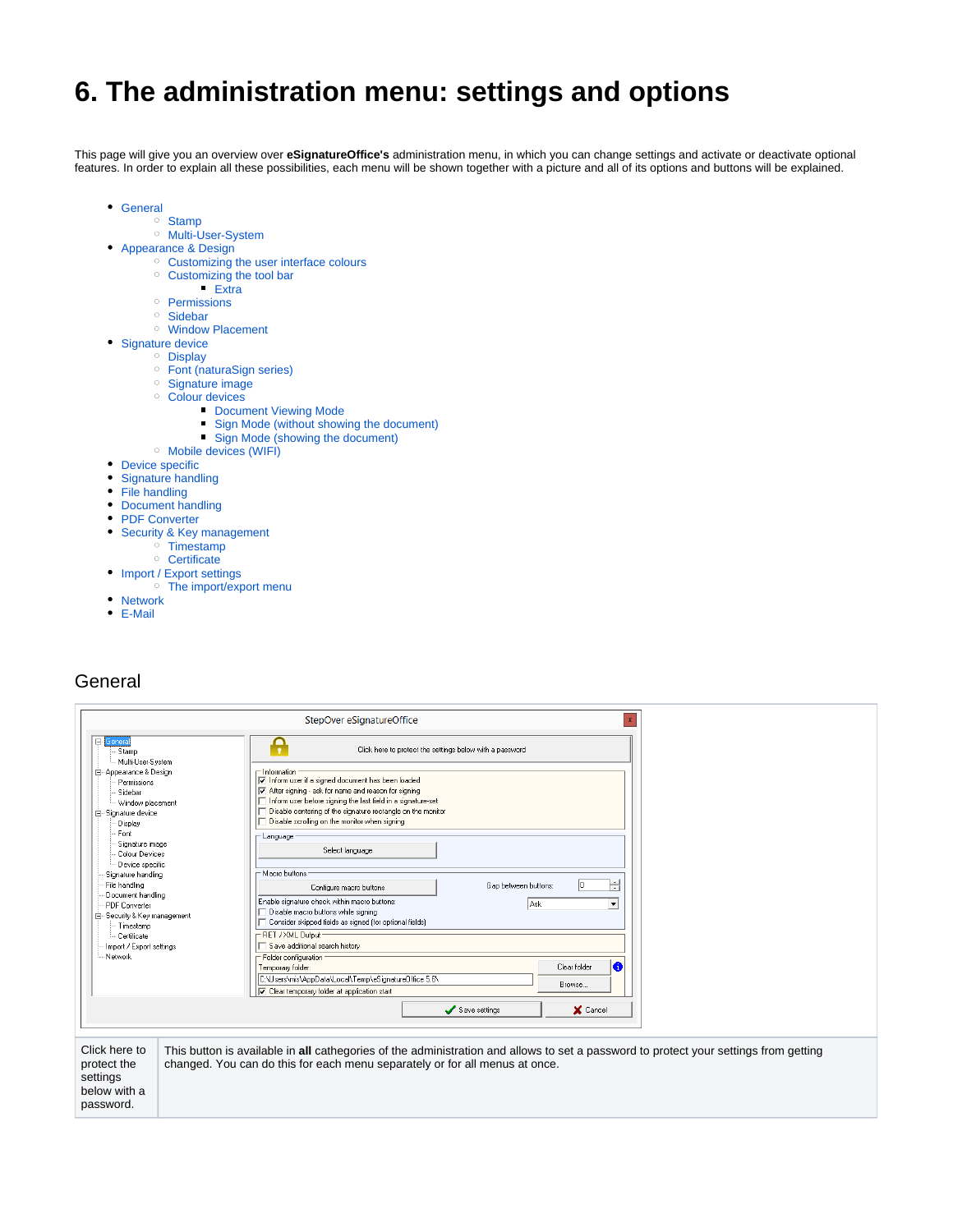# **6. The administration menu: settings and options**

This page will give you an overview over **eSignatureOffice's** administration menu, in which you can change settings and activate or deactivate optional features. In order to explain all these possibilities, each menu will be shown together with a picture and all of its options and buttons will be explained.

- [General](#page-0-0)
	- <sup>o</sup> [Stamp](#page-1-0)
	- <sup>o</sup> [Multi-User-System](#page-3-0)
- [Appearance & Design](#page-4-0)
	- [Customizing the user interface colours](#page-6-0)
	- <sup>o</sup> [Customizing the tool bar](#page-8-0)
		- $Extra$
	- <sup>o</sup> [Permissions](#page-9-0) [Sidebar](#page-10-0)
	- [Window Placement](#page-11-0)
- [Signature device](#page-12-0)
	- <sup>o</sup> [Display](#page-23-0)
		- [Font \(naturaSign series\)](#page-26-0)
		- [Signature image](#page-27-0)
		- <sup>o</sup> [Colour devices](#page-28-0)
			- **[Document Viewing Mode](#page-29-0)**
			- [Sign Mode \(without showing the document\)](#page-30-0)
			- [Sign Mode \(showing the document\)](#page-30-1)
		- [Mobile devices \(WIFI\)](#page-31-0)
- [Device specific](#page-32-0)
- [Signature handling](#page-33-0)
- [File handling](#page-35-0)
- [Document handling](#page-36-0)
- [PDF Converter](#page-41-0)
- [Security & Key management](#page-42-0)
	- $\circ$  [Timestamp](#page-43-0)
- <sup>o</sup> [Certificate](#page-44-0) • [Import / Export settings](#page-45-0)
- [The import/export menu](#page-46-0)
- [Network](#page-47-0)
- [E-Mail](#page-48-0)

## <span id="page-0-0"></span>General

password.

|                                                                                                                                                                            | StepOver eSignatureOffice<br>$\mathbf{x}$                                                                                                                                                                                                                                                                                                                  |
|----------------------------------------------------------------------------------------------------------------------------------------------------------------------------|------------------------------------------------------------------------------------------------------------------------------------------------------------------------------------------------------------------------------------------------------------------------------------------------------------------------------------------------------------|
| <b>E</b> General<br>- Stamp                                                                                                                                                | Ĥ<br>Click here to protect the settings below with a password                                                                                                                                                                                                                                                                                              |
| Multi-User-System<br>白· Appearance & Design<br>Permissions<br>Sidebar<br>- Window placement<br>白· Signature device<br>Display<br>Font<br>Signature image<br>Colour Devices | $\sqsubset$ Information<br>Inform user if a signed document has been loaded<br>After signing - ask for name and reason for signing<br>Inform user before signing the last field in a signature-set<br>Disable centering of the signature rectangle on the monitor<br>Disable scrolling on the monitor when signing<br>$\Gamma$ Language<br>Select language |
| Device specific<br>Signature handling<br>File handling<br>Document handling<br>PDF Converter<br>E-Security & Key management<br>- Timestamp                                 | $\Gamma$ Macro buttons:<br>싂<br>Gap between buttons:<br>Configure macro buttons<br>Enable signature check within macro buttons:<br>Ask<br>$\overline{\phantom{a}}$<br>$\Box$ Disable macro buttons while signing<br>Consider skipped fields as signed (for optional fields)                                                                                |
| - Certificate<br>Import / Export settings                                                                                                                                  | - RET / XML Output<br>Save additional search history                                                                                                                                                                                                                                                                                                       |
| - Network                                                                                                                                                                  | $\sqsubset$ Folder configuration<br>la<br>Clear folder<br>Temporary folder:                                                                                                                                                                                                                                                                                |
|                                                                                                                                                                            | C:\Users\mis\AppData\Local\Temp\eSignatureOffice 5.6\<br>Browse<br>$\overline{\blacktriangledown}$ Clear temporary folder at application start                                                                                                                                                                                                             |
|                                                                                                                                                                            | X Cancel<br>Save settings                                                                                                                                                                                                                                                                                                                                  |
|                                                                                                                                                                            |                                                                                                                                                                                                                                                                                                                                                            |
| Click here to<br>protect the<br>settings<br>below with a                                                                                                                   | This button is available in all cathegories of the administration and allows to set a password to protect your settings from getting<br>changed. You can do this for each menu separately or for all menus at once.                                                                                                                                        |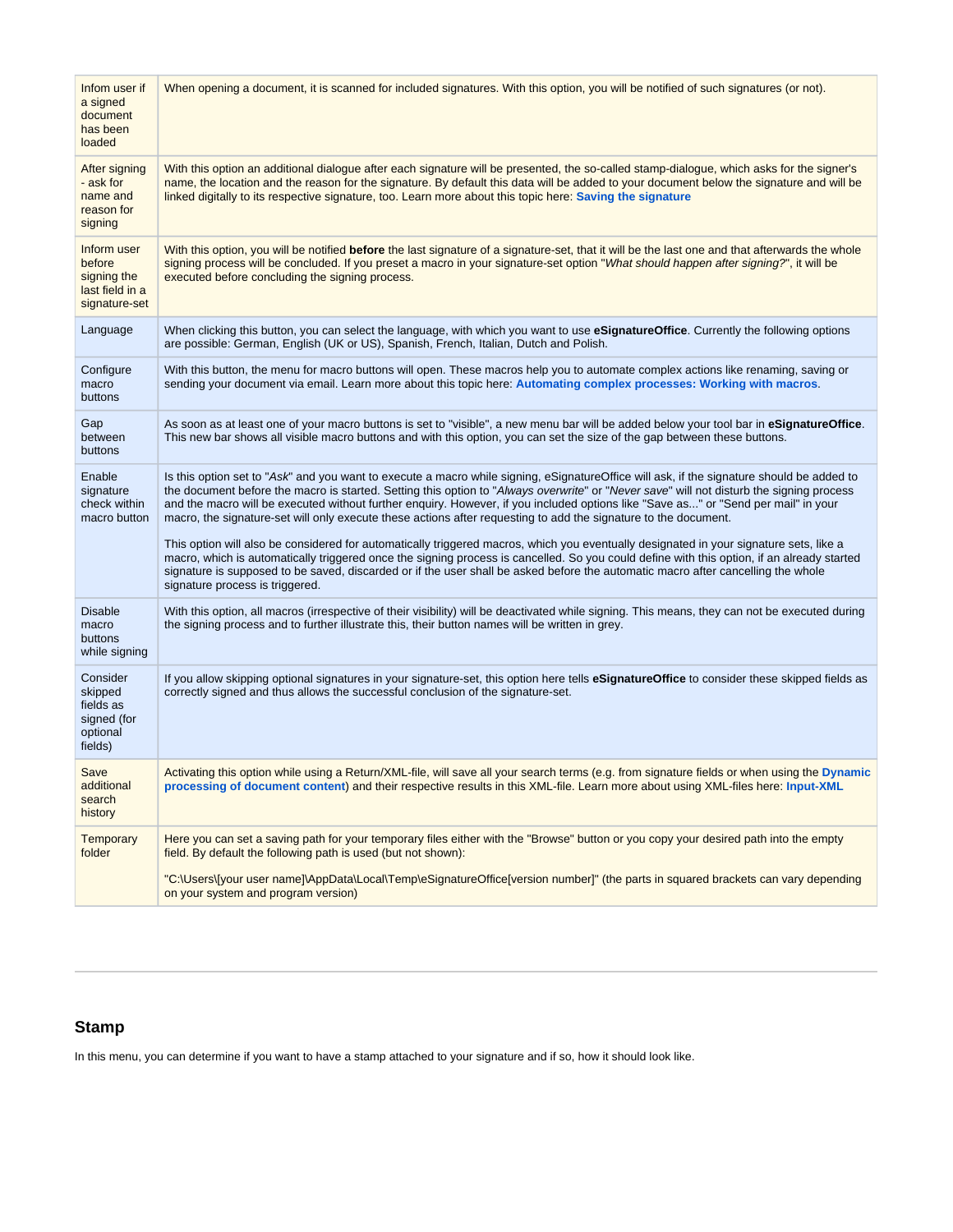| Infom user if<br>a signed<br>document<br>has been<br>loaded              | When opening a document, it is scanned for included signatures. With this option, you will be notified of such signatures (or not).                                                                                                                                                                                                                                                                                                                                                                                                            |
|--------------------------------------------------------------------------|------------------------------------------------------------------------------------------------------------------------------------------------------------------------------------------------------------------------------------------------------------------------------------------------------------------------------------------------------------------------------------------------------------------------------------------------------------------------------------------------------------------------------------------------|
| After signing<br>- ask for<br>name and<br>reason for<br>signing          | With this option an additional dialogue after each signature will be presented, the so-called stamp-dialogue, which asks for the signer's<br>name, the location and the reason for the signature. By default this data will be added to your document below the signature and will be<br>linked digitally to its respective signature, too. Learn more about this topic here: Saving the signature                                                                                                                                             |
| Inform user<br>before<br>signing the<br>last field in a<br>signature-set | With this option, you will be notified before the last signature of a signature-set, that it will be the last one and that afterwards the whole<br>signing process will be concluded. If you preset a macro in your signature-set option "What should happen after signing?", it will be<br>executed before concluding the signing process.                                                                                                                                                                                                    |
| Language                                                                 | When clicking this button, you can select the language, with which you want to use eSignatureOffice. Currently the following options<br>are possible: German, English (UK or US), Spanish, French, Italian, Dutch and Polish.                                                                                                                                                                                                                                                                                                                  |
| Configure<br>macro<br>buttons                                            | With this button, the menu for macro buttons will open. These macros help you to automate complex actions like renaming, saving or<br>sending your document via email. Learn more about this topic here: Automating complex processes: Working with macros.                                                                                                                                                                                                                                                                                    |
| Gap<br>between<br>buttons                                                | As soon as at least one of your macro buttons is set to "visible", a new menu bar will be added below your tool bar in eSignatureOffice.<br>This new bar shows all visible macro buttons and with this option, you can set the size of the gap between these buttons.                                                                                                                                                                                                                                                                          |
| Enable<br>signature<br>check within<br>macro button                      | Is this option set to "Ask" and you want to execute a macro while signing, eSignatureOffice will ask, if the signature should be added to<br>the document before the macro is started. Setting this option to "Always overwrite" or "Never save" will not disturb the signing process<br>and the macro will be executed without further enquiry. However, if you included options like "Save as" or "Send per mail" in your<br>macro, the signature-set will only execute these actions after requesting to add the signature to the document. |
|                                                                          | This option will also be considered for automatically triggered macros, which you eventually designated in your signature sets, like a<br>macro, which is automatically triggered once the signing process is cancelled. So you could define with this option, if an already started<br>signature is supposed to be saved, discarded or if the user shall be asked before the automatic macro after cancelling the whole<br>signature process is triggered.                                                                                    |
| <b>Disable</b><br>macro<br>buttons<br>while signing                      | With this option, all macros (irrespective of their visibility) will be deactivated while signing. This means, they can not be executed during<br>the signing process and to further illustrate this, their button names will be written in grey.                                                                                                                                                                                                                                                                                              |
| Consider<br>skipped<br>fields as<br>signed (for<br>optional<br>fields)   | If you allow skipping optional signatures in your signature-set, this option here tells eSignatureOffice to consider these skipped fields as<br>correctly signed and thus allows the successful conclusion of the signature-set.                                                                                                                                                                                                                                                                                                               |
| Save<br>additional<br>search<br>history                                  | Activating this option while using a Return/XML-file, will save all your search terms (e.g. from signature fields or when using the Dynamic<br>processing of document content) and their respective results in this XML-file. Learn more about using XML-files here: Input-XML                                                                                                                                                                                                                                                                 |
| <b>Temporary</b><br>folder                                               | Here you can set a saving path for your temporary files either with the "Browse" button or you copy your desired path into the empty<br>field. By default the following path is used (but not shown):                                                                                                                                                                                                                                                                                                                                          |
|                                                                          | "C:\Users\[your user name]\AppData\Local\Temp\eSignatureOffice[version number]" (the parts in squared brackets can vary depending<br>on your system and program version)                                                                                                                                                                                                                                                                                                                                                                       |

## <span id="page-1-0"></span>**Stamp**

In this menu, you can determine if you want to have a stamp attached to your signature and if so, how it should look like.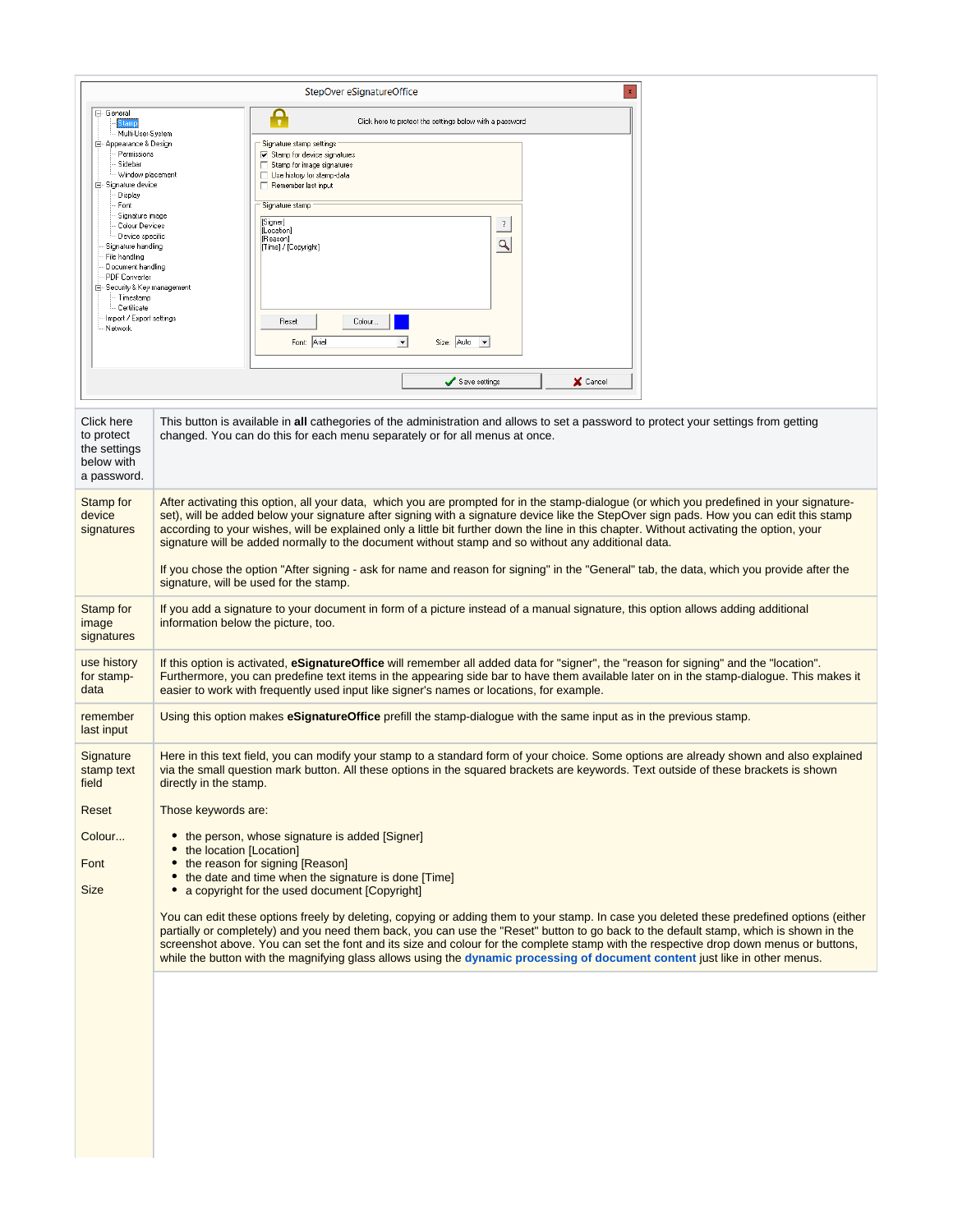|                                                                                                                                                                                                                                                                                                                                                                                                          | $\mathbf{x}$<br>StepOver eSignatureOffice                                                                                                                                                                                                                                                                                                                                                                                                                                                                                                                                                                                                                                                                                                                                                                           |
|----------------------------------------------------------------------------------------------------------------------------------------------------------------------------------------------------------------------------------------------------------------------------------------------------------------------------------------------------------------------------------------------------------|---------------------------------------------------------------------------------------------------------------------------------------------------------------------------------------------------------------------------------------------------------------------------------------------------------------------------------------------------------------------------------------------------------------------------------------------------------------------------------------------------------------------------------------------------------------------------------------------------------------------------------------------------------------------------------------------------------------------------------------------------------------------------------------------------------------------|
| ⊟- General<br>itamp<br>Multi-User-System<br>⊟- Appearance & Design<br>Permissions<br>Sidebar<br>--- Window placement<br>白 Signature device<br>Display<br>Font<br>Signature image<br>Colour Devices<br>Device specific<br>Signature handling<br>File handling<br>Document handling<br>PDF Converter<br>白 Security & Key management<br>· Timestamp<br>Certificate<br>Import / Export settings<br>- Network | Ą<br>Click here to protect the settings below with a password<br>Signature stamp settings<br>$\nabla$ Stamp for device signatures<br>Stamp for image signatures<br>□ Use history for stamp-data<br>Remember last input<br><sup>-</sup> Signature stamp<br>[Signer]<br>$\overline{\mathcal{E}}$<br>[Location]<br>[Reason]<br>$\mathbf{Q}$<br>[Time] / [Copyright]<br>Reset<br>Colour.<br>Font: Arial<br>▾<br>Size: Auto -<br>Save settings<br>X Cancel                                                                                                                                                                                                                                                                                                                                                               |
| Click here<br>to protect<br>the settings<br>below with<br>a password.                                                                                                                                                                                                                                                                                                                                    | This button is available in all cathegories of the administration and allows to set a password to protect your settings from getting<br>changed. You can do this for each menu separately or for all menus at once.                                                                                                                                                                                                                                                                                                                                                                                                                                                                                                                                                                                                 |
| Stamp for<br>device<br>signatures                                                                                                                                                                                                                                                                                                                                                                        | After activating this option, all your data, which you are prompted for in the stamp-dialogue (or which you predefined in your signature-<br>set), will be added below your signature after signing with a signature device like the StepOver sign pads. How you can edit this stamp<br>according to your wishes, will be explained only a little bit further down the line in this chapter. Without activating the option, your<br>signature will be added normally to the document without stamp and so without any additional data.<br>If you chose the option "After signing - ask for name and reason for signing" in the "General" tab, the data, which you provide after the<br>signature, will be used for the stamp.                                                                                       |
| <b>Stamp for</b><br>image<br>signatures                                                                                                                                                                                                                                                                                                                                                                  | If you add a signature to your document in form of a picture instead of a manual signature, this option allows adding additional<br>information below the picture, too.                                                                                                                                                                                                                                                                                                                                                                                                                                                                                                                                                                                                                                             |
| use history<br>for stamp-<br>data                                                                                                                                                                                                                                                                                                                                                                        | If this option is activated, eSignatureOffice will remember all added data for "signer", the "reason for signing" and the "location".<br>Furthermore, you can predefine text items in the appearing side bar to have them available later on in the stamp-dialogue. This makes it<br>easier to work with frequently used input like signer's names or locations, for example.                                                                                                                                                                                                                                                                                                                                                                                                                                       |
| remember<br>last input                                                                                                                                                                                                                                                                                                                                                                                   | Using this option makes eSignatureOffice prefill the stamp-dialogue with the same input as in the previous stamp.                                                                                                                                                                                                                                                                                                                                                                                                                                                                                                                                                                                                                                                                                                   |
| Signature<br>stamp text<br>field                                                                                                                                                                                                                                                                                                                                                                         | Here in this text field, you can modify your stamp to a standard form of your choice. Some options are already shown and also explained<br>via the small question mark button. All these options in the squared brackets are keywords. Text outside of these brackets is shown<br>directly in the stamp.                                                                                                                                                                                                                                                                                                                                                                                                                                                                                                            |
| Reset<br>Colour<br>Font<br><b>Size</b>                                                                                                                                                                                                                                                                                                                                                                   | Those keywords are:<br>• the person, whose signature is added [Signer]<br>the location [Location]<br>• the reason for signing [Reason]<br>the date and time when the signature is done [Time]<br>٠<br>a copyright for the used document [Copyright]<br>You can edit these options freely by deleting, copying or adding them to your stamp. In case you deleted these predefined options (either<br>partially or completely) and you need them back, you can use the "Reset" button to go back to the default stamp, which is shown in the<br>screenshot above. You can set the font and its size and colour for the complete stamp with the respective drop down menus or buttons,<br>while the button with the magnifying glass allows using the dynamic processing of document content just like in other menus. |
|                                                                                                                                                                                                                                                                                                                                                                                                          |                                                                                                                                                                                                                                                                                                                                                                                                                                                                                                                                                                                                                                                                                                                                                                                                                     |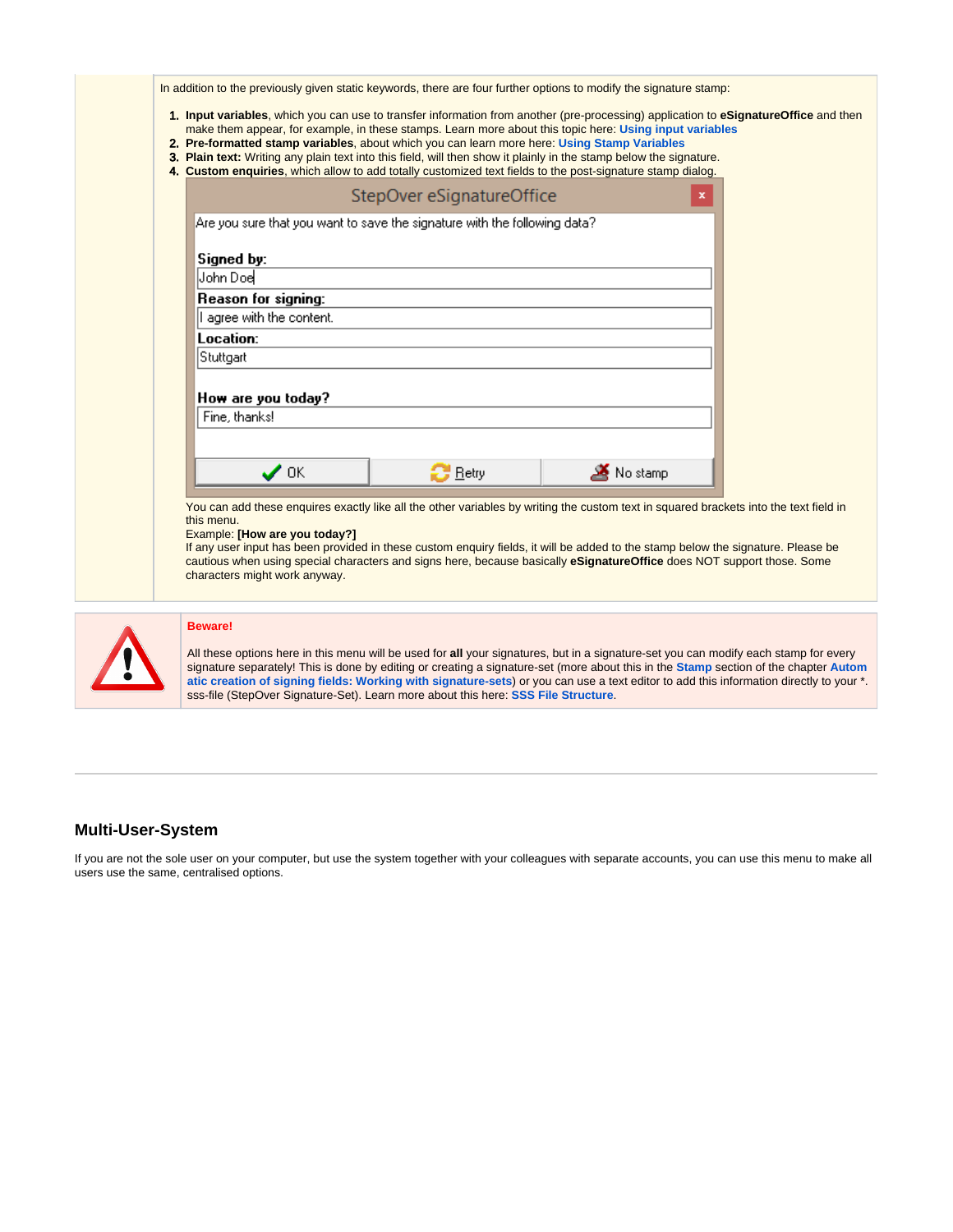|                               | StepOver eSignatureOffice                                                 |          | $\mathbf x$ |
|-------------------------------|---------------------------------------------------------------------------|----------|-------------|
|                               | Are you sure that you want to save the signature with the following data? |          |             |
|                               |                                                                           |          |             |
| Signed by:<br>John Doel       |                                                                           |          |             |
| Reason for signing:           |                                                                           |          |             |
| I agree with the content.     |                                                                           |          |             |
| Location:                     |                                                                           |          |             |
| Stuttgart                     |                                                                           |          |             |
| How are you today?            |                                                                           |          |             |
| Fine, thanks!                 |                                                                           |          |             |
|                               |                                                                           |          |             |
| $\boldsymbol{\mathcal{J}}$ ok | $\mathbb{C}$ Retry                                                        | No stamp |             |
|                               |                                                                           |          |             |



#### **Beware!**

All these options here in this menu will be used for **all** your signatures, but in a signature-set you can modify each stamp for every signature separately! This is done by editing or creating a signature-set (more about this in the **[Stamp](https://www.stepoverinfo.net/confluence/display/PUG/Automatic+creation+of+signing+fields%3A+Working+with+signature-sets#Automaticcreationofsigningfields:Workingwithsignature-sets-Stamp)** section of the chapter **[Autom](https://www.stepoverinfo.net/confluence/display/PUG/Automatic+creation+of+signing+fields%3A+Working+with+signature-sets) [atic creation of signing fields: Working with signature-sets](https://www.stepoverinfo.net/confluence/display/PUG/Automatic+creation+of+signing+fields%3A+Working+with+signature-sets)**) or you can use a text editor to add this information directly to your \*. sss-file (StepOver Signature-Set). Learn more about this here: **[SSS File Structure](https://www.stepoverinfo.net/confluence/display/PESO/SSS+file+structure)**.

#### <span id="page-3-0"></span>**Multi-User-System**

If you are not the sole user on your computer, but use the system together with your colleagues with separate accounts, you can use this menu to make all users use the same, centralised options.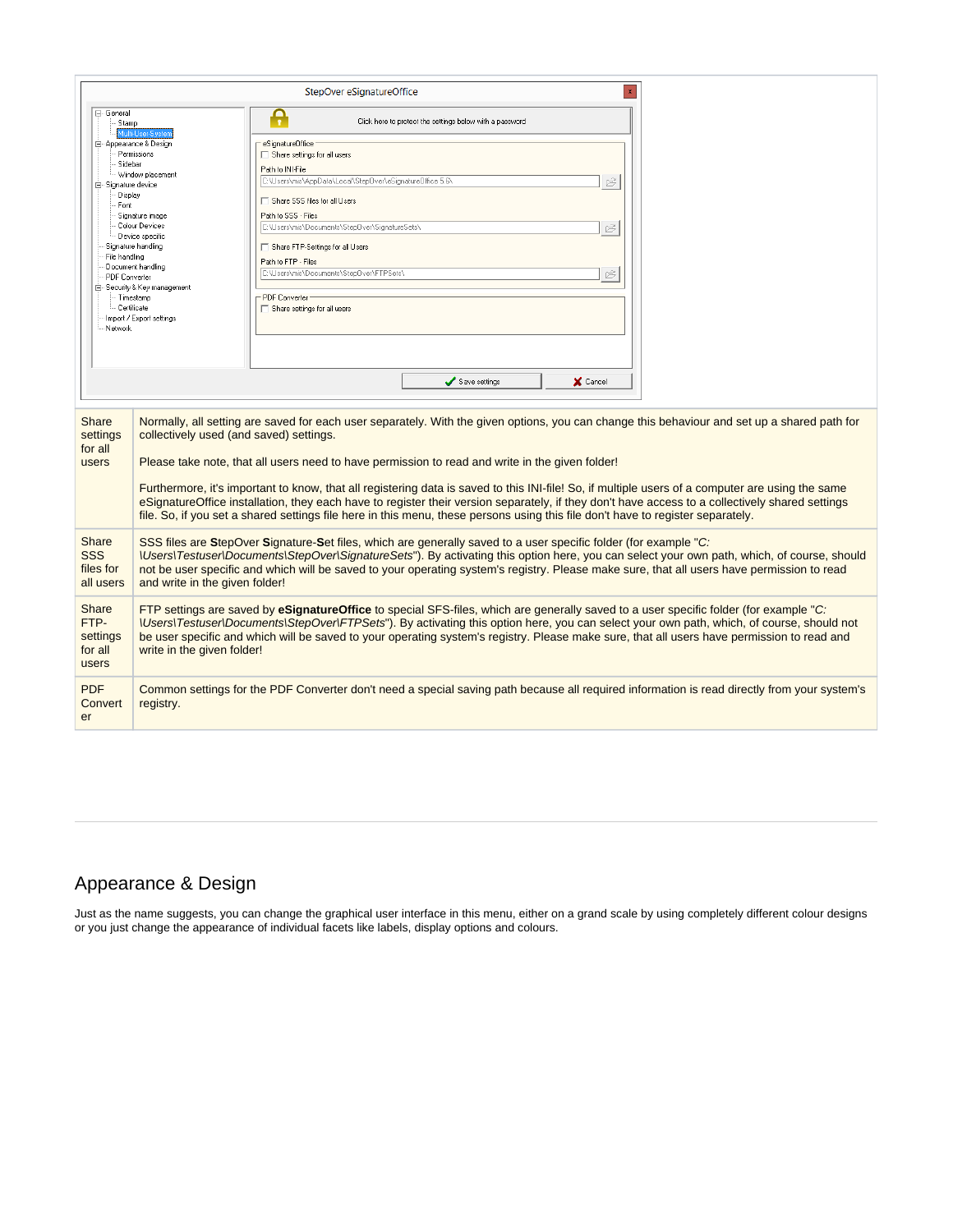|                                                                                                                |                                                                                                                                                                                                                                                                                                                                                                                                                                                                                                                                                                                                                                                                                                                                      | StepOver eSignatureOffice                                                                                                                                                                                                                                                                                                                                                                                            |  |  |  |
|----------------------------------------------------------------------------------------------------------------|--------------------------------------------------------------------------------------------------------------------------------------------------------------------------------------------------------------------------------------------------------------------------------------------------------------------------------------------------------------------------------------------------------------------------------------------------------------------------------------------------------------------------------------------------------------------------------------------------------------------------------------------------------------------------------------------------------------------------------------|----------------------------------------------------------------------------------------------------------------------------------------------------------------------------------------------------------------------------------------------------------------------------------------------------------------------------------------------------------------------------------------------------------------------|--|--|--|
| ⊟- General<br>Stamp                                                                                            |                                                                                                                                                                                                                                                                                                                                                                                                                                                                                                                                                                                                                                                                                                                                      | Ω<br>$\mathbf{r}$<br>Click here to protect the settings below with a password                                                                                                                                                                                                                                                                                                                                        |  |  |  |
| Sidebar<br>白 Signature device<br>Display<br>Font<br>File handling<br>PDF Converter<br>- Certificate<br>Network | Multi-Hser-Susten<br>白 Appearance & Design<br>Permissions<br>Vindow placement<br>Signature image<br>Colour Devices<br>Device specific<br>Signature handling<br>Document handling<br>⊟– Security & Key management<br>· Timestamp<br>Import / Export settings                                                                                                                                                                                                                                                                                                                                                                                                                                                                          | eSignatureOffice<br>Share settings for all users<br>Path to INI-File<br>C:\Users\mis\AppData\Local\Step0ver\eSignature0ffice 5.6\<br>Ê<br>Share SSS files for all Users<br>Path to SSS - Files<br>C:\Users\mis\Documents\Step0ver\SignatureSets\<br>Ê<br>Share FTP-Settings for all Users<br>Path to FTP - Files<br>C:\Users\mis\Documents\Step0ver\FTPSets\<br>Ê<br>- PDF Converter<br>Share settings for all users |  |  |  |
|                                                                                                                |                                                                                                                                                                                                                                                                                                                                                                                                                                                                                                                                                                                                                                                                                                                                      | Save settings<br>X Cancel                                                                                                                                                                                                                                                                                                                                                                                            |  |  |  |
| Share<br>settings<br>for all<br>users                                                                          | Normally, all setting are saved for each user separately. With the given options, you can change this behaviour and set up a shared path for<br>collectively used (and saved) settings.<br>Please take note, that all users need to have permission to read and write in the given folder!<br>Furthermore, it's important to know, that all registering data is saved to this INI-file! So, if multiple users of a computer are using the same<br>eSignatureOffice installation, they each have to register their version separately, if they don't have access to a collectively shared settings<br>file. So, if you set a shared settings file here in this menu, these persons using this file don't have to register separately. |                                                                                                                                                                                                                                                                                                                                                                                                                      |  |  |  |
| Share<br><b>SSS</b><br>files for<br>all users                                                                  | SSS files are StepOver Signature-Set files, which are generally saved to a user specific folder (for example "C:<br><i><u><b>\Users\Testuser\Documents\StepOver\SignatureSets"</b></u></i> ). By activating this option here, you can select your own path, which, of course, should<br>not be user specific and which will be saved to your operating system's registry. Please make sure, that all users have permission to read<br>and write in the given folder!                                                                                                                                                                                                                                                                 |                                                                                                                                                                                                                                                                                                                                                                                                                      |  |  |  |
| Share<br>FTP-<br>settings<br>for all<br>users                                                                  | FTP settings are saved by eSignatureOffice to special SFS-files, which are generally saved to a user specific folder (for example "C:<br><i>\Users\Testuser\Documents\StepOver\FTPSets"</i> ). By activating this option here, you can select your own path, which, of course, should not<br>be user specific and which will be saved to your operating system's registry. Please make sure, that all users have permission to read and<br>write in the given folder!                                                                                                                                                                                                                                                                |                                                                                                                                                                                                                                                                                                                                                                                                                      |  |  |  |
| <b>PDF</b><br>Convert<br>er                                                                                    | registry.                                                                                                                                                                                                                                                                                                                                                                                                                                                                                                                                                                                                                                                                                                                            | Common settings for the PDF Converter don't need a special saving path because all required information is read directly from your system's                                                                                                                                                                                                                                                                          |  |  |  |

# <span id="page-4-0"></span>Appearance & Design

Just as the name suggests, you can change the graphical user interface in this menu, either on a grand scale by using completely different colour designs or you just change the appearance of individual facets like labels, display options and colours.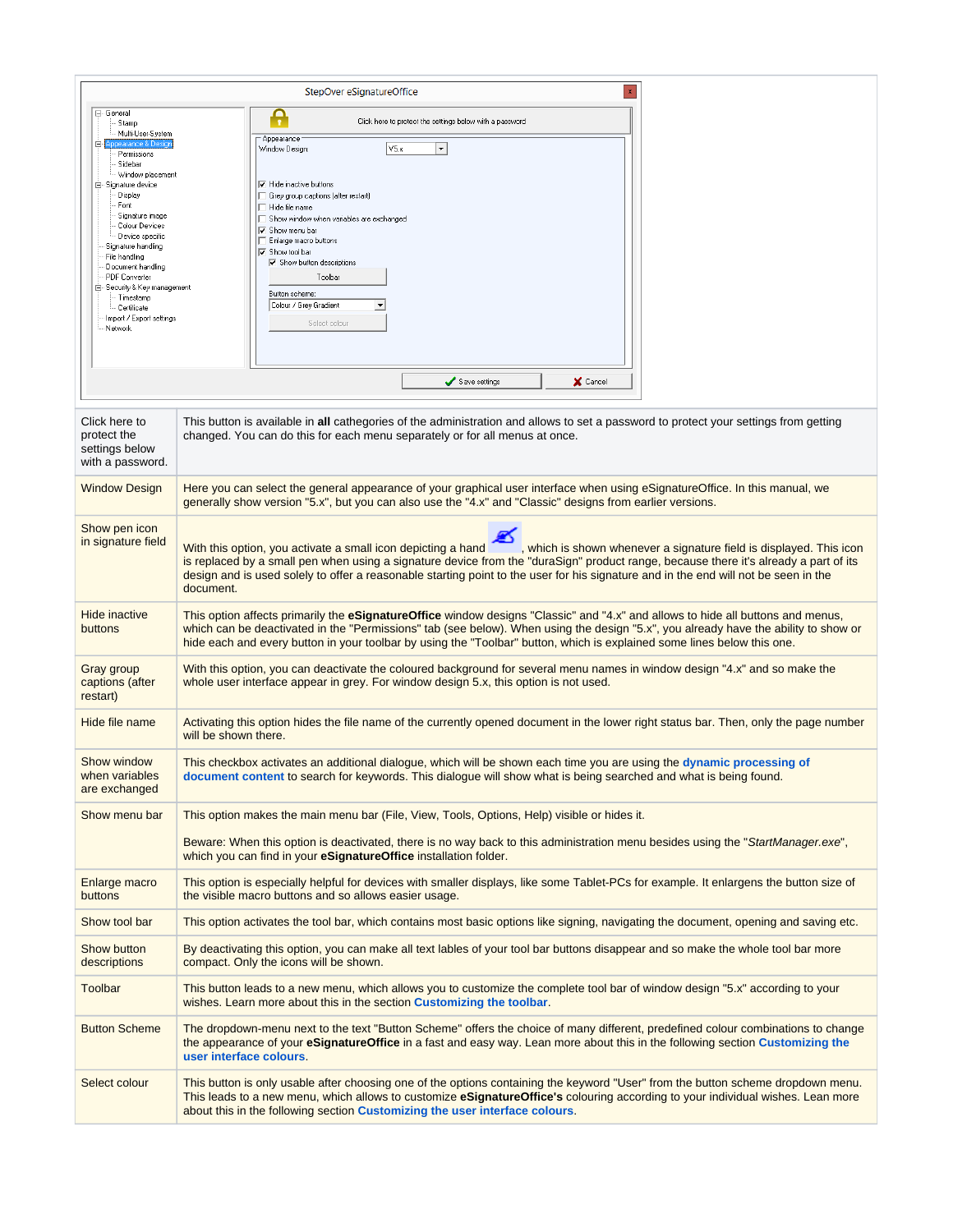|                                                                                                                                                                                                                                                                                                                                        | $\mathbf{x}$<br>StepOver eSignatureOffice                                                                                                                                                                                                                                                                                                                                                                                       |  |  |
|----------------------------------------------------------------------------------------------------------------------------------------------------------------------------------------------------------------------------------------------------------------------------------------------------------------------------------------|---------------------------------------------------------------------------------------------------------------------------------------------------------------------------------------------------------------------------------------------------------------------------------------------------------------------------------------------------------------------------------------------------------------------------------|--|--|
| ⊟- General<br>Stamp                                                                                                                                                                                                                                                                                                                    | Ą<br>Click here to protect the settings below with a password                                                                                                                                                                                                                                                                                                                                                                   |  |  |
| Multi-User-System<br>nnearance & Desic<br>e.                                                                                                                                                                                                                                                                                           | Appearance<br>V5.x<br>$\blacktriangledown$<br>Window Design:                                                                                                                                                                                                                                                                                                                                                                    |  |  |
| Permissions<br>Sidebar<br>Window placement<br>白 Signature device<br>Display<br>Font<br>Signature image<br>Colour Devices<br>Device specific<br>Signature handling<br>File handling<br>Document handling<br>PDF Converter<br>⊟- Security & Key management<br>- Timestamp<br><b>Certificate</b><br>Import / Export settings<br>- Network | $\nabla$ Hide inactive buttons<br>□ Grey group captions (after restart)<br>$\Box$ Hide file name<br>Show window when variables are exchanged<br>$\overline{\mathbf{v}}$ Show menu bar<br>Enlarge macro buttons<br>$\overline{\smash{\triangledown}}$ Show tool bar<br>$\nabla$ Show button descriptions<br>Toolbar<br>Button scheme:<br>Colour / Grey Gradient<br>$\overline{\phantom{a}}$<br>Select colour                     |  |  |
|                                                                                                                                                                                                                                                                                                                                        | Save settings<br>X Cancel                                                                                                                                                                                                                                                                                                                                                                                                       |  |  |
| Click here to<br>protect the<br>settings below<br>with a password.                                                                                                                                                                                                                                                                     | This button is available in all cathegories of the administration and allows to set a password to protect your settings from getting<br>changed. You can do this for each menu separately or for all menus at once.                                                                                                                                                                                                             |  |  |
| <b>Window Design</b>                                                                                                                                                                                                                                                                                                                   | Here you can select the general appearance of your graphical user interface when using eSignatureOffice. In this manual, we<br>generally show version "5.x", but you can also use the "4.x" and "Classic" designs from earlier versions.                                                                                                                                                                                        |  |  |
| Show pen icon<br>in signature field                                                                                                                                                                                                                                                                                                    | With this option, you activate a small icon depicting a hand<br>, which is shown whenever a signature field is displayed. This icon<br>is replaced by a small pen when using a signature device from the "duraSign" product range, because there it's already a part of its<br>design and is used solely to offer a reasonable starting point to the user for his signature and in the end will not be seen in the<br>document. |  |  |
| <b>Hide inactive</b><br>buttons                                                                                                                                                                                                                                                                                                        | This option affects primarily the eSignatureOffice window designs "Classic" and "4.x" and allows to hide all buttons and menus,<br>which can be deactivated in the "Permissions" tab (see below). When using the design "5.x", you already have the ability to show or<br>hide each and every button in your toolbar by using the "Toolbar" button, which is explained some lines below this one.                               |  |  |
| <b>Gray group</b><br>captions (after<br>restart)                                                                                                                                                                                                                                                                                       | With this option, you can deactivate the coloured background for several menu names in window design "4.x" and so make the<br>whole user interface appear in grey. For window design 5.x, this option is not used.                                                                                                                                                                                                              |  |  |
| Hide file name                                                                                                                                                                                                                                                                                                                         | Activating this option hides the file name of the currently opened document in the lower right status bar. Then, only the page number<br>will be shown there.                                                                                                                                                                                                                                                                   |  |  |
| Show window<br>when variables<br>are exchanged                                                                                                                                                                                                                                                                                         | This checkbox activates an additional dialogue, which will be shown each time you are using the dynamic processing of<br>document content to search for keywords. This dialogue will show what is being searched and what is being found.                                                                                                                                                                                       |  |  |
| Show menu bar                                                                                                                                                                                                                                                                                                                          | This option makes the main menu bar (File, View, Tools, Options, Help) visible or hides it.                                                                                                                                                                                                                                                                                                                                     |  |  |
|                                                                                                                                                                                                                                                                                                                                        | Beware: When this option is deactivated, there is no way back to this administration menu besides using the "StartManager.exe",<br>which you can find in your eSignatureOffice installation folder.                                                                                                                                                                                                                             |  |  |
| Enlarge macro<br>buttons                                                                                                                                                                                                                                                                                                               | This option is especially helpful for devices with smaller displays, like some Tablet-PCs for example. It enlargens the button size of<br>the visible macro buttons and so allows easier usage.                                                                                                                                                                                                                                 |  |  |
| Show tool bar                                                                                                                                                                                                                                                                                                                          | This option activates the tool bar, which contains most basic options like signing, navigating the document, opening and saving etc.                                                                                                                                                                                                                                                                                            |  |  |
| Show button<br>descriptions                                                                                                                                                                                                                                                                                                            | By deactivating this option, you can make all text lables of your tool bar buttons disappear and so make the whole tool bar more<br>compact. Only the icons will be shown.                                                                                                                                                                                                                                                      |  |  |
| Toolbar                                                                                                                                                                                                                                                                                                                                | This button leads to a new menu, which allows you to customize the complete tool bar of window design "5.x" according to your<br>wishes. Learn more about this in the section Customizing the toolbar.                                                                                                                                                                                                                          |  |  |
| <b>Button Scheme</b>                                                                                                                                                                                                                                                                                                                   | The dropdown-menu next to the text "Button Scheme" offers the choice of many different, predefined colour combinations to change<br>the appearance of your <b>eSignatureOffice</b> in a fast and easy way. Lean more about this in the following section Customizing the<br>user interface colours.                                                                                                                             |  |  |
| Select colour                                                                                                                                                                                                                                                                                                                          | This button is only usable after choosing one of the options containing the keyword "User" from the button scheme dropdown menu.<br>This leads to a new menu, which allows to customize eSignatureOffice's colouring according to your individual wishes. Lean more<br>about this in the following section Customizing the user interface colours.                                                                              |  |  |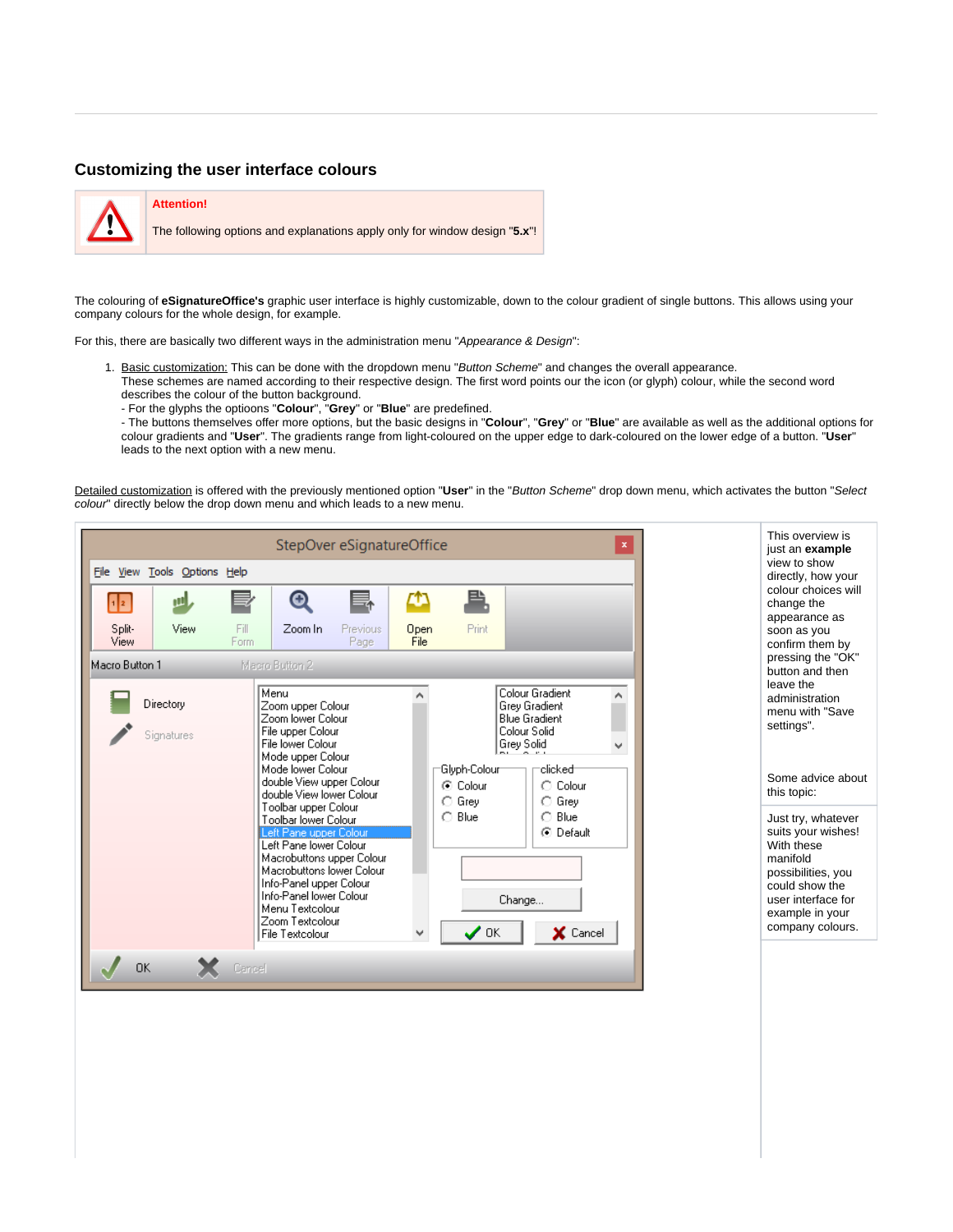#### <span id="page-6-0"></span>**Customizing the user interface colours**



#### **Attention!**

The following options and explanations apply only for window design "**5.x**"!

The colouring of **eSignatureOffice's** graphic user interface is highly customizable, down to the colour gradient of single buttons. This allows using your company colours for the whole design, for example.

For this, there are basically two different ways in the administration menu "Appearance & Design":

- 1. Basic customization: This can be done with the dropdown menu "Button Scheme" and changes the overall appearance. These schemes are named according to their respective design. The first word points our the icon (or glyph) colour, while the second word
	- describes the colour of the button background.
	- For the glyphs the optioons "**Colour**", "**Grey**" or "**Blue**" are predefined.

- The buttons themselves offer more options, but the basic designs in "**Colour**", "**Grey**" or "**Blue**" are available as well as the additional options for colour gradients and "**User**". The gradients range from light-coloured on the upper edge to dark-coloured on the lower edge of a button. "**User**" leads to the next option with a new menu.

Detailed customization is offered with the previously mentioned option "**User**" in the "Button Scheme" drop down menu, which activates the button "Select colour" directly below the drop down menu and which leads to a new menu.

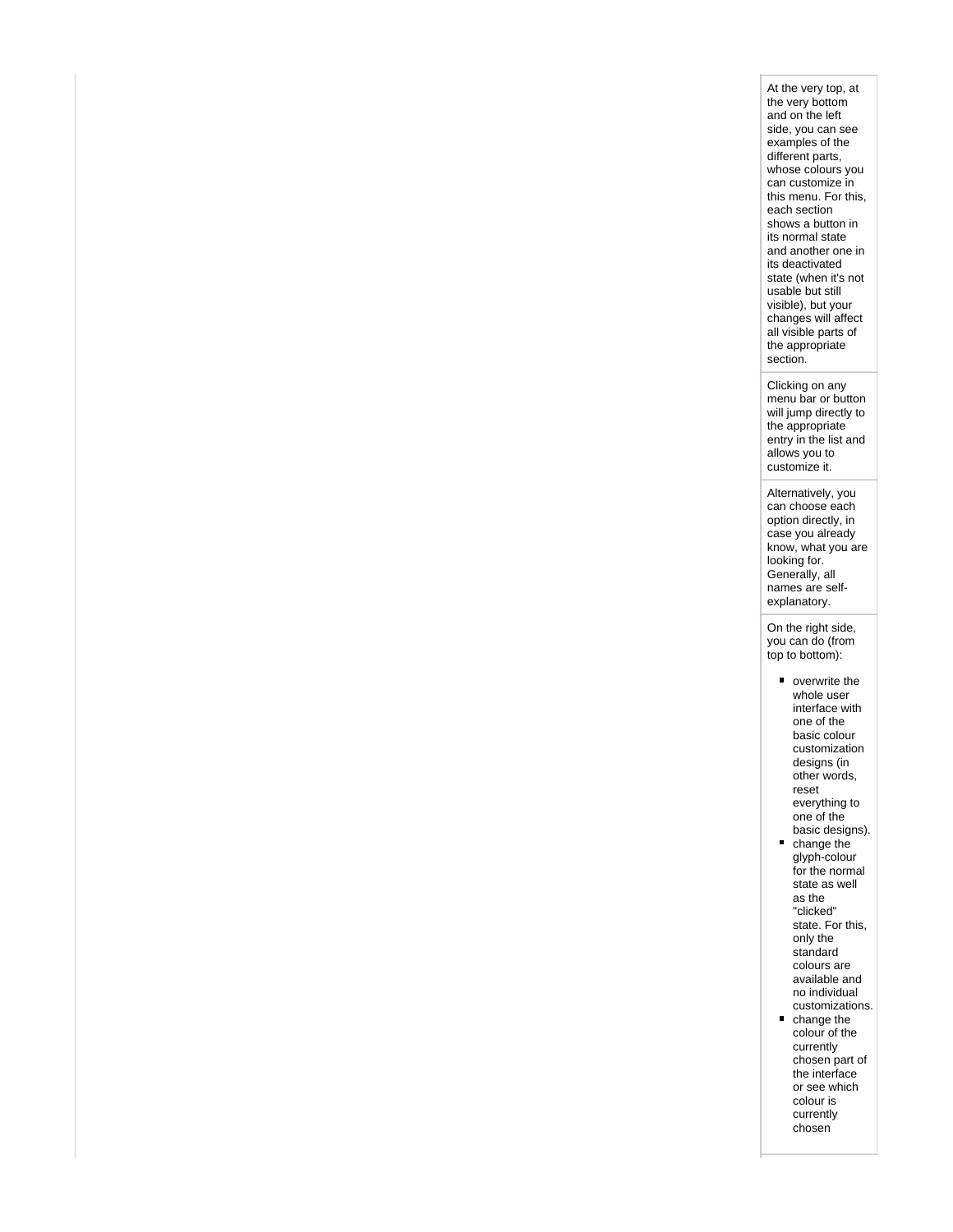At the very top, at the very bottom and on the left side, you can see examples of the different parts, whose colours you can customize in this menu. For this, each section shows a button in its normal state and another one in its deactivated state (when it's not usable but still visible), but your changes will affect all visible parts of the appropriate section.

Clicking on any menu bar or button will jump directly to the appropriate entry in the list and allows you to customize it.

Alternatively, you can choose each option directly, in case you already know, what you are looking for. Generally, all names are selfexplanatory.

On the right side, you can do (from top to bottom):

- overwrite the whole user interface with one of the basic colour customization designs (in other words, reset everything to one of the basic designs).
- change the glyph-colour for the normal state as well as the "clicked" state. For this, only the standard colours are available and no individual customizations.
- change the  $\blacksquare$ colour of the currently chosen part of the interface or see which colour is currently chosen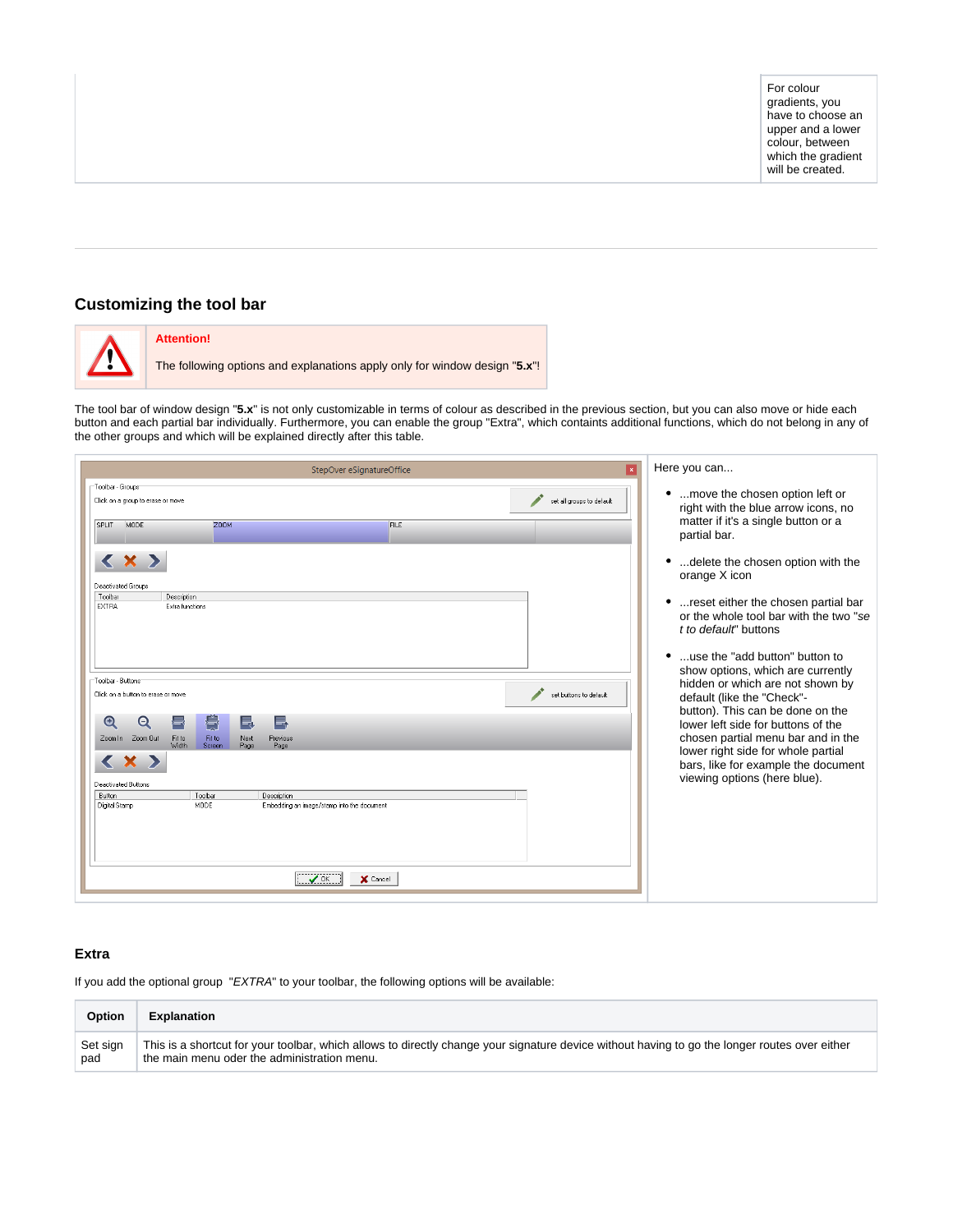### <span id="page-8-0"></span>**Customizing the tool bar**



#### **Attention!**

The following options and explanations apply only for window design "**5.x**"!

The tool bar of window design "5.x" is not only customizable in terms of colour as described in the previous section, but you can also move or hide each button and each partial bar individually. Furthermore, you can enable the group "Extra", which containts additional functions, which do not belong in any of the other groups and which will be explained directly after this table.

| StepOver eSignatureOffice                                                                                                                                                               | Here you can                                                                                                                                                                                                                 |
|-----------------------------------------------------------------------------------------------------------------------------------------------------------------------------------------|------------------------------------------------------------------------------------------------------------------------------------------------------------------------------------------------------------------------------|
| Toolbar - Groups<br>set all groups to default<br>Click on a group to erase or move<br>SPLIT<br>MODE<br><b>Z00M</b><br>FILE                                                              | •  move the chosen option left or<br>right with the blue arrow icons, no<br>matter if it's a single button or a<br>partial bar.                                                                                              |
| < x ><br><b>Deactivated Groups</b><br>Toolbar<br>Description<br><b>EXTRA</b><br>Extra functions                                                                                         | delete the chosen option with the<br>orange X icon<br>reset either the chosen partial bar<br>٠<br>or the whole tool bar with the two "se<br>t to default" buttons                                                            |
| Toolbar - Buttons<br>set buttons to default<br>Click on a button to erase or move<br>$\bullet$<br>壔<br>Θ<br>E.<br>e.<br>Fit to<br>Zoom In Zoom Out<br>Fit to<br>Previous                | use the "add button" button to<br>$\bullet$<br>show options, which are currently<br>hidden or which are not shown by<br>default (like the "Check"-<br>button). This can be done on the<br>lower left side for buttons of the |
| Next<br>Width<br>Screen<br>Page<br>Page<br>Deactivated Buttons<br>Toolbar<br><b>Button</b><br>Description<br><b>MODE</b><br>Digital Stamp<br>Embedding an image/stamp into the document | chosen partial menu bar and in the<br>lower right side for whole partial<br>bars, like for example the document<br>viewing options (here blue).                                                                              |
| X Cancel<br>$\bigvee$ OK                                                                                                                                                                |                                                                                                                                                                                                                              |

#### <span id="page-8-1"></span>**Extra**

If you add the optional group "EXTRA" to your toolbar, the following options will be available:

| <b>Option</b> | Explanation                                                                                                                                   |
|---------------|-----------------------------------------------------------------------------------------------------------------------------------------------|
| Set sign      | This is a shortcut for your toolbar, which allows to directly change your signature device without having to go the longer routes over either |
| pad           | the main menu oder the administration menu.                                                                                                   |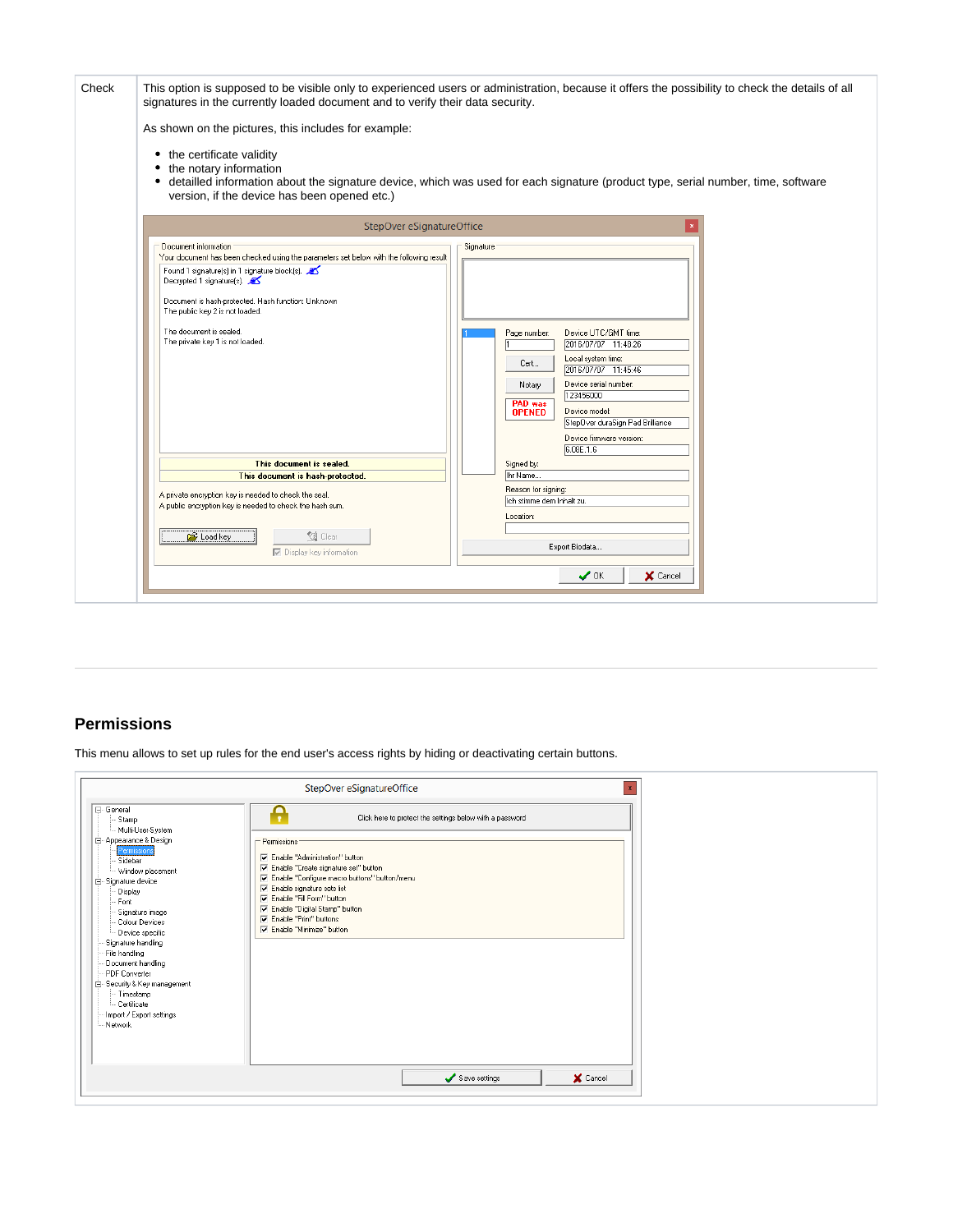| Check | signatures in the currently loaded document and to verify their data security.<br>As shown on the pictures, this includes for example:<br>the certificate validity<br>٠<br>the notary information<br>٠<br>٠<br>version, if the device has been opened etc.)                                                                                           | This option is supposed to be visible only to experienced users or administration, because it offers the possibility to check the details of all<br>detailled information about the signature device, which was used for each signature (product type, serial number, time, software                    |
|-------|-------------------------------------------------------------------------------------------------------------------------------------------------------------------------------------------------------------------------------------------------------------------------------------------------------------------------------------------------------|---------------------------------------------------------------------------------------------------------------------------------------------------------------------------------------------------------------------------------------------------------------------------------------------------------|
|       | StepOver eSignatureOffice                                                                                                                                                                                                                                                                                                                             |                                                                                                                                                                                                                                                                                                         |
|       | Document information<br>Your document has been checked using the parameters set below with the following result<br>Found 1 signature(s) in 1 signature block(s).<br>Decrypted 1 signature(s).<br>Document is hash-protected. Hash function: Unknown<br>The public key 2 is not loaded.<br>The document is sealed.<br>The private key 1 is not loaded. | Signature<br>Device UTC/GMT time:<br>Page number:<br>2016/07/07 11:48:26<br>Local system time:<br>Cert<br>2016/07/07 11:45:46<br>Device serial number:<br>Notary<br>123456000<br>PAD was<br>Device model:<br><b>OPENED</b><br>StepOver duraSign Pad Brilliance<br>Device firmware version:<br>6.08E.1.6 |
|       | This document is sealed.                                                                                                                                                                                                                                                                                                                              | Signed by:                                                                                                                                                                                                                                                                                              |
|       | This document is hash-protected.<br>A private encryption key is needed to check the seal.<br>A public encryption key is needed to check the hash sum.<br><b>Q</b> Clear<br>Load key<br>$\nabla$ Display key information                                                                                                                               | Ihr Name<br>Reason for signing:<br>Ich stimme dem Inhalt zu.<br>Location:<br>Export Biodata                                                                                                                                                                                                             |
|       |                                                                                                                                                                                                                                                                                                                                                       | $\boldsymbol{\mathcal{S}}$ ok<br>X Cancel                                                                                                                                                                                                                                                               |

### <span id="page-9-0"></span>**Permissions**

This menu allows to set up rules for the end user's access rights by hiding or deactivating certain buttons.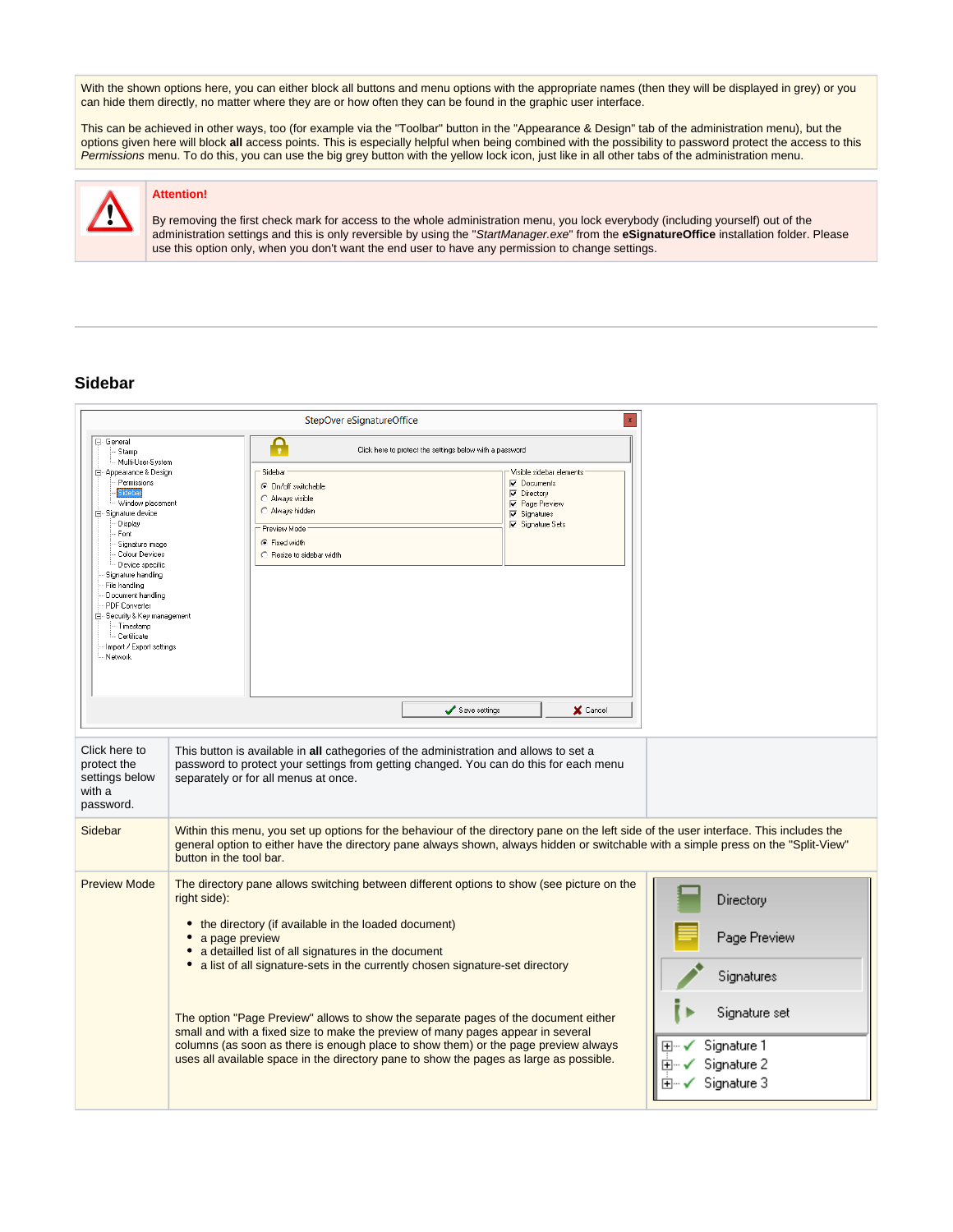With the shown options here, you can either block all buttons and menu options with the appropriate names (then they will be displayed in grey) or you can hide them directly, no matter where they are or how often they can be found in the graphic user interface.

This can be achieved in other ways, too (for example via the "Toolbar" button in the "Appearance & Design" tab of the administration menu), but the options given here will block **all** access points. This is especially helpful when being combined with the possibility to password protect the access to this Permissions menu. To do this, you can use the big grey button with the yellow lock icon, just like in all other tabs of the administration menu.



#### **Attention!**

By removing the first check mark for access to the whole administration menu, you lock everybody (including yourself) out of the administration settings and this is only reversible by using the "StartManager.exe" from the **eSignatureOffice** installation folder. Please use this option only, when you don't want the end user to have any permission to change settings.

#### <span id="page-10-0"></span>**Sidebar**

|                                                                                                                                                                                                                                                                                                                                                                                                         | StepOver eSignatureOffice                                                                                                                                                                                                                                                                                                                                                                                                                                                                                                                                                                                                                                                                 | $\mathbf{x}$                                                                                          |
|---------------------------------------------------------------------------------------------------------------------------------------------------------------------------------------------------------------------------------------------------------------------------------------------------------------------------------------------------------------------------------------------------------|-------------------------------------------------------------------------------------------------------------------------------------------------------------------------------------------------------------------------------------------------------------------------------------------------------------------------------------------------------------------------------------------------------------------------------------------------------------------------------------------------------------------------------------------------------------------------------------------------------------------------------------------------------------------------------------------|-------------------------------------------------------------------------------------------------------|
| 日· General<br>Stamp<br>Multi-User-System<br>白- Appearance & Design<br>Permissions<br>ideba<br>Window placement<br>白 Signature device<br>Display<br>Font<br>Signature image<br>Colour Devices<br>Device specific<br>Signature handling<br>File handling<br>Document handling<br><b>PDF</b> Converter<br>E-Security & Key management<br>- Timestamp<br>Certificate<br>Import / Export settings<br>Network | Ą<br>Click here to protect the settings below with a password<br>Sidebar<br>Visible sidebar elements<br>Documents<br>C On/off switchable<br>$\nabla$ Directory<br>C Always visible<br><b>▽</b> Page Preview<br>C Always hidden<br>$\nabla$ Signatures<br>Signature Sets<br>Preview Mode<br>G Fixed width<br>C Resize to sidebar width                                                                                                                                                                                                                                                                                                                                                     |                                                                                                       |
| Click here to<br>protect the<br>settings below<br>with a<br>password.                                                                                                                                                                                                                                                                                                                                   | Save settings<br>X Cancel<br>This button is available in all cathegories of the administration and allows to set a<br>password to protect your settings from getting changed. You can do this for each menu<br>separately or for all menus at once.                                                                                                                                                                                                                                                                                                                                                                                                                                       |                                                                                                       |
| Sidebar                                                                                                                                                                                                                                                                                                                                                                                                 | Within this menu, you set up options for the behaviour of the directory pane on the left side of the user interface. This includes the<br>general option to either have the directory pane always shown, always hidden or switchable with a simple press on the "Split-View"<br>button in the tool bar.                                                                                                                                                                                                                                                                                                                                                                                   |                                                                                                       |
| <b>Preview Mode</b>                                                                                                                                                                                                                                                                                                                                                                                     | The directory pane allows switching between different options to show (see picture on the<br>right side):<br>• the directory (if available in the loaded document)<br>• a page preview<br>• a detailled list of all signatures in the document<br>• a list of all signature-sets in the currently chosen signature-set directory<br>The option "Page Preview" allows to show the separate pages of the document either<br>small and with a fixed size to make the preview of many pages appear in several<br>columns (as soon as there is enough place to show them) or the page preview always<br>uses all available space in the directory pane to show the pages as large as possible. | Directory<br>Page Preview<br>Signatures<br>Signature set<br>Signature 1<br>Signature 2<br>Signature 3 |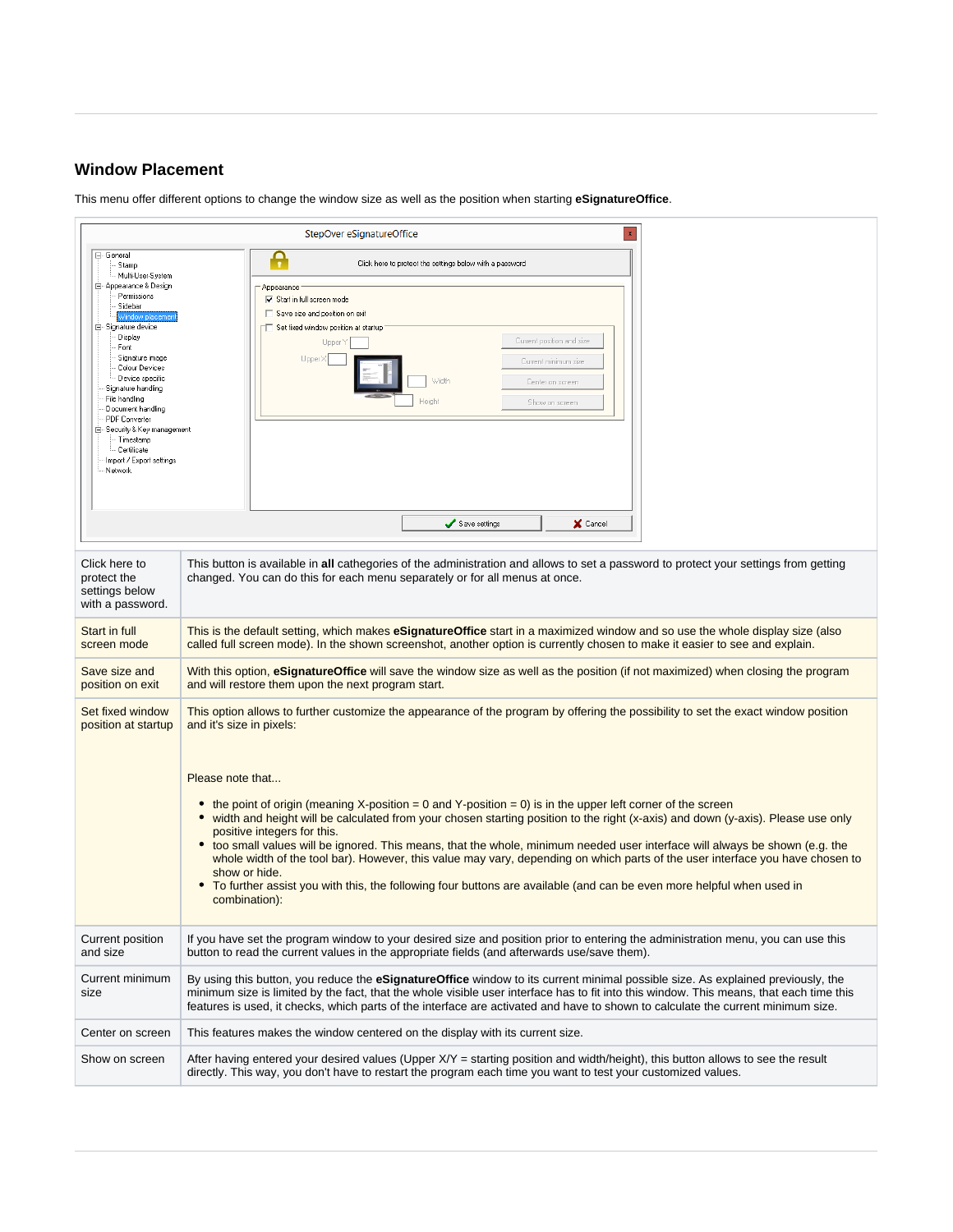## <span id="page-11-0"></span>**Window Placement**

This menu offer different options to change the window size as well as the position when starting **eSignatureOffice**.

|                                                                                                                                                                                                                                                                                                                                                                                                              | StepOver eSignatureOffice                                                                                                                                                                                                                                                                                                                                                                                                                                                                                                                                                                                                                                                                                                                                                                                                                                                                                    |  |  |  |
|--------------------------------------------------------------------------------------------------------------------------------------------------------------------------------------------------------------------------------------------------------------------------------------------------------------------------------------------------------------------------------------------------------------|--------------------------------------------------------------------------------------------------------------------------------------------------------------------------------------------------------------------------------------------------------------------------------------------------------------------------------------------------------------------------------------------------------------------------------------------------------------------------------------------------------------------------------------------------------------------------------------------------------------------------------------------------------------------------------------------------------------------------------------------------------------------------------------------------------------------------------------------------------------------------------------------------------------|--|--|--|
| ⊟- General<br>Stamp<br>Multi-User-System<br>白 Appearance & Design<br>Permissions<br>Sidebar<br>Mindow placer<br>白 Signature device<br>Display<br>Font<br>Signature image<br>Colour Devices<br>Device specific<br>Signature handling<br>File handling<br>Document handling<br><b>PDF</b> Converter<br>- Security & Key management<br>e<br>· Timestamp<br>- Certificate<br>Import / Export settings<br>Network | Ą<br>Click here to protect the settings below with a password<br>Appearance<br>$\nabla$ Start in full screen mode<br>Save size and position on exit<br>Set fixed window position at startup<br>Current position and size<br>Upper Y<br>Upper X<br>Current minimum size<br>Width<br>Center on screen<br>Height<br>Show on screen                                                                                                                                                                                                                                                                                                                                                                                                                                                                                                                                                                              |  |  |  |
|                                                                                                                                                                                                                                                                                                                                                                                                              | Save settings<br>X Cancel                                                                                                                                                                                                                                                                                                                                                                                                                                                                                                                                                                                                                                                                                                                                                                                                                                                                                    |  |  |  |
| Click here to<br>protect the<br>settings below<br>with a password.                                                                                                                                                                                                                                                                                                                                           | This button is available in all cathegories of the administration and allows to set a password to protect your settings from getting<br>changed. You can do this for each menu separately or for all menus at once.                                                                                                                                                                                                                                                                                                                                                                                                                                                                                                                                                                                                                                                                                          |  |  |  |
| Start in full<br>screen mode                                                                                                                                                                                                                                                                                                                                                                                 | This is the default setting, which makes <b>eSignatureOffice</b> start in a maximized window and so use the whole display size (also<br>called full screen mode). In the shown screenshot, another option is currently chosen to make it easier to see and explain.                                                                                                                                                                                                                                                                                                                                                                                                                                                                                                                                                                                                                                          |  |  |  |
| Save size and<br>position on exit                                                                                                                                                                                                                                                                                                                                                                            | With this option, eSignatureOffice will save the window size as well as the position (if not maximized) when closing the program<br>and will restore them upon the next program start.                                                                                                                                                                                                                                                                                                                                                                                                                                                                                                                                                                                                                                                                                                                       |  |  |  |
| Set fixed window<br>position at startup                                                                                                                                                                                                                                                                                                                                                                      | This option allows to further customize the appearance of the program by offering the possibility to set the exact window position<br>and it's size in pixels:<br>Please note that<br>the point of origin (meaning X-position = 0 and Y-position = 0) is in the upper left corner of the screen<br>٠<br>width and height will be calculated from your chosen starting position to the right (x-axis) and down (y-axis). Please use only<br>$\bullet$<br>positive integers for this.<br>too small values will be ignored. This means, that the whole, minimum needed user interface will always be shown (e.g. the<br>whole width of the tool bar). However, this value may vary, depending on which parts of the user interface you have chosen to<br>show or hide.<br>To further assist you with this, the following four buttons are available (and can be even more helpful when used in<br>combination): |  |  |  |
| <b>Current position</b><br>and size                                                                                                                                                                                                                                                                                                                                                                          | If you have set the program window to your desired size and position prior to entering the administration menu, you can use this<br>button to read the current values in the appropriate fields (and afterwards use/save them).                                                                                                                                                                                                                                                                                                                                                                                                                                                                                                                                                                                                                                                                              |  |  |  |
| Current minimum<br>size                                                                                                                                                                                                                                                                                                                                                                                      | By using this button, you reduce the <b>eSignatureOffice</b> window to its current minimal possible size. As explained previously, the<br>minimum size is limited by the fact, that the whole visible user interface has to fit into this window. This means, that each time this<br>features is used, it checks, which parts of the interface are activated and have to shown to calculate the current minimum size.                                                                                                                                                                                                                                                                                                                                                                                                                                                                                        |  |  |  |
| Center on screen                                                                                                                                                                                                                                                                                                                                                                                             | This features makes the window centered on the display with its current size.                                                                                                                                                                                                                                                                                                                                                                                                                                                                                                                                                                                                                                                                                                                                                                                                                                |  |  |  |
| Show on screen                                                                                                                                                                                                                                                                                                                                                                                               | After having entered your desired values (Upper $X/Y$ = starting position and width/height), this button allows to see the result<br>directly. This way, you don't have to restart the program each time you want to test your customized values.                                                                                                                                                                                                                                                                                                                                                                                                                                                                                                                                                                                                                                                            |  |  |  |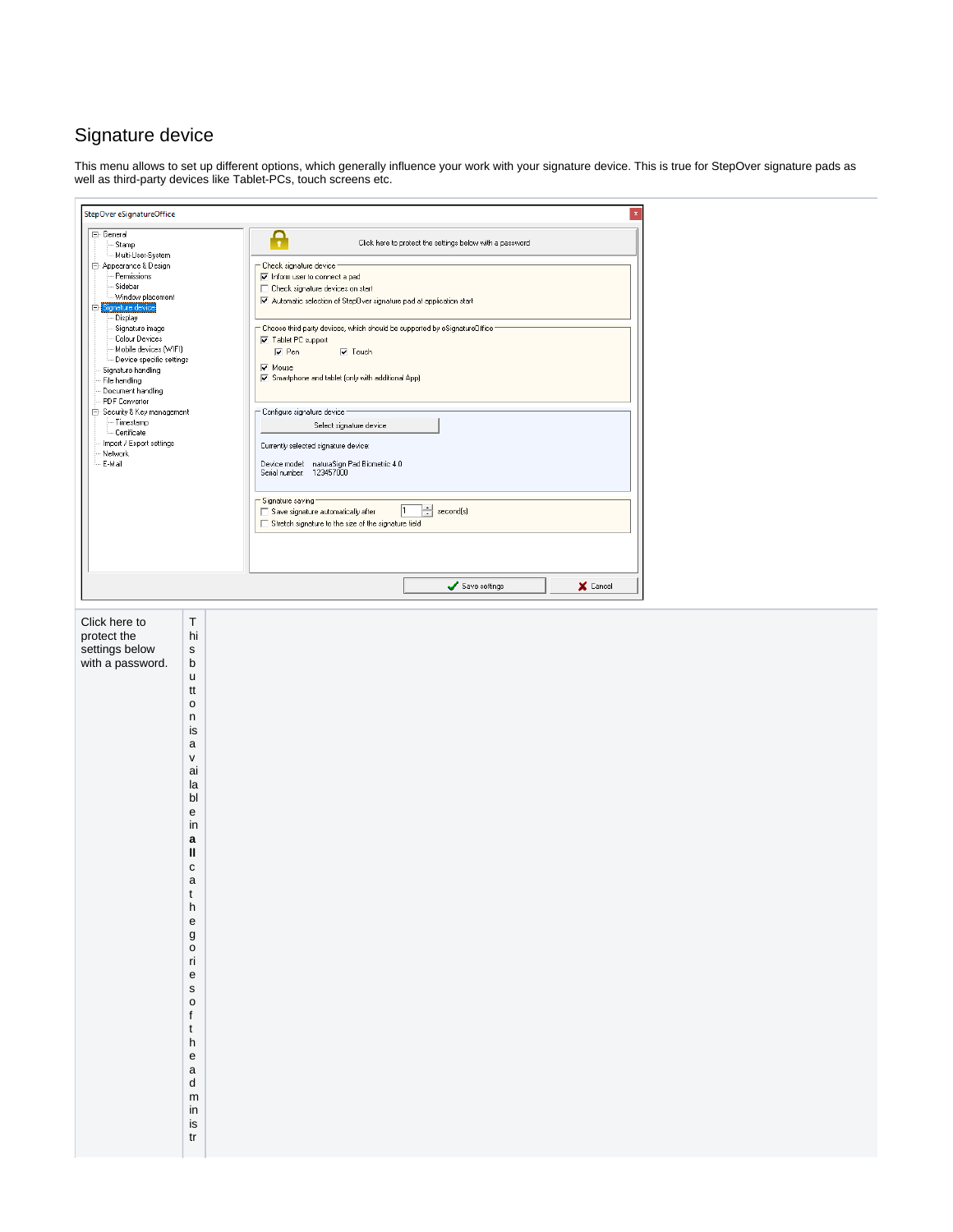# <span id="page-12-0"></span>Signature device

This menu allows to set up different options, which generally influence your work with your signature device. This is true for StepOver signature pads as well as third-party devices like Tablet-PCs, touch screens etc.

| StepOver eSignatureOffice                                                                                                                                                                                                                                                                                                                                                                                                                   |                                                                                                                                                                                                                                                                                                                                                 | $\mathbf x$                                                                                                                                                                                                                                                                                                                                                                                                                                                                                                                                                                                                                                                                                                                                                                                                                                                |
|---------------------------------------------------------------------------------------------------------------------------------------------------------------------------------------------------------------------------------------------------------------------------------------------------------------------------------------------------------------------------------------------------------------------------------------------|-------------------------------------------------------------------------------------------------------------------------------------------------------------------------------------------------------------------------------------------------------------------------------------------------------------------------------------------------|------------------------------------------------------------------------------------------------------------------------------------------------------------------------------------------------------------------------------------------------------------------------------------------------------------------------------------------------------------------------------------------------------------------------------------------------------------------------------------------------------------------------------------------------------------------------------------------------------------------------------------------------------------------------------------------------------------------------------------------------------------------------------------------------------------------------------------------------------------|
| ⊟- General<br>Stamp<br>- Multi-User-System<br>白 Appearance & Design<br>Permissions<br>Sidebar<br>Window placement<br>Signature device<br>Display<br>Signature image<br>Colour Devices<br>Mobile devices (WIFI)<br>Device specific settings<br>Signature handling<br>File handling<br>Document handling<br>PDF Converter<br>□ Security & Key management<br>--- Timestamp<br>- Certificate<br>Import / Export settings<br>Network<br>· E-Mail |                                                                                                                                                                                                                                                                                                                                                 | Ą<br>Click here to protect the settings below with a password<br>- Check signature device<br>M Inform user to connect a pad<br>□ Check signature devices on start<br>Automatic selection of StepDver signature pad at application start<br>$\hspace{0.1mm}$ Choose third-party devices, which should be supported by eSignatureOffice $\cdot$<br>Tablet PC support<br>$\nabla$ Pen<br>$\nabla$ Touch<br>$\overline{\blacktriangledown}$ Mouse<br>Smartphone and tablet (only with additional App)<br>- Configure signature device<br>Select signature device<br>Currently selected signature device:<br>Device model: naturaSign Pad Biometric 4.0<br>Serial number: 123457000<br>- Signature saving<br>$\sqrt{1}$<br>$\left  \frac{1}{n} \right $ second(s)<br>Save signature automatically after<br>Stretch signature to the size of the signature field |
|                                                                                                                                                                                                                                                                                                                                                                                                                                             |                                                                                                                                                                                                                                                                                                                                                 | Save settings<br>X Cancel                                                                                                                                                                                                                                                                                                                                                                                                                                                                                                                                                                                                                                                                                                                                                                                                                                  |
| Click here to<br>protect the<br>settings below<br>with a password.                                                                                                                                                                                                                                                                                                                                                                          | $\sf T$<br>hi<br>$\mathbf s$<br>b<br>u<br>tt<br>$\mathsf{o}\xspace$<br>n<br>is<br>a<br>V<br>ai<br>la<br>bl<br>e<br>in<br>a<br>Ш<br>с<br>$\mathsf{a}$<br>t<br>$\mathsf{h}%$<br>${\bf e}$<br>g<br>$\mathsf{o}$<br>ri<br>e<br>$\mathsf{s}$<br>$\mathsf{o}$<br>f<br>$\mathsf{t}$<br>h<br>${\bf e}$<br>a<br>d<br>${\sf m}$<br>in<br>is<br>${\sf tr}$ |                                                                                                                                                                                                                                                                                                                                                                                                                                                                                                                                                                                                                                                                                                                                                                                                                                                            |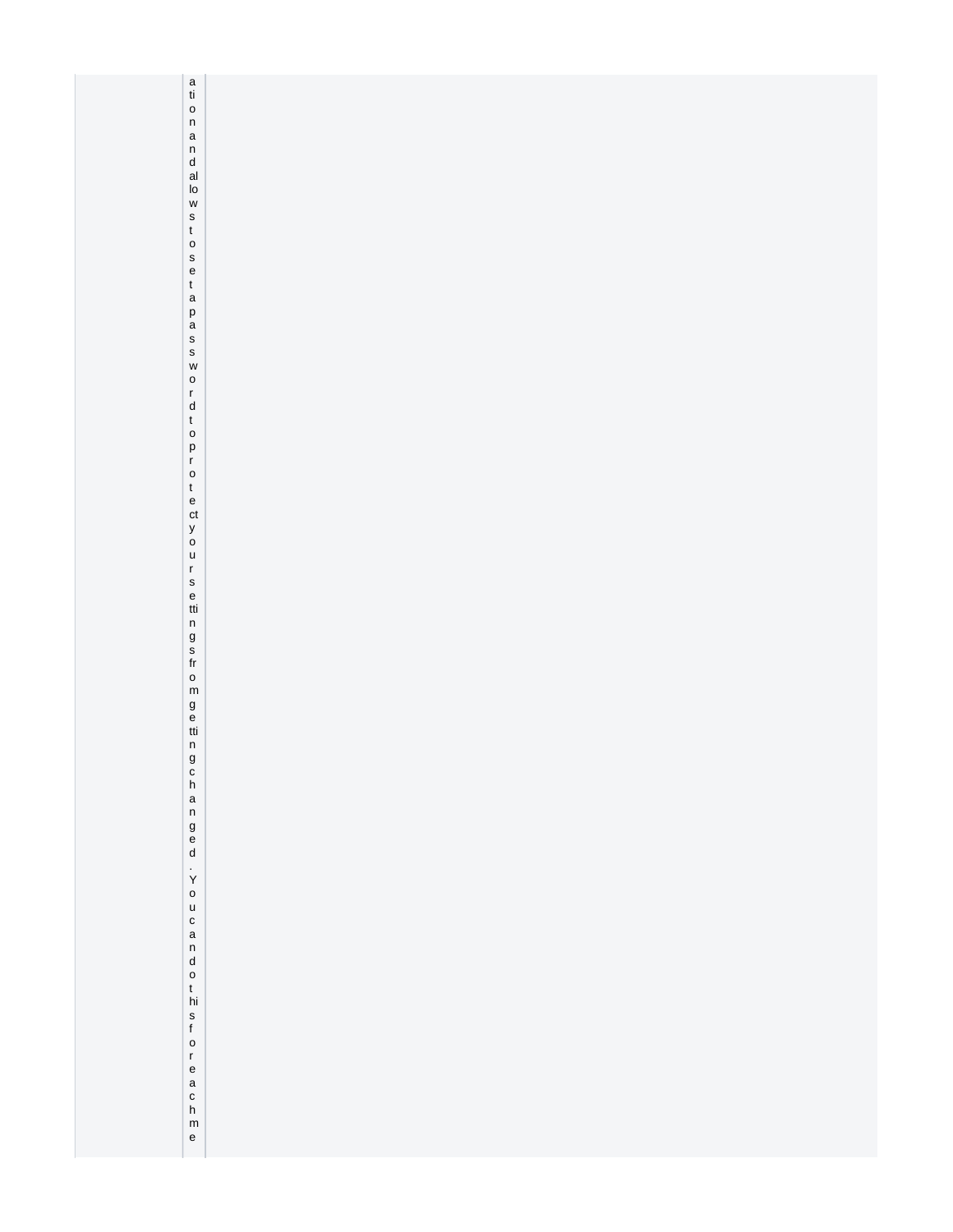| a tion a n d al o w s t o s e t a p a s s w o r d t o p r o t e ct y o u r s e tti n g s fr o m g e tti n g c |  |
|---------------------------------------------------------------------------------------------------------------|--|
|                                                                                                               |  |
|                                                                                                               |  |
|                                                                                                               |  |
|                                                                                                               |  |
|                                                                                                               |  |
|                                                                                                               |  |
|                                                                                                               |  |
| $h$<br>a n                                                                                                    |  |
|                                                                                                               |  |
| $\begin{matrix} 9 \\ 6 \\ 0 \end{matrix}$                                                                     |  |
|                                                                                                               |  |
|                                                                                                               |  |
|                                                                                                               |  |
|                                                                                                               |  |
|                                                                                                               |  |
|                                                                                                               |  |
|                                                                                                               |  |
|                                                                                                               |  |
|                                                                                                               |  |
| . You can dot his for each me                                                                                 |  |
|                                                                                                               |  |
|                                                                                                               |  |
|                                                                                                               |  |
|                                                                                                               |  |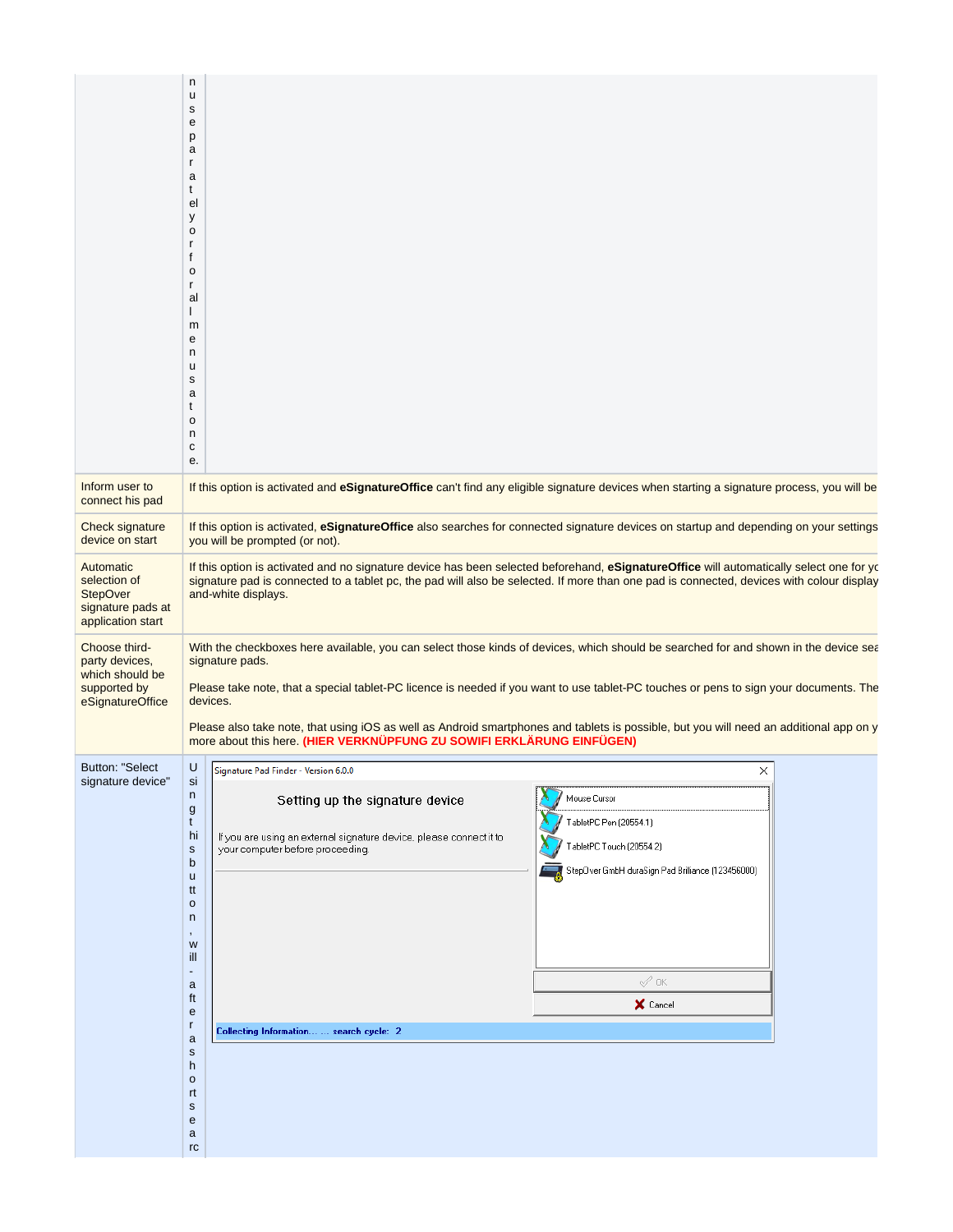| Inform user to<br>connect his pad<br>Check signature                                   | $\mathsf{n}$<br>u<br>s<br>е<br>p<br>a<br>r<br>a<br>t<br>el<br>у<br>$\mathsf{o}\,$<br>r<br>f<br>$\mathsf{o}\,$<br>r<br>al<br>L<br>m<br>е<br>n<br>u<br>s<br>a<br>t<br>$\mathsf{o}\,$<br>n<br>с<br>e.<br>If this option is activated and eSignatureOffice can't find any eligible signature devices when starting a signature process, you will be<br>If this option is activated, eSignatureOffice also searches for connected signature devices on startup and depending on your settings                                                                                                                                                                              |  |
|----------------------------------------------------------------------------------------|-----------------------------------------------------------------------------------------------------------------------------------------------------------------------------------------------------------------------------------------------------------------------------------------------------------------------------------------------------------------------------------------------------------------------------------------------------------------------------------------------------------------------------------------------------------------------------------------------------------------------------------------------------------------------|--|
| device on start                                                                        | you will be prompted (or not).                                                                                                                                                                                                                                                                                                                                                                                                                                                                                                                                                                                                                                        |  |
| Automatic<br>selection of<br><b>StepOver</b><br>signature pads at<br>application start | If this option is activated and no signature device has been selected beforehand, eSignatureOffice will automatically select one for yo<br>signature pad is connected to a tablet pc, the pad will also be selected. If more than one pad is connected, devices with colour display<br>and-white displays.                                                                                                                                                                                                                                                                                                                                                            |  |
| Choose third-<br>party devices,<br>which should be<br>supported by<br>eSignatureOffice | With the checkboxes here available, you can select those kinds of devices, which should be searched for and shown in the device sea<br>signature pads.<br>Please take note, that a special tablet-PC licence is needed if you want to use tablet-PC touches or pens to sign your documents. The<br>devices.<br>Please also take note, that using iOS as well as Android smartphones and tablets is possible, but you will need an additional app on y<br>more about this here. (HIER VERKNÜPFUNG ZU SOWIFI ERKLÄRUNG EINFÜGEN)                                                                                                                                        |  |
| <b>Button: "Select</b><br>signature device"                                            | IГ.<br>$\cup$<br>Signature Pad Finder - Version 6.0.0<br>×<br>si<br>n<br>Mouse Cursor<br>Setting up the signature device<br>g<br>TabletPC Pen (20554.1)<br>t<br>hi<br>If you are using an external signature device, please connect it to<br>TabletPC Touch (20554.2)<br>your computer before proceeding.<br>$\mathsf{s}$<br>b<br>StepOver GmbH duraSign Pad Brilliance (123456000)<br>u<br>tt<br>$\mathsf{o}\xspace$<br>n<br>W<br>ill<br>-<br>$\mathcal{Q}$ OK<br>a<br>ft<br>X Cancel<br>e<br>r<br>Collecting Information  search cycle: 2<br>$\mathsf{a}$<br>${\sf s}$<br>h<br>$\mathsf{o}\xspace$<br>rt<br>$\mathbf s$<br>${\bf e}$<br>a<br>$\mathop{\mathsf{rc}}$ |  |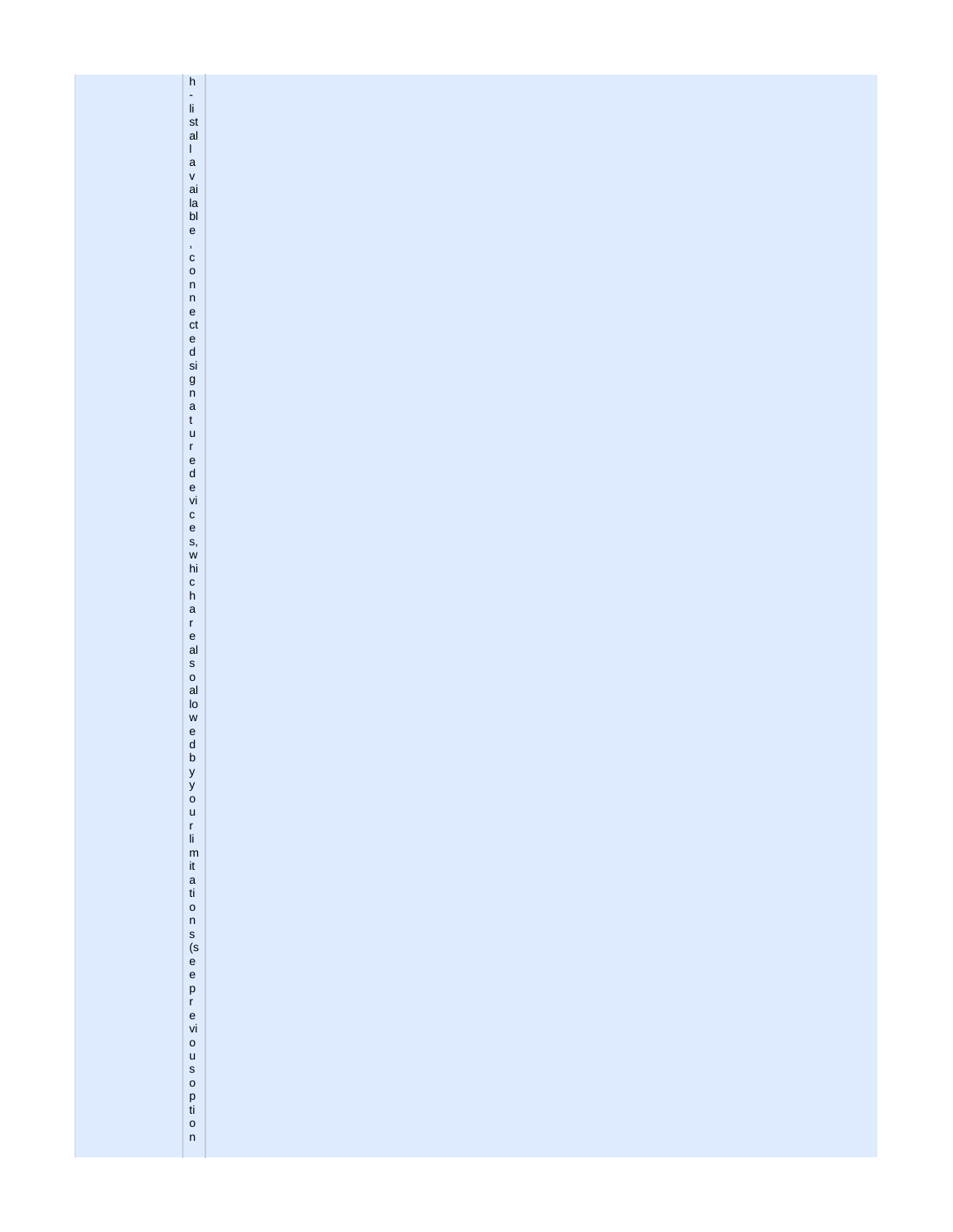| h - li st al                                    |  |
|-------------------------------------------------|--|
| $\mathbf I$                                     |  |
|                                                 |  |
| a<br>v<br>ai<br>la<br>bl                        |  |
|                                                 |  |
|                                                 |  |
|                                                 |  |
| $\mathsf{e}% _{0}\left( \mathsf{e}_{0}\right)$  |  |
|                                                 |  |
| $\frac{1}{c}$                                   |  |
| $\circ$                                         |  |
| $\sf n$                                         |  |
|                                                 |  |
|                                                 |  |
|                                                 |  |
|                                                 |  |
|                                                 |  |
|                                                 |  |
| nected<br>signa                                 |  |
|                                                 |  |
| $\mathsf{t}$                                    |  |
| $\mathsf{u}$                                    |  |
|                                                 |  |
|                                                 |  |
| r<br>e<br>d<br>e<br>vi                          |  |
|                                                 |  |
|                                                 |  |
|                                                 |  |
|                                                 |  |
|                                                 |  |
|                                                 |  |
| ces, which are                                  |  |
|                                                 |  |
|                                                 |  |
|                                                 |  |
|                                                 |  |
| $\frac{e}{al}$                                  |  |
|                                                 |  |
|                                                 |  |
|                                                 |  |
| $\begin{array}{c} 8 \\ 0 \\ 1 \\ 0 \end{array}$ |  |
| $\mathsf{w}$                                    |  |
|                                                 |  |
| $\begin{matrix} e \\ d \\ b \end{matrix}$       |  |
|                                                 |  |
|                                                 |  |
| y<br>9<br>0<br>u                                |  |
|                                                 |  |
|                                                 |  |
|                                                 |  |
|                                                 |  |
|                                                 |  |
|                                                 |  |
| r li m it a ti o n s (s e e p r e vi            |  |
|                                                 |  |
|                                                 |  |
|                                                 |  |
|                                                 |  |
|                                                 |  |
|                                                 |  |
|                                                 |  |
|                                                 |  |
|                                                 |  |
|                                                 |  |
| $\circ$                                         |  |
| usoption                                        |  |
|                                                 |  |
|                                                 |  |
|                                                 |  |
|                                                 |  |
|                                                 |  |
|                                                 |  |
|                                                 |  |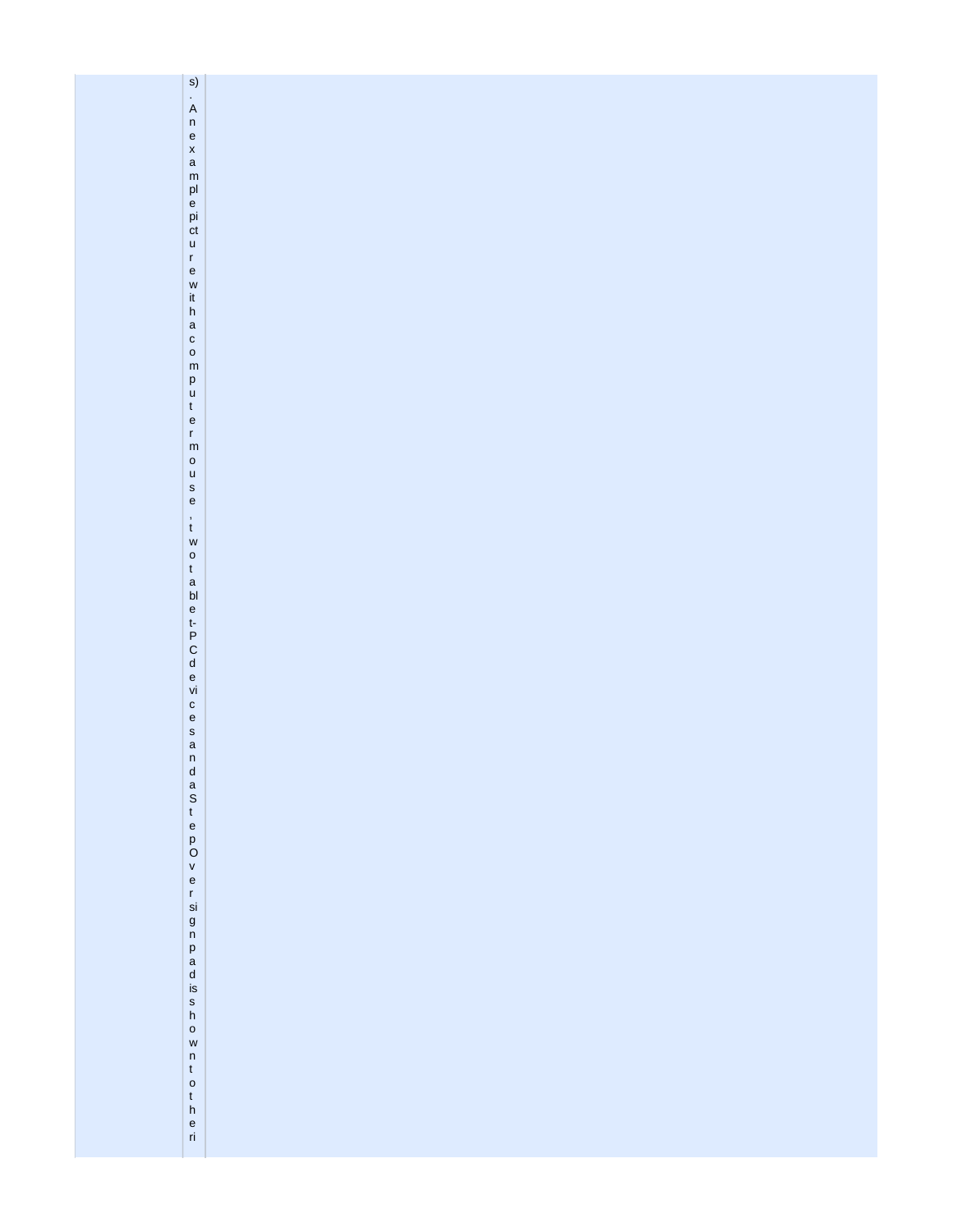| $\mathsf{s})$                                                         |  |
|-----------------------------------------------------------------------|--|
| $\overline{A}$                                                        |  |
| $\frac{ }{e}$                                                         |  |
|                                                                       |  |
|                                                                       |  |
| x<br>a m<br>pl<br>e pi ct                                             |  |
|                                                                       |  |
|                                                                       |  |
| $\mathsf{u}%$                                                         |  |
| $\mathsf{r}\,$                                                        |  |
| $\mathsf{e}% _{0}\left( \mathsf{e}_{0}\right)$                        |  |
| $\mathsf{w}$                                                          |  |
| $\frac{\text{i} \mathsf{t}}{\mathsf{h}}$                              |  |
| $\begin{array}{c} \mathsf{a} \\ \mathsf{c} \\ \mathsf{o} \end{array}$ |  |
|                                                                       |  |
| ${\sf m}$                                                             |  |
| $_{\rm u}^{\rm p}$                                                    |  |
| $\mathfrak t$                                                         |  |
| $\frac{e}{r}$                                                         |  |
|                                                                       |  |
| $\mathsf{o}$                                                          |  |
| $\mathsf{u}%$                                                         |  |
| s<br>e                                                                |  |
| $\overset{\text{\tiny{!}}}{\text{\tiny{t}}}$                          |  |
| $\mathsf{w}$                                                          |  |
| otablet-PCdevi                                                        |  |
|                                                                       |  |
|                                                                       |  |
|                                                                       |  |
|                                                                       |  |
|                                                                       |  |
|                                                                       |  |
|                                                                       |  |
|                                                                       |  |
|                                                                       |  |
|                                                                       |  |
|                                                                       |  |
|                                                                       |  |
|                                                                       |  |
| cesandaStepOve                                                        |  |
|                                                                       |  |
|                                                                       |  |
| r<br>si                                                               |  |
|                                                                       |  |
|                                                                       |  |
|                                                                       |  |
|                                                                       |  |
|                                                                       |  |
| g<br>n<br>p<br>a<br>d<br>is<br>h                                      |  |
| $\circ$                                                               |  |
| $\mathsf{w}$<br>$\mathsf n$                                           |  |
| $\mathfrak t$                                                         |  |
| $\circ$                                                               |  |
|                                                                       |  |
| $\frac{t}{n}$<br>$\frac{e}{n}$                                        |  |
|                                                                       |  |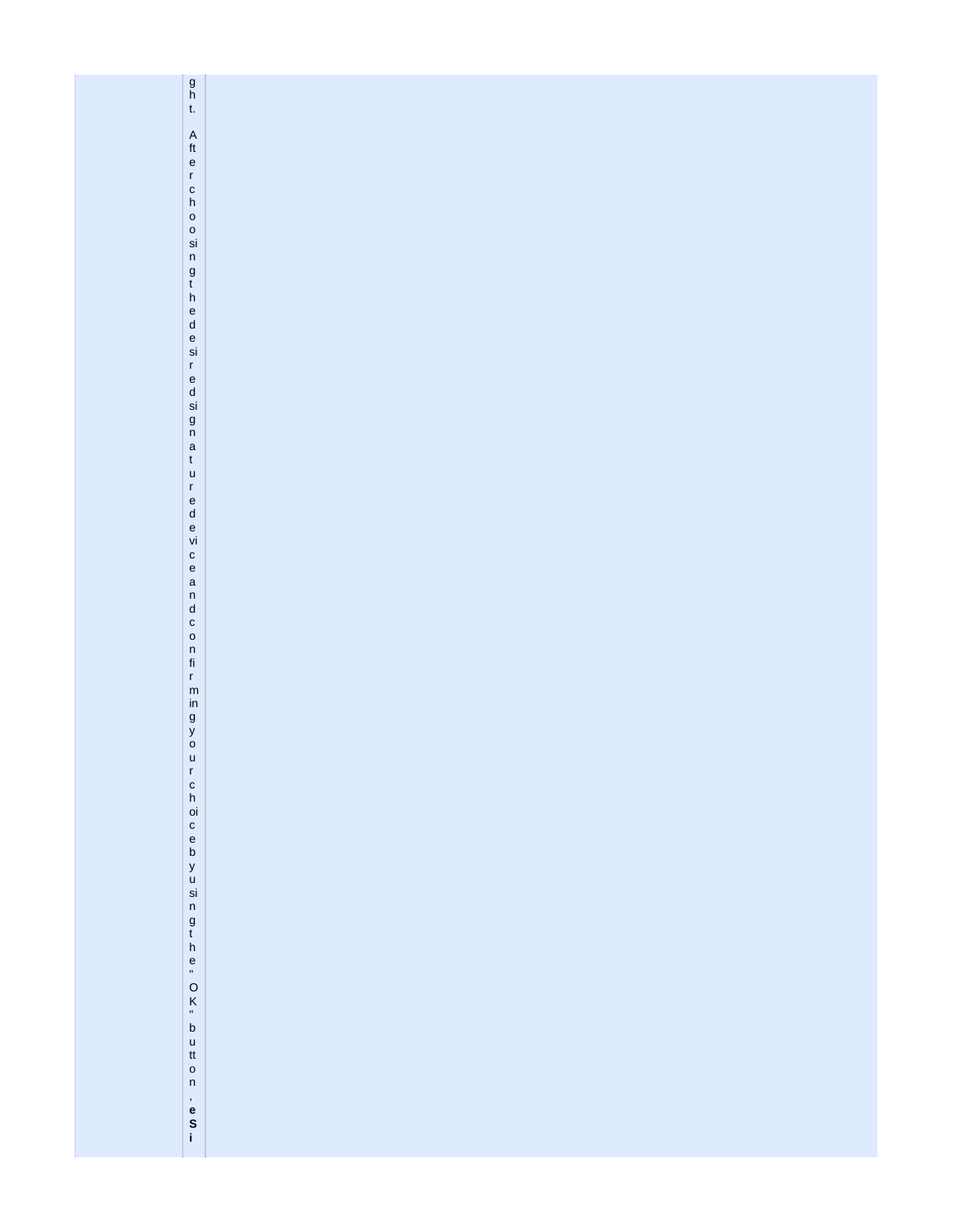| $\begin{matrix} g \\ h \\ t \end{matrix}$                                                                                                  |  |
|--------------------------------------------------------------------------------------------------------------------------------------------|--|
|                                                                                                                                            |  |
|                                                                                                                                            |  |
|                                                                                                                                            |  |
|                                                                                                                                            |  |
|                                                                                                                                            |  |
|                                                                                                                                            |  |
|                                                                                                                                            |  |
|                                                                                                                                            |  |
|                                                                                                                                            |  |
|                                                                                                                                            |  |
|                                                                                                                                            |  |
|                                                                                                                                            |  |
|                                                                                                                                            |  |
|                                                                                                                                            |  |
|                                                                                                                                            |  |
|                                                                                                                                            |  |
|                                                                                                                                            |  |
|                                                                                                                                            |  |
|                                                                                                                                            |  |
|                                                                                                                                            |  |
|                                                                                                                                            |  |
|                                                                                                                                            |  |
|                                                                                                                                            |  |
| A ft e r c h o o sin g t h e d e si r e d si g n a t u r e d e vi c e a n d c o n fi r m in g y o u r c h oi c e b y u si n g t h e "O K " |  |
|                                                                                                                                            |  |
|                                                                                                                                            |  |
|                                                                                                                                            |  |
|                                                                                                                                            |  |
|                                                                                                                                            |  |
|                                                                                                                                            |  |
|                                                                                                                                            |  |
|                                                                                                                                            |  |
|                                                                                                                                            |  |
|                                                                                                                                            |  |
|                                                                                                                                            |  |
|                                                                                                                                            |  |
|                                                                                                                                            |  |
|                                                                                                                                            |  |
|                                                                                                                                            |  |
|                                                                                                                                            |  |
|                                                                                                                                            |  |
| b<br>u<br>tt                                                                                                                               |  |
|                                                                                                                                            |  |
| $\frac{0}{n}$                                                                                                                              |  |
|                                                                                                                                            |  |
| ,<br>e<br>S<br>i                                                                                                                           |  |
|                                                                                                                                            |  |
|                                                                                                                                            |  |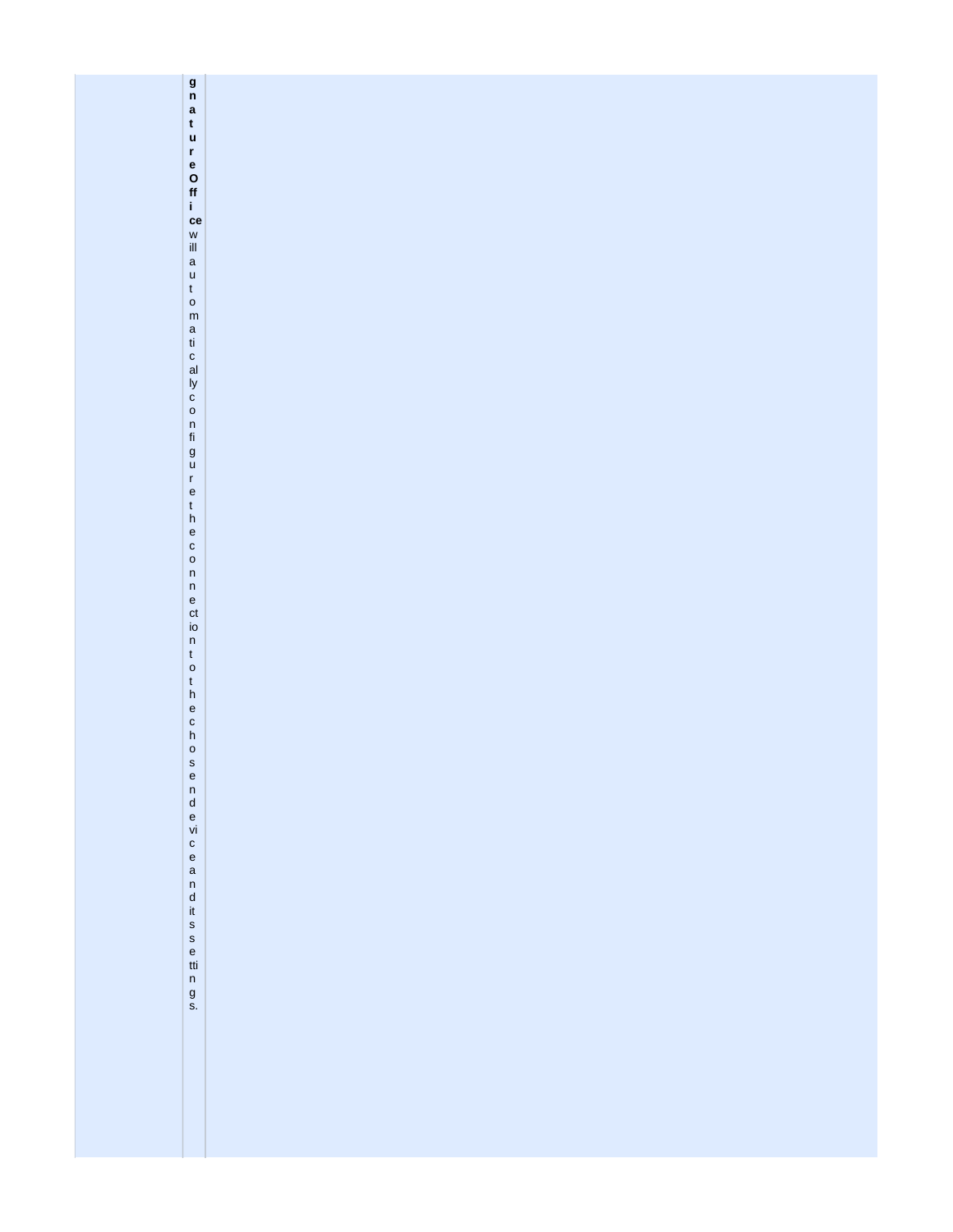g n a t u r e O ff i de w ill a u t o m a ti c al ly c o n fi g u r e t h e c o n n e ct io n t o t h e c h o s e n d e vi c e a n d it s s e tti n g s.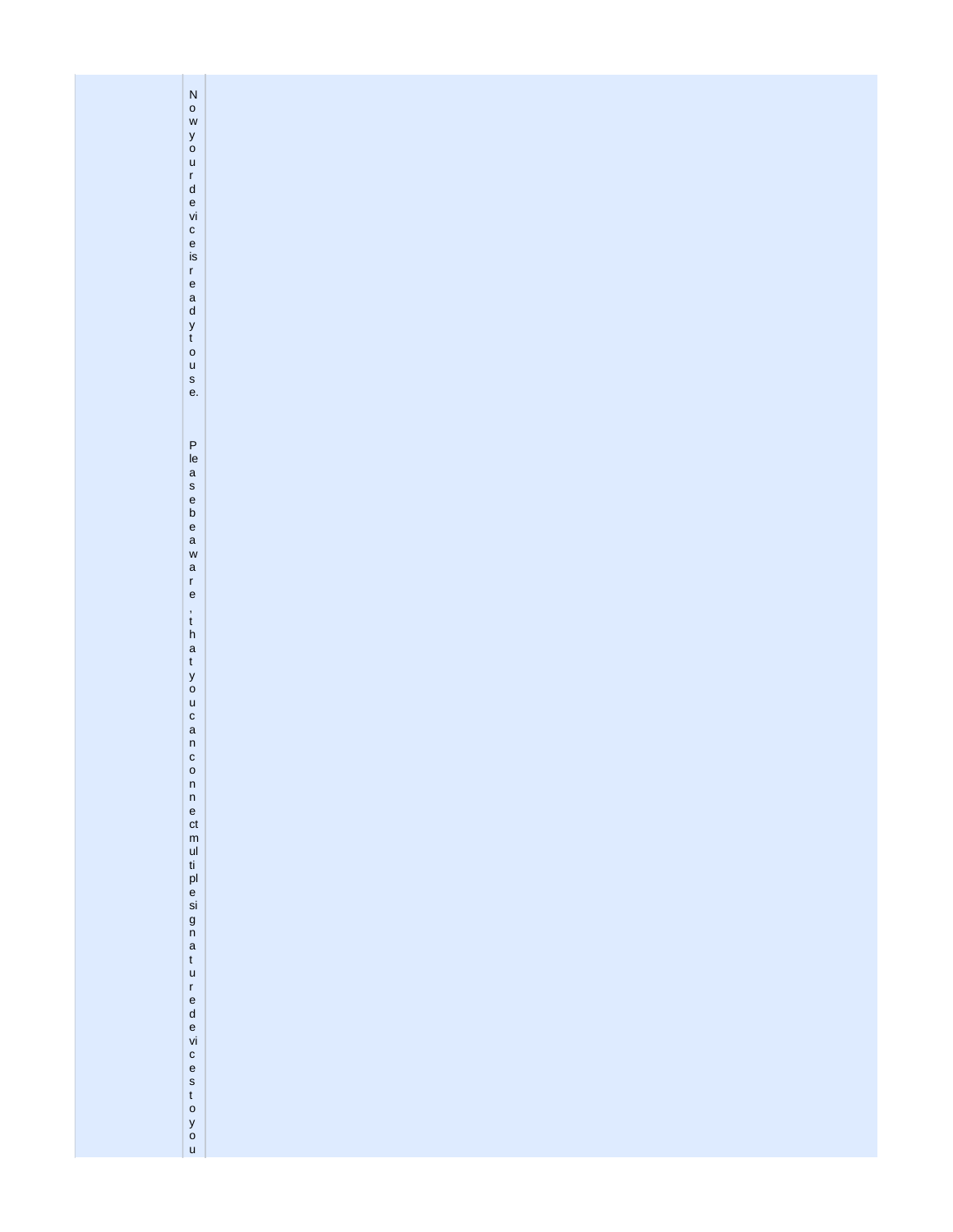| Now your device is ready touse.                                                                                                                                                                                                                                                                             |  |
|-------------------------------------------------------------------------------------------------------------------------------------------------------------------------------------------------------------------------------------------------------------------------------------------------------------|--|
|                                                                                                                                                                                                                                                                                                             |  |
| Pleasebeaware<br>, t h a t y o u c a n c o<br>$\begin{array}{c} n \\ n \\ e \end{array}$<br>ct<br>m<br>u<br>t<br>u<br>e<br>si<br>$\begin{array}{c} 9 \\ n \\ a \\ t \end{array}$<br>$\mathsf{u}$<br>r<br>e<br>d<br>e<br>i<br>$c$<br>$e$<br>$s$<br>$t$<br>$o$<br>$\begin{bmatrix} 9 \\ 0 \\ 0 \end{bmatrix}$ |  |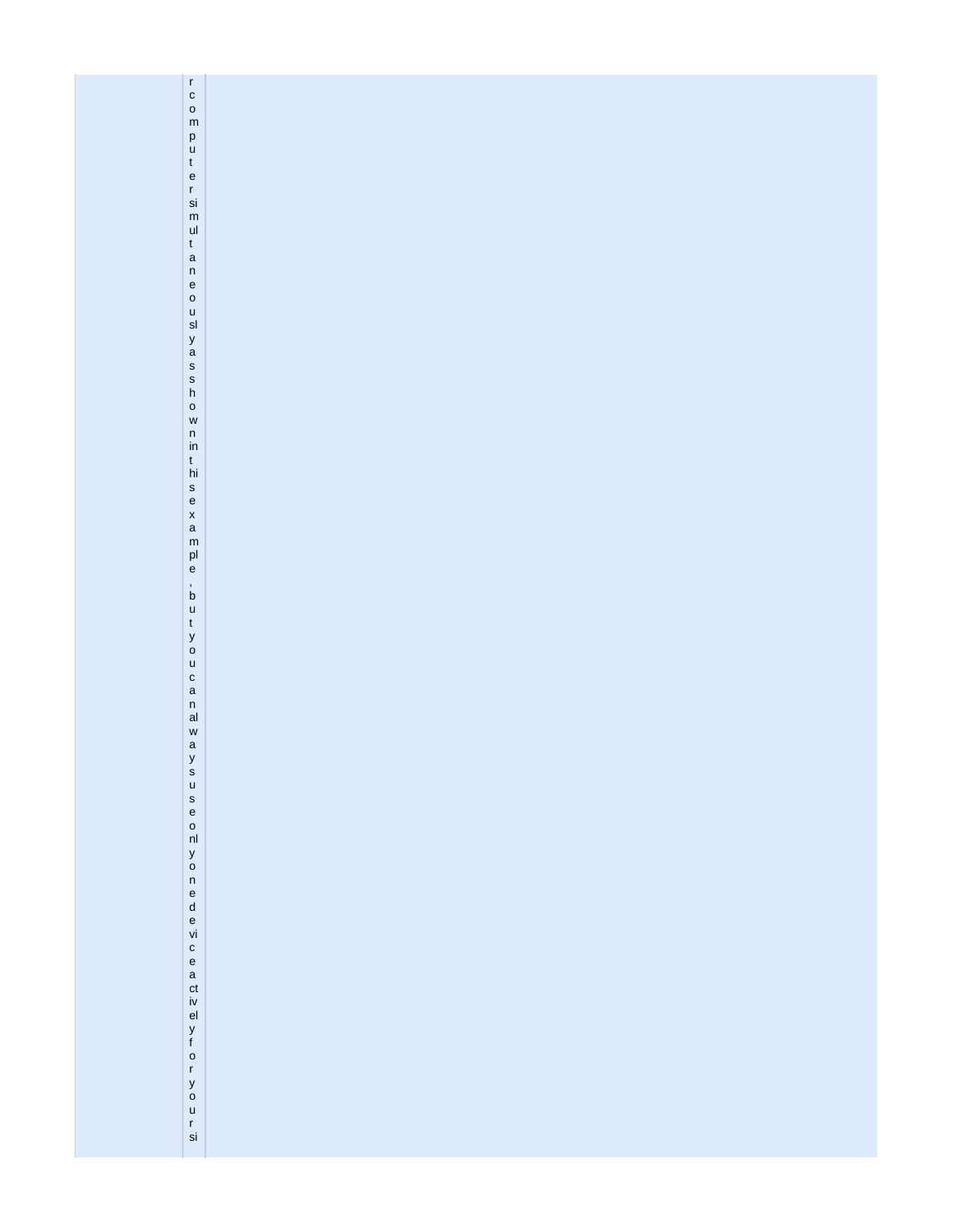| rcomputersim                                                                                                                                    |  |
|-------------------------------------------------------------------------------------------------------------------------------------------------|--|
|                                                                                                                                                 |  |
|                                                                                                                                                 |  |
|                                                                                                                                                 |  |
|                                                                                                                                                 |  |
|                                                                                                                                                 |  |
|                                                                                                                                                 |  |
|                                                                                                                                                 |  |
|                                                                                                                                                 |  |
|                                                                                                                                                 |  |
|                                                                                                                                                 |  |
|                                                                                                                                                 |  |
|                                                                                                                                                 |  |
|                                                                                                                                                 |  |
|                                                                                                                                                 |  |
|                                                                                                                                                 |  |
|                                                                                                                                                 |  |
|                                                                                                                                                 |  |
|                                                                                                                                                 |  |
|                                                                                                                                                 |  |
|                                                                                                                                                 |  |
|                                                                                                                                                 |  |
|                                                                                                                                                 |  |
|                                                                                                                                                 |  |
|                                                                                                                                                 |  |
|                                                                                                                                                 |  |
|                                                                                                                                                 |  |
|                                                                                                                                                 |  |
|                                                                                                                                                 |  |
|                                                                                                                                                 |  |
|                                                                                                                                                 |  |
|                                                                                                                                                 |  |
|                                                                                                                                                 |  |
|                                                                                                                                                 |  |
|                                                                                                                                                 |  |
| ultan e o u si y a s s h o w n in t hi s e x a m pl e ,b u t y o u c a n al w a y s u s e o nl y o n e d e vi c e a ct iv el y f o r y o u r si |  |
|                                                                                                                                                 |  |
|                                                                                                                                                 |  |
|                                                                                                                                                 |  |
|                                                                                                                                                 |  |
|                                                                                                                                                 |  |
|                                                                                                                                                 |  |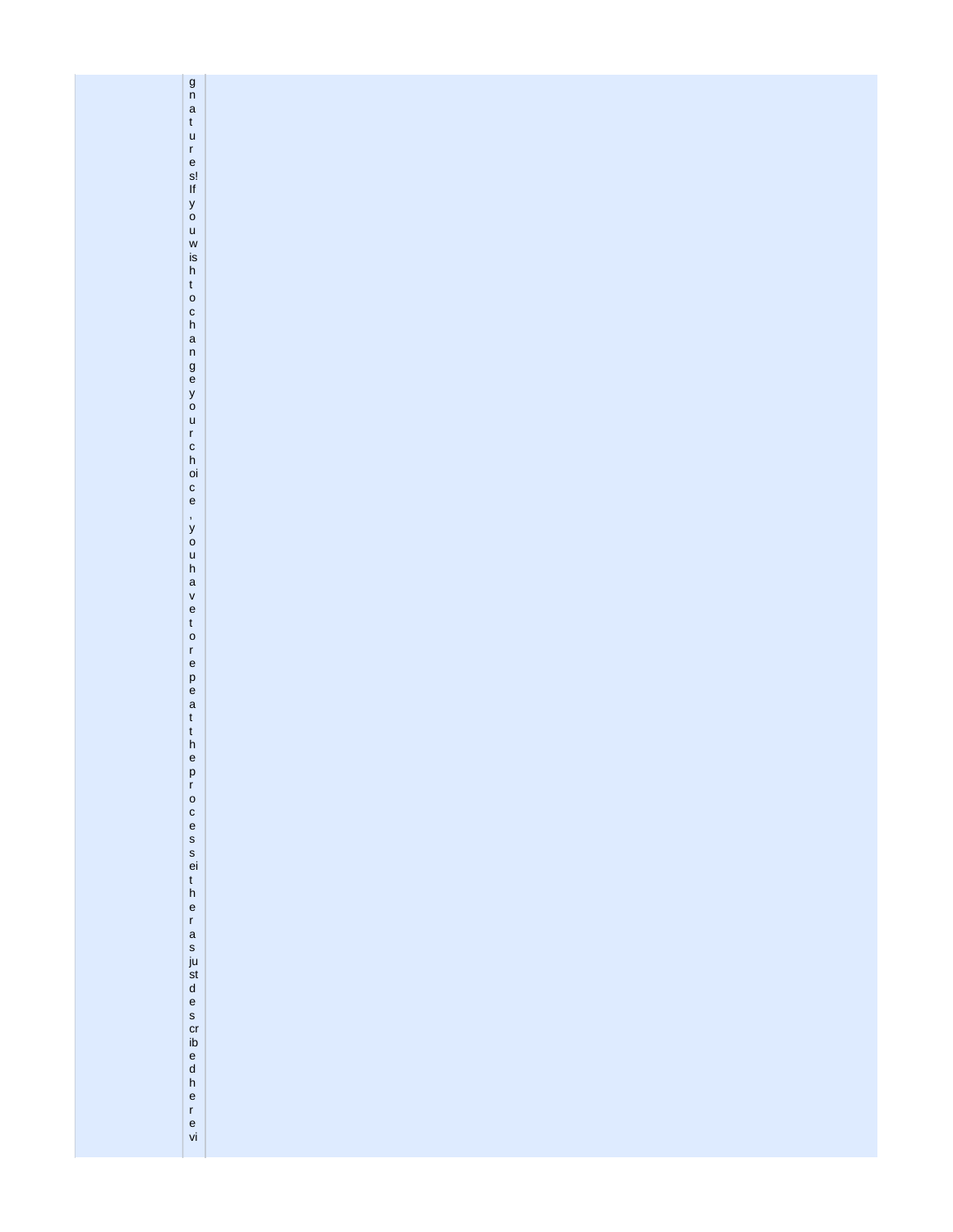| $\begin{array}{c} 9 \\ n \\ t \\ u \end{array}$                                                    |  |
|----------------------------------------------------------------------------------------------------|--|
|                                                                                                    |  |
|                                                                                                    |  |
|                                                                                                    |  |
|                                                                                                    |  |
|                                                                                                    |  |
|                                                                                                    |  |
|                                                                                                    |  |
|                                                                                                    |  |
|                                                                                                    |  |
|                                                                                                    |  |
|                                                                                                    |  |
|                                                                                                    |  |
|                                                                                                    |  |
|                                                                                                    |  |
|                                                                                                    |  |
|                                                                                                    |  |
|                                                                                                    |  |
|                                                                                                    |  |
|                                                                                                    |  |
|                                                                                                    |  |
| res! if you wish to changeyour choi ce                                                             |  |
|                                                                                                    |  |
|                                                                                                    |  |
|                                                                                                    |  |
|                                                                                                    |  |
|                                                                                                    |  |
|                                                                                                    |  |
|                                                                                                    |  |
|                                                                                                    |  |
|                                                                                                    |  |
|                                                                                                    |  |
|                                                                                                    |  |
|                                                                                                    |  |
|                                                                                                    |  |
|                                                                                                    |  |
|                                                                                                    |  |
|                                                                                                    |  |
|                                                                                                    |  |
|                                                                                                    |  |
|                                                                                                    |  |
|                                                                                                    |  |
|                                                                                                    |  |
|                                                                                                    |  |
|                                                                                                    |  |
|                                                                                                    |  |
|                                                                                                    |  |
|                                                                                                    |  |
|                                                                                                    |  |
|                                                                                                    |  |
|                                                                                                    |  |
|                                                                                                    |  |
|                                                                                                    |  |
|                                                                                                    |  |
|                                                                                                    |  |
|                                                                                                    |  |
|                                                                                                    |  |
| , y o u h a v e t o r e p e a t t h e p r o c e s s ei t h e r a s ju st d e s crib e d h e r e vi |  |
|                                                                                                    |  |
|                                                                                                    |  |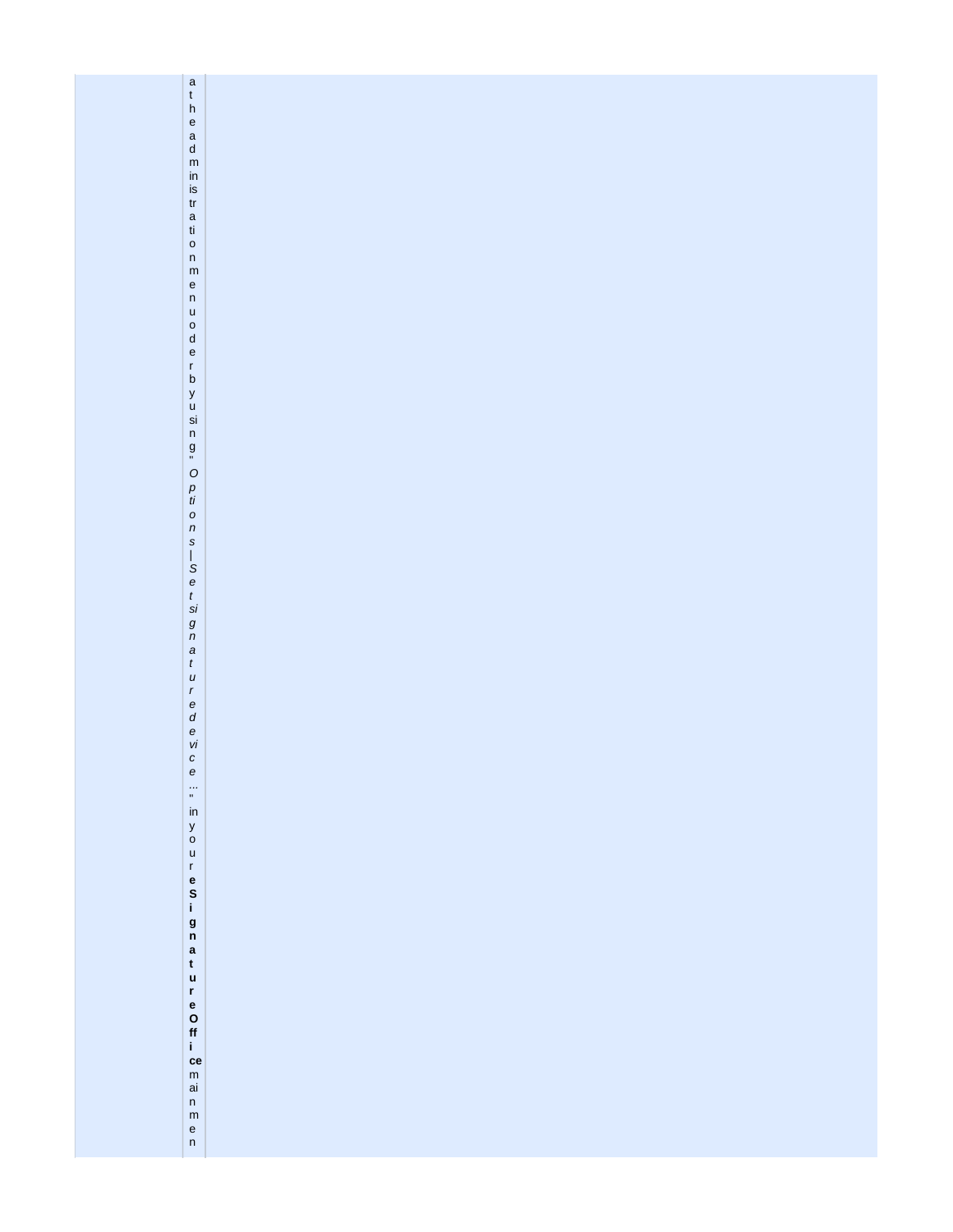| $\begin{matrix} a \\ t \end{matrix}$                                    |  |
|-------------------------------------------------------------------------|--|
| $\boldsymbol{\mathsf{h}}$                                               |  |
| $\mathsf{e}% _{0}\left( \mathsf{e}_{0}\right)$                          |  |
| $\begin{array}{c} a \\ d \\ m \end{array}$                              |  |
|                                                                         |  |
| $\mathsf{in}$                                                           |  |
| is                                                                      |  |
| ${\mathop{\mathrm{tr}}\nolimits}$                                       |  |
|                                                                         |  |
| $\frac{a}{t}$                                                           |  |
| $\mathsf{o}$                                                            |  |
| $\mathsf{n}$                                                            |  |
| ${\sf m}$                                                               |  |
| $\mathsf{e}% _{t}\left( t\right) \equiv\mathsf{e}_{t}\left( t\right) ,$ |  |
| $\mathsf n$<br>$\mathsf{u}%$                                            |  |
|                                                                         |  |
| $\begin{matrix}0\\ d\end{matrix}$                                       |  |
| $\mathsf{e}% _{t}\left( t\right) \equiv\mathsf{e}_{t}\left( t\right) ,$ |  |
| $\mathsf{r}$                                                            |  |
| $\mathsf b$                                                             |  |
| y<br>u<br>si                                                            |  |
|                                                                         |  |
| $\sf n$                                                                 |  |
|                                                                         |  |
| $\overset{\text{\normalsize g}}{=}$                                     |  |
| $\circ$                                                                 |  |
| p<br>ti                                                                 |  |
|                                                                         |  |
| $\pmb{\circ}$                                                           |  |
| $\sqrt{n}$                                                              |  |
| $\boldsymbol{s}$                                                        |  |
| $\frac{1}{S}$ e                                                         |  |
|                                                                         |  |
|                                                                         |  |
| $\frac{t}{si}$                                                          |  |
|                                                                         |  |
| $\begin{array}{c} g\\ n\\ a \end{array}$                                |  |
|                                                                         |  |
| $\boldsymbol{t}$<br>$\boldsymbol{u}$                                    |  |
| $\boldsymbol{r}$                                                        |  |
|                                                                         |  |
| $\begin{array}{c}\ne \\ d \\ e \\ vi\n\end{array}$                      |  |
|                                                                         |  |
|                                                                         |  |
| $\mathcal{C}$                                                           |  |
| $\boldsymbol{e}$                                                        |  |
| $\frac{1}{\alpha}$                                                      |  |
| $\mathsf{in}$                                                           |  |
|                                                                         |  |
| y<br>o                                                                  |  |
| $\mathsf{u}%$                                                           |  |
| $\mathbf r$                                                             |  |
|                                                                         |  |
| $S$ <sub>i</sub>                                                        |  |
|                                                                         |  |
| $\frac{g}{n}$                                                           |  |
| $\mathbf{a}$                                                            |  |
| $\mathfrak{t}$                                                          |  |
| $\mathbf u$                                                             |  |
| $\mathbf r$                                                             |  |
| e<br>O<br>ff                                                            |  |
|                                                                         |  |
|                                                                         |  |
| $\mathbf{i}$<br>ce                                                      |  |
| ${\sf m}$                                                               |  |
| $\mathsf{ai}$                                                           |  |
| $\mathsf{n}$                                                            |  |
| ${\sf m}$                                                               |  |
| $\frac{e}{n}$                                                           |  |
|                                                                         |  |
|                                                                         |  |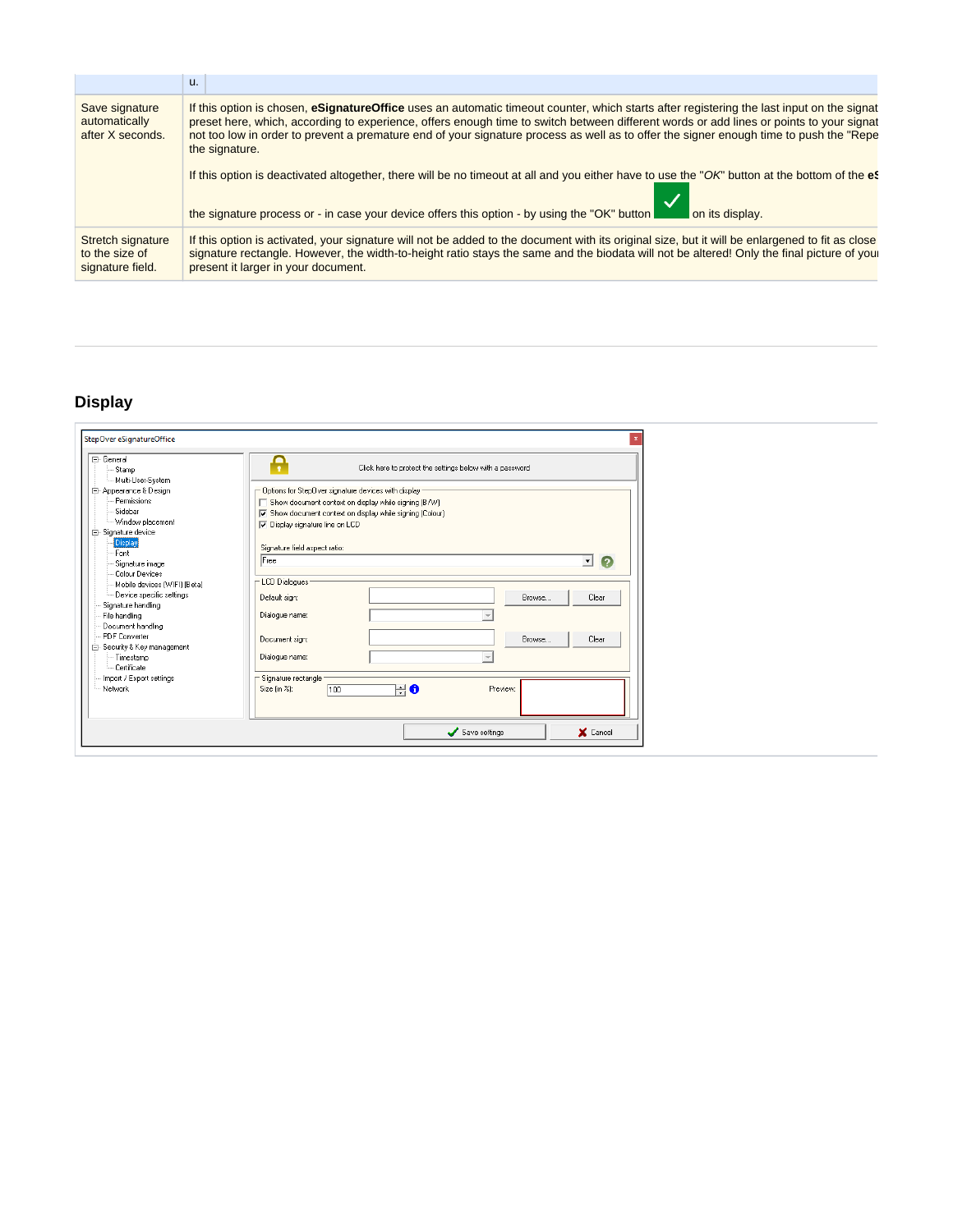|                                                         | u.                                                                                                                                                                                                                                                                                                                                                                                                                                               |
|---------------------------------------------------------|--------------------------------------------------------------------------------------------------------------------------------------------------------------------------------------------------------------------------------------------------------------------------------------------------------------------------------------------------------------------------------------------------------------------------------------------------|
| Save signature<br>automatically<br>after X seconds.     | If this option is chosen, eSignatureOffice uses an automatic timeout counter, which starts after registering the last input on the signat<br>preset here, which, according to experience, offers enough time to switch between different words or add lines or points to your signat<br>not too low in order to prevent a premature end of your signature process as well as to offer the signer enough time to push the "Repe<br>the signature. |
|                                                         | If this option is deactivated altogether, there will be no timeout at all and you either have to use the "OK" button at the bottom of the et<br>the signature process or - in case your device offers this option - by using the "OK" button<br>on its display.                                                                                                                                                                                  |
| Stretch signature<br>to the size of<br>signature field. | If this option is activated, your signature will not be added to the document with its original size, but it will be enlargened to fit as close<br>signature rectangle. However, the width-to-height ratio stays the same and the biodata will not be altered! Only the final picture of you<br>present it larger in your document.                                                                                                              |

## <span id="page-23-0"></span>**Display**

| □ General<br>- Stamp<br>- Multi-User-System                                                                          | Click here to protect the settings below with a password                                                                                                                                                                                          |                   |
|----------------------------------------------------------------------------------------------------------------------|---------------------------------------------------------------------------------------------------------------------------------------------------------------------------------------------------------------------------------------------------|-------------------|
| 白· Appearance & Design<br>Permissions<br>-- Sidebar<br>- Window placement<br><b>E</b> -Signature device<br>Display   | Options for StepOver signature devices with display<br>$\Box$ Show document context on display while signing (B/W)<br>○ Show document context on display while signing (Colour)<br>Display signature line on LCD<br>Signature field aspect ratio: |                   |
| Font<br>- Signature image<br>Colour Devices                                                                          | Free                                                                                                                                                                                                                                              | Ω<br>$\mathbf{r}$ |
| Mobile devices [WIFI] [Beta]<br>Device specific settings<br>Signature handling<br>File handling<br>Document handling | - LCD Dialogues<br>Browse<br>Default sign:<br>Dialogue name:                                                                                                                                                                                      | Clear             |
| PDF Converter<br>白 Security & Key management<br>- Timestamp<br>- Certificate                                         | Document sign:<br>Browse<br>Dialogue name:                                                                                                                                                                                                        | Clear             |
| - Import / Export settings<br>- Network                                                                              | Signature rectangle<br>Preview:<br>0<br>÷l<br>Size (in %):<br>100                                                                                                                                                                                 |                   |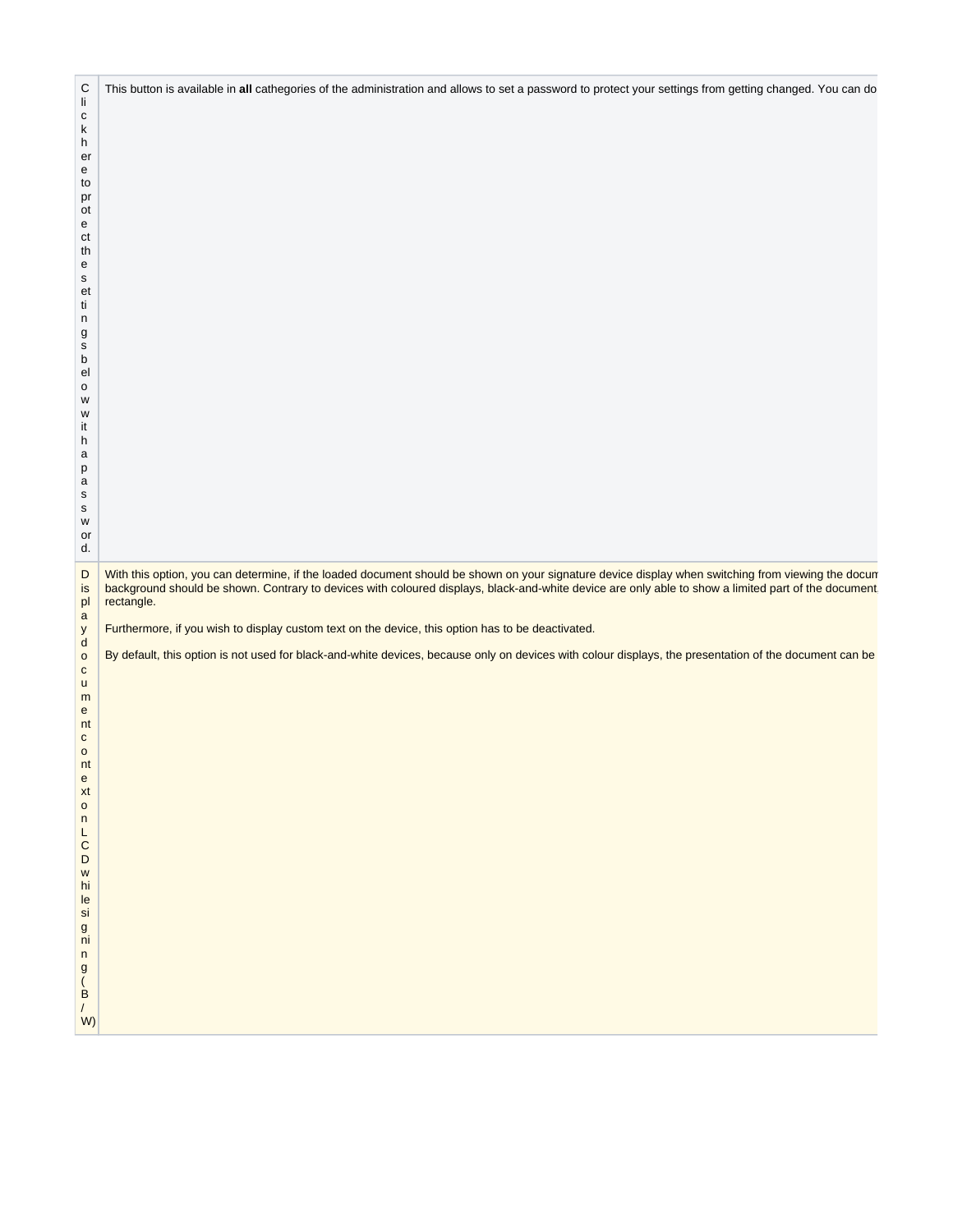| With this option, you can determine, if the loaded document should be shown on your signature device display when switching from viewing the docum background should be shown. Contrary to devices with coloured displays, bla<br>$\mathsf D$<br>is<br>pl<br>rectangle.<br>$\mathbf{a}$<br>Furthermore, if you wish to display custom text on the device, this option has to be deactivated.<br>y<br>${\sf d}$<br>By default, this option is not used for black-and-white devices, because only on devices with colour displays, the presentation of the document can be<br>$\mathsf{o}$<br>$\mathtt{C}$<br>$\sf u$<br>m<br>${\bf e}$<br>nt<br>$\mathtt{C}$<br>$\mathsf{o}$<br>nt |
|-----------------------------------------------------------------------------------------------------------------------------------------------------------------------------------------------------------------------------------------------------------------------------------------------------------------------------------------------------------------------------------------------------------------------------------------------------------------------------------------------------------------------------------------------------------------------------------------------------------------------------------------------------------------------------------|
| e xton LCD w hi le si g ni n g (B / W)                                                                                                                                                                                                                                                                                                                                                                                                                                                                                                                                                                                                                                            |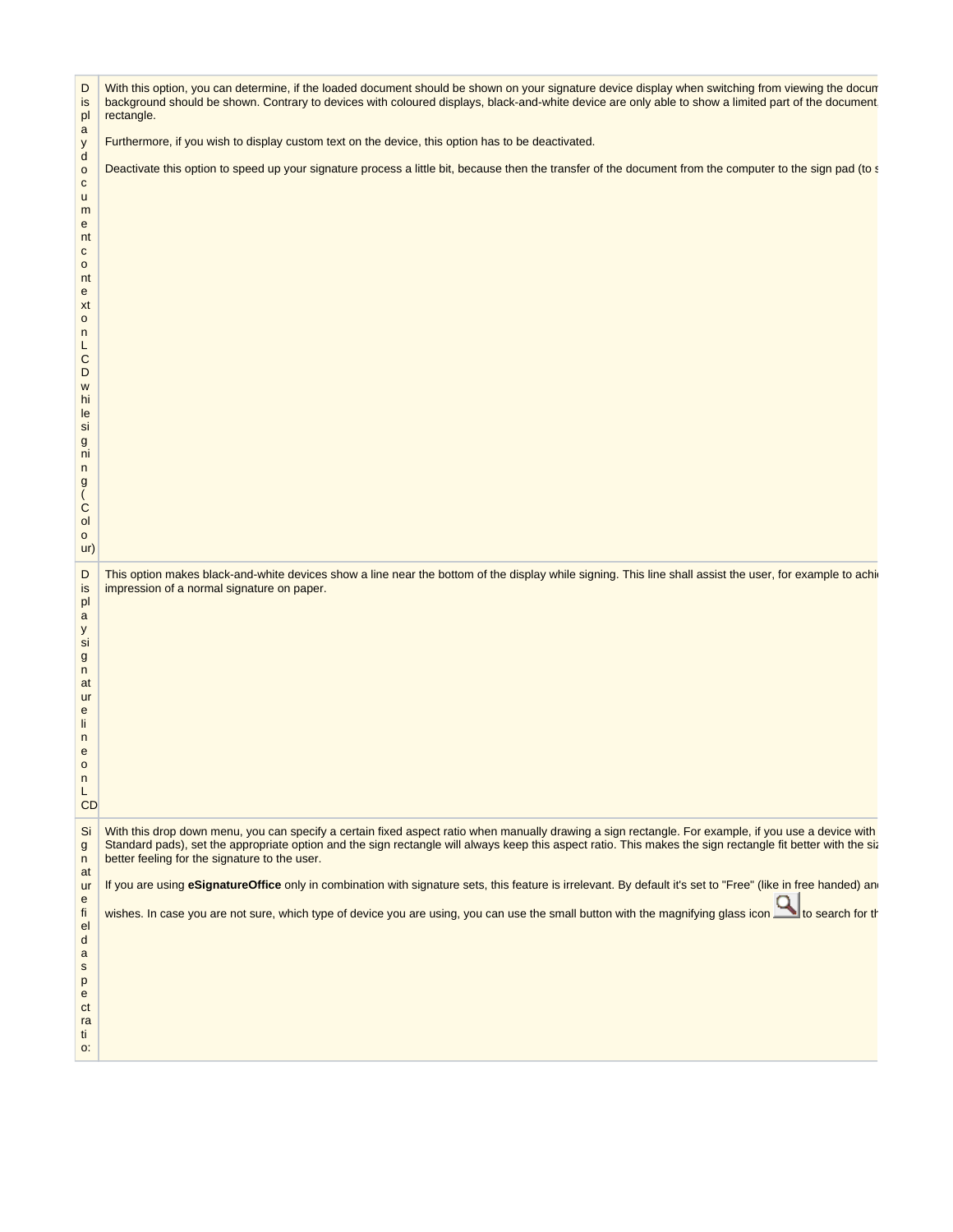| D<br>is<br>pl<br>$\mathsf{a}$<br>у<br>$\mathsf{d}$<br>$\mathsf{o}$<br>${\bf c}$<br>u<br>m<br>$\mathbf{e}$<br>nt<br>$\mathbf{C}$<br>$\mathsf{o}$<br>nt<br>$\mathbf{e}$<br>xt<br>$\circ$<br>n<br>L.<br>$\mathsf C$<br>D<br>W<br>hi<br>le<br>si<br>g<br>ni<br>n<br>$\mathsf g$<br>C<br>ol<br>$\mathsf{o}$<br>ur) | With this option, you can determine, if the loaded document should be shown on your signature device display when switching from viewing the docun<br>background should be shown. Contrary to devices with coloured displays, black-and-white device are only able to show a limited part of the document<br>rectangle.<br>Furthermore, if you wish to display custom text on the device, this option has to be deactivated.<br>Deactivate this option to speed up your signature process a little bit, because then the transfer of the document from the computer to the sign pad (to s                                                                                                       |  |
|---------------------------------------------------------------------------------------------------------------------------------------------------------------------------------------------------------------------------------------------------------------------------------------------------------------|-------------------------------------------------------------------------------------------------------------------------------------------------------------------------------------------------------------------------------------------------------------------------------------------------------------------------------------------------------------------------------------------------------------------------------------------------------------------------------------------------------------------------------------------------------------------------------------------------------------------------------------------------------------------------------------------------|--|
| D<br>is<br>pl<br>$\mathsf{a}$<br>y<br>si<br>$\mathsf{g}$<br>n<br>at<br><b>ur</b><br>$\mathbf{e}$<br>li.<br>n<br>$\mathsf{e}\,$<br>$\circ$<br>n<br>L<br>CD                                                                                                                                                     | This option makes black-and-white devices show a line near the bottom of the display while signing. This line shall assist the user, for example to achi<br>impression of a normal signature on paper.                                                                                                                                                                                                                                                                                                                                                                                                                                                                                          |  |
| Si<br>$\mathsf{g}$<br>n<br>at<br>ur<br>${\bf e}$<br>fi<br>el<br>$\mathsf{d}$<br>$\mathsf{a}$<br>$\mathbf S$<br>p<br>$\mathbf{e}$<br>ct<br>ra<br>ti<br>O:                                                                                                                                                      | With this drop down menu, you can specify a certain fixed aspect ratio when manually drawing a sign rectangle. For example, if you use a device with<br>Standard pads), set the appropriate option and the sign rectangle will always keep this aspect ratio. This makes the sign rectangle fit better with the six<br>better feeling for the signature to the user.<br>If you are using eSignatureOffice only in combination with signature sets, this feature is irrelevant. By default it's set to "Free" (like in free handed) an<br>wishes. In case you are not sure, which type of device you are using, you can use the small button with the magnifying glass icon to to search for the |  |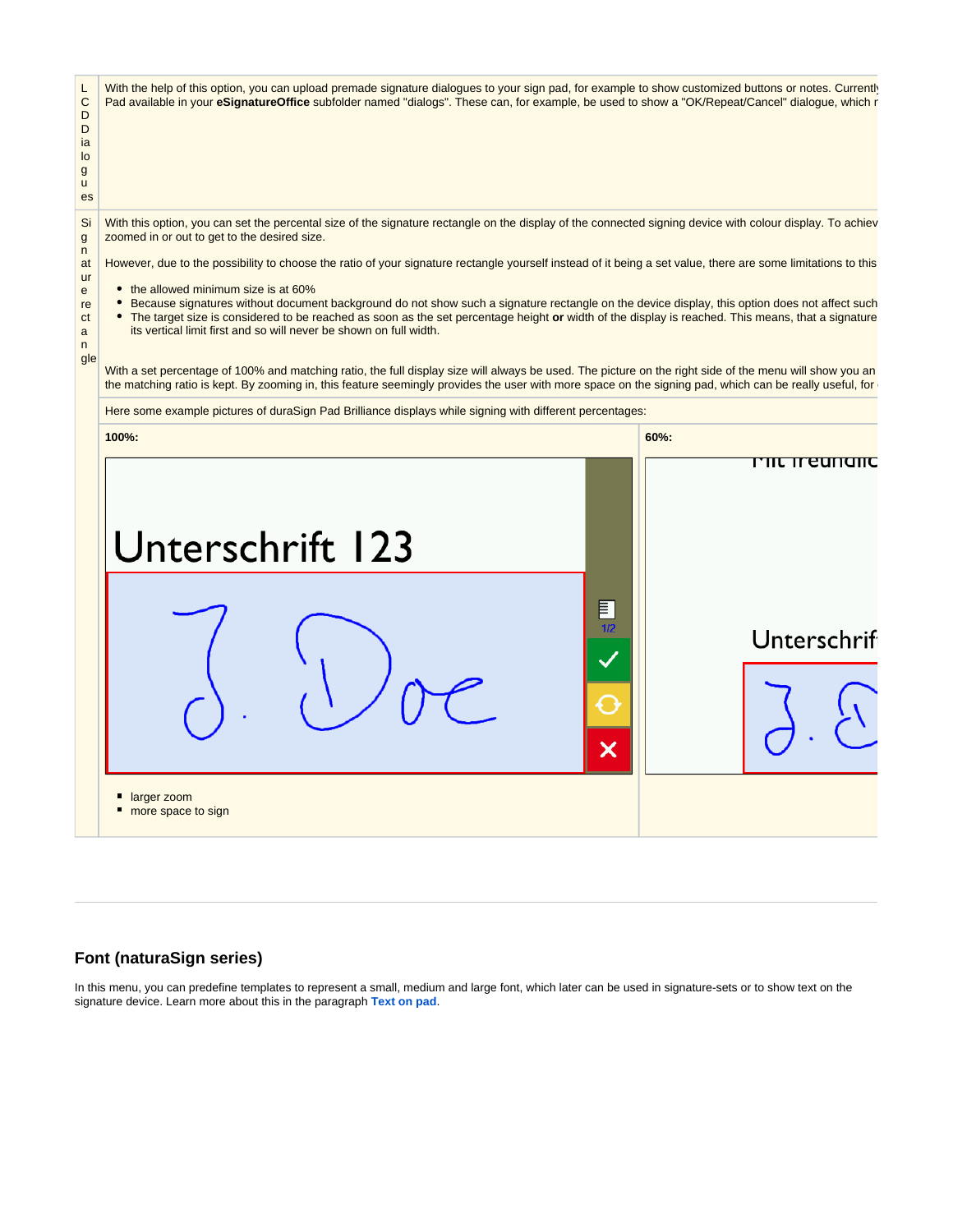L C D With the help of this option, you can upload premade signature dialogues to your sign pad, for example to show customized buttons or notes. Currently Pad available in your *eSignatureOffice* subfolder named "dialogs". These can, for example, be used to show a "OK/Repeat/Cancel" dialogue, which r

Si g With this option, you can set the percental size of the signature rectangle on the display of the connected signing device with colour display. To achiev zoomed in or out to get to the desired size.

However, due to the possibility to choose the ratio of your signature rectangle yourself instead of it being a set value, there are some limitations to this

• the allowed minimum size is at 60%

D ia lo g u es

n at ur e re ct a n gle

- Because signatures without document background do not show such a signature rectangle on the device display, this option does not affect such
- The target size is considered to be reached as soon as the set percentage height or width of the display is reached. This means, that a signature
- its vertical limit first and so will never be shown on full width.

With a set percentage of 100% and matching ratio, the full display size will always be used. The picture on the right side of the menu will show you an the matching ratio is kept. By zooming in, this feature seemingly provides the user with more space on the signing pad, which can be really useful, for



### <span id="page-26-0"></span>**Font (naturaSign series)**

In this menu, you can predefine templates to represent a small, medium and large font, which later can be used in signature-sets or to show text on the signature device. Learn more about this in the paragraph **[Text on pad](https://www.stepoverinfo.net/confluence/display/PUG/Automatic+creation+of+signing+fields%3A+Working+with+signature-sets#Automaticcreationofsigningfields:Workingwithsignature-sets-Textonpad)**.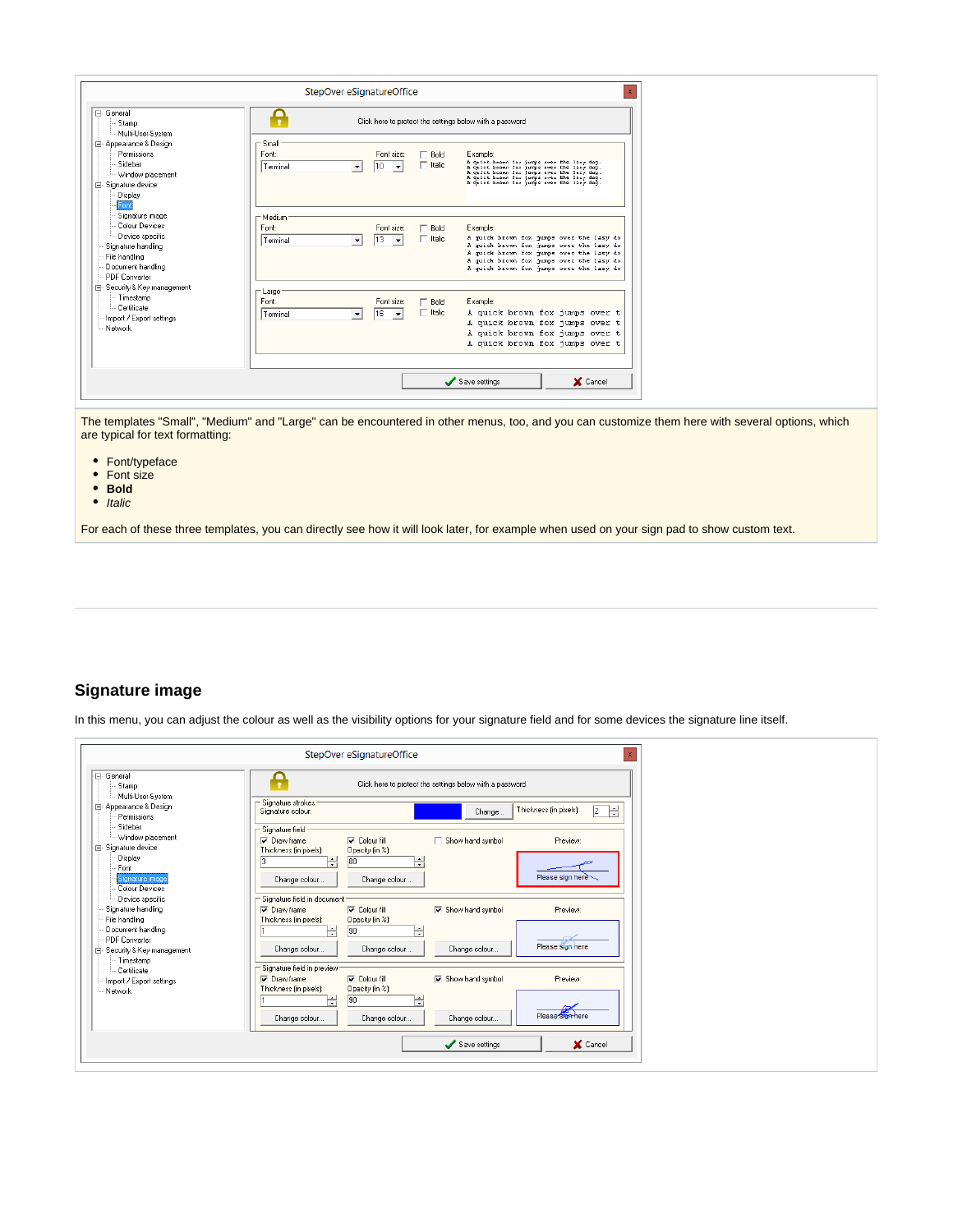|                                                                                                                                               |                                    | StepOver eSignatureOffice                    |                       |                                                                                                                                                                                                                                                 | $\mathbf{x}$ |
|-----------------------------------------------------------------------------------------------------------------------------------------------|------------------------------------|----------------------------------------------|-----------------------|-------------------------------------------------------------------------------------------------------------------------------------------------------------------------------------------------------------------------------------------------|--------------|
| F- General<br>Stamp<br>-- Multi-User-System                                                                                                   |                                    |                                              |                       | Click here to protect the settings below with a password                                                                                                                                                                                        |              |
| 白 Appearance & Design<br>Permissions<br>Sidebar<br>Vindow placement<br>白· Signature device<br>Display                                         | $\Gamma$ Small<br>Font<br>Terminal | Font size:<br>10<br>$\overline{\phantom{a}}$ | Bold<br>Italic        | Example:<br>A quick heave for jumps over the lary day.<br>A quick heave for jumps over the lary day.<br>A quick heave for jumps over the lary day.<br>A quick heave for jumps over the lary day.<br>A quick heaven for jumps over the laxy dog. |              |
| Font<br>Signature image<br>- Colour Devices<br>- Device specific<br>Signature handling<br>File handling<br>Document handling<br>PDF Converter | - Medium:<br>Font<br>l Terminal    | Font size:<br>13<br>$\blacktriangledown$     | Bold<br>$\top$ Italic | Example:<br>A quick brown fox jumps over the lasy do<br>A quick brown fox jumps over the lasy do<br>A quick brown fox jumps over the lasy do<br>A quick brown fox jumps over the lazy do<br>A quick brown fox jumps over the lazy do            |              |
| 白- Security & Key management<br>-- Timestamp<br>- Certificate<br>Import / Export settings<br>Network                                          | – Large<br>Font<br>Terminal        | Font size:<br>16<br>$\overline{\phantom{a}}$ | Bold<br>$\Box$ Italic | Example:<br>A quick brown fox jumps over t<br>A quick brown fox jumps over t<br>A quick brown fox jumps over t<br>A quick brown fox jumps over t                                                                                                |              |
|                                                                                                                                               |                                    |                                              |                       | Save settings<br>X Cancel                                                                                                                                                                                                                       |              |

The templates "Small", "Medium" and "Large" can be encountered in other menus, too, and you can customize them here with several options, which are typical for text formatting:

- Font/typeface
- Font size
- **•** Bold
- $\bullet$  Italic

For each of these three templates, you can directly see how it will look later, for example when used on your sign pad to show custom text.

#### <span id="page-27-0"></span>**Signature image**

In this menu, you can adjust the colour as well as the visibility options for your signature field and for some devices the signature line itself.

| F-General<br>o<br>Click here to protect the settings below with a password<br>$\cdot$<br>Stamp<br>- Multi-User-System<br>Signature strokes<br>Appearance & Design<br>Ħ<br>Thickness (in pixels):<br>$\sqrt{2}$<br>Signature colour:<br>Change<br>Permissions<br>Sidebar<br>Signature field- |
|---------------------------------------------------------------------------------------------------------------------------------------------------------------------------------------------------------------------------------------------------------------------------------------------|
|                                                                                                                                                                                                                                                                                             |
|                                                                                                                                                                                                                                                                                             |
| - Window placement<br>$\nabla$ Colour fill<br>Preview:<br>$\nabla$ Draw frame<br>Show hand symbol<br>E-Signature device<br>Thickness fin pixelst:<br>Opacity [in %]:                                                                                                                        |
| Display<br>H<br>$\blacktriangle$<br>80<br>$\overline{\cdot}$<br>Font<br>Please sign here<br>Signature image<br>Change colour<br>Change colour<br>Colour Devices                                                                                                                             |
| Signature field in document<br>Device specific<br>Signature handling<br>Show hand symbol<br><b>V</b> Colour fill<br>Preview:<br><b>▽</b> Draw frame                                                                                                                                         |
| Thickness (in pixels):<br>Opacity (in %):<br>File handling<br>÷<br>Document handling<br> 90 <br>÷<br>- PDF Converter                                                                                                                                                                        |
| Please sign here<br>Change colour<br>Change colour<br>Change colour<br>E-Security & Key management<br>-- Timestamp                                                                                                                                                                          |
| Signature field in preview:<br>- Certificate<br>$\nabla$ Colour fill<br>$\nabla$ Draw frame<br><b>V</b> Show hand symbol<br>Preview:<br>Import / Export settings<br>Thickness (in pixels):<br>Opacity (in %):<br>- Network<br>긬<br>90                                                       |
| Please sign here<br>Change colour<br>Change colour<br>Change colour                                                                                                                                                                                                                         |
| X Cancel<br>Save settings                                                                                                                                                                                                                                                                   |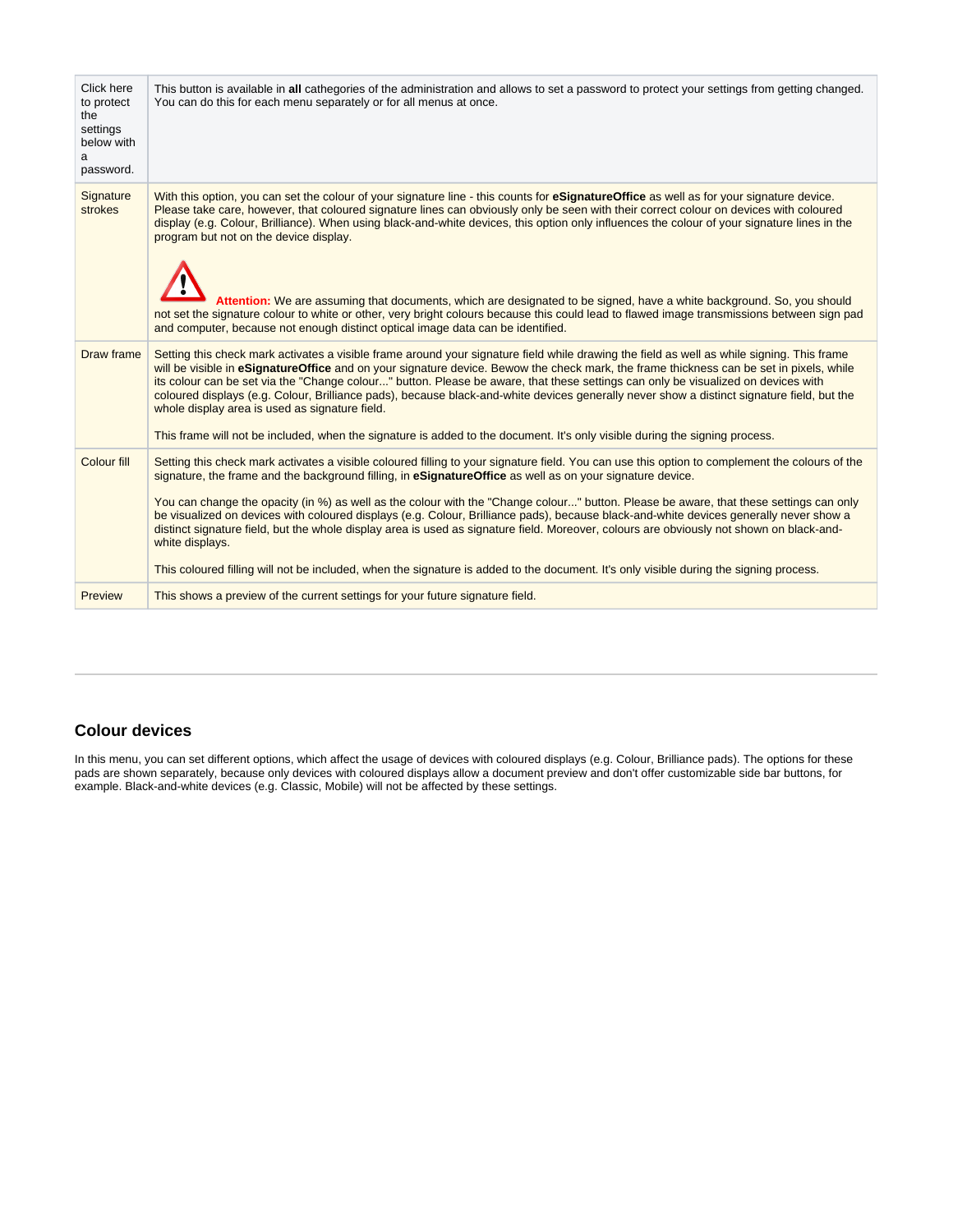|                                                                             | signature, the frame and the background filling, in eSignatureOffice as well as on your signature device.<br>You can change the opacity (in %) as well as the colour with the "Change colour" button. Please be aware, that these settings can only<br>be visualized on devices with coloured displays (e.g. Colour, Brilliance pads), because black-and-white devices generally never show a<br>distinct signature field, but the whole display area is used as signature field. Moreover, colours are obviously not shown on black-and-<br>white displays.<br>This coloured filling will not be included, when the signature is added to the document. It's only visible during the signing process.                                                                                                                                 |
|-----------------------------------------------------------------------------|----------------------------------------------------------------------------------------------------------------------------------------------------------------------------------------------------------------------------------------------------------------------------------------------------------------------------------------------------------------------------------------------------------------------------------------------------------------------------------------------------------------------------------------------------------------------------------------------------------------------------------------------------------------------------------------------------------------------------------------------------------------------------------------------------------------------------------------|
| Colour fill                                                                 | Setting this check mark activates a visible coloured filling to your signature field. You can use this option to complement the colours of the                                                                                                                                                                                                                                                                                                                                                                                                                                                                                                                                                                                                                                                                                         |
| Draw frame                                                                  | Setting this check mark activates a visible frame around your signature field while drawing the field as well as while signing. This frame<br>will be visible in eSignatureOffice and on your signature device. Bewow the check mark, the frame thickness can be set in pixels, while<br>its colour can be set via the "Change colour" button. Please be aware, that these settings can only be visualized on devices with<br>coloured displays (e.g. Colour, Brilliance pads), because black-and-white devices generally never show a distinct signature field, but the<br>whole display area is used as signature field.<br>This frame will not be included, when the signature is added to the document. It's only visible during the signing process.                                                                              |
| Signature<br>strokes                                                        | With this option, you can set the colour of your signature line - this counts for eSignatureOffice as well as for your signature device.<br>Please take care, however, that coloured signature lines can obviously only be seen with their correct colour on devices with coloured<br>display (e.g. Colour, Brilliance). When using black-and-white devices, this option only influences the colour of your signature lines in the<br>program but not on the device display.<br>Attention: We are assuming that documents, which are designated to be signed, have a white background. So, you should<br>not set the signature colour to white or other, very bright colours because this could lead to flawed image transmissions between sign pad<br>and computer, because not enough distinct optical image data can be identified. |
| Click here<br>to protect<br>the<br>settings<br>below with<br>a<br>password. | This button is available in all cathegories of the administration and allows to set a password to protect your settings from getting changed.<br>You can do this for each menu separately or for all menus at once.                                                                                                                                                                                                                                                                                                                                                                                                                                                                                                                                                                                                                    |

## <span id="page-28-0"></span>**Colour devices**

In this menu, you can set different options, which affect the usage of devices with coloured displays (e.g. Colour, Brilliance pads). The options for these pads are shown separately, because only devices with coloured displays allow a document preview and don't offer customizable side bar buttons, for example. Black-and-white devices (e.g. Classic, Mobile) will not be affected by these settings.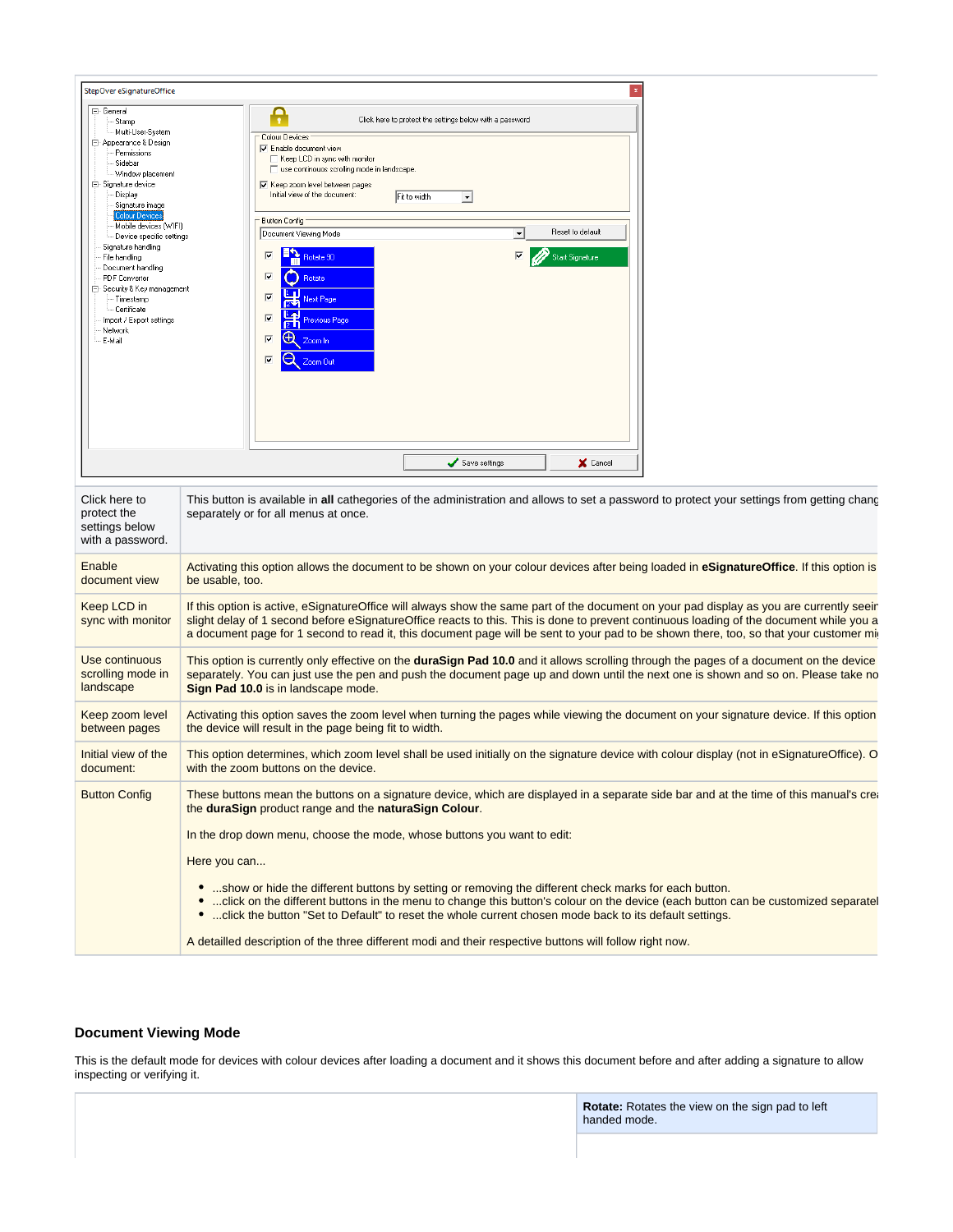| StepOver eSignatureOffice                                                                                                                                                                                                                                                                                                                                                                                                                                    |                                                                                                                                                                                                                                                                                                                                                                                                                                                                                                                                                                                                                                                               | $\mathbf{x}$                        |
|--------------------------------------------------------------------------------------------------------------------------------------------------------------------------------------------------------------------------------------------------------------------------------------------------------------------------------------------------------------------------------------------------------------------------------------------------------------|---------------------------------------------------------------------------------------------------------------------------------------------------------------------------------------------------------------------------------------------------------------------------------------------------------------------------------------------------------------------------------------------------------------------------------------------------------------------------------------------------------------------------------------------------------------------------------------------------------------------------------------------------------------|-------------------------------------|
| □ General<br>Stamp<br>Multi-User-System<br>Appearance & Design<br>Permissions<br>Sidebar<br>- Window placement<br><b>E</b> . Signature device<br>Display<br>- Signature image<br><b>Colour Devices</b><br>- Mobile devices (WIFI)<br>Device specific settings<br>Signature handling<br>File handling<br>Document handling<br>PDF Converter<br>白 Security & Key management<br>- Timestamp<br>- Certificate<br>Import / Export settings<br>Network<br>- E-Mail | Click here to protect the settings below with a password<br>Colour Devices<br>Enable document view<br>Keep LCD in sync with monitor<br>□ use continouos scrolling mode in landscape.<br><b>▽</b> Keep zoom level between pages<br>Initial view of the document:<br>Fit to width<br>$\blacktriangledown$<br>- Button Config<br>Document Viewing Mode<br>$\overline{\phantom{a}}$<br>Rotate 90<br>$\overline{\mathbf{v}}$<br>$\overline{\mathbf{v}}$<br>$\overline{\mathbf{v}}$<br>Rotate<br>$\overline{\mathbf{v}}$<br>Next Page<br>$\overline{\mathbf{v}}$<br>Previous Page<br>$\overline{\mathbf{v}}$<br>Э<br>Zoom In<br>$\overline{\mathbf{v}}$<br>Zoom Out | Reset to default<br>Start Signature |
|                                                                                                                                                                                                                                                                                                                                                                                                                                                              | Save settings                                                                                                                                                                                                                                                                                                                                                                                                                                                                                                                                                                                                                                                 | X Cancel                            |

| Click here to<br>protect the<br>settings below<br>with a password. | This button is available in all cathegories of the administration and allows to set a password to protect your settings from getting chance<br>separately or for all menus at once.                                                                                                                                                                                                                                                                                                                                                                                                                                                                      |
|--------------------------------------------------------------------|----------------------------------------------------------------------------------------------------------------------------------------------------------------------------------------------------------------------------------------------------------------------------------------------------------------------------------------------------------------------------------------------------------------------------------------------------------------------------------------------------------------------------------------------------------------------------------------------------------------------------------------------------------|
| Enable                                                             | Activating this option allows the document to be shown on your colour devices after being loaded in <b>eSignatureOffice</b> . If this option is                                                                                                                                                                                                                                                                                                                                                                                                                                                                                                          |
| document view                                                      | be usable, too.                                                                                                                                                                                                                                                                                                                                                                                                                                                                                                                                                                                                                                          |
| Keep LCD in<br>sync with monitor                                   | If this option is active, eSignatureOffice will always show the same part of the document on your pad display as you are currently seeir<br>slight delay of 1 second before eSignatureOffice reacts to this. This is done to prevent continuous loading of the document while you a<br>a document page for 1 second to read it, this document page will be sent to your pad to be shown there, too, so that your customer mi                                                                                                                                                                                                                             |
| Use continuous                                                     | This option is currently only effective on the duraSign Pad 10.0 and it allows scrolling through the pages of a document on the device                                                                                                                                                                                                                                                                                                                                                                                                                                                                                                                   |
| scrolling mode in                                                  | separately. You can just use the pen and push the document page up and down until the next one is shown and so on. Please take no                                                                                                                                                                                                                                                                                                                                                                                                                                                                                                                        |
| landscape                                                          | Sign Pad 10.0 is in landscape mode.                                                                                                                                                                                                                                                                                                                                                                                                                                                                                                                                                                                                                      |
| Keep zoom level                                                    | Activating this option saves the zoom level when turning the pages while viewing the document on your signature device. If this option                                                                                                                                                                                                                                                                                                                                                                                                                                                                                                                   |
| between pages                                                      | the device will result in the page being fit to width.                                                                                                                                                                                                                                                                                                                                                                                                                                                                                                                                                                                                   |
| Initial view of the                                                | This option determines, which zoom level shall be used initially on the signature device with colour display (not in eSignatureOffice). O                                                                                                                                                                                                                                                                                                                                                                                                                                                                                                                |
| document:                                                          | with the zoom buttons on the device.                                                                                                                                                                                                                                                                                                                                                                                                                                                                                                                                                                                                                     |
| <b>Button Config</b>                                               | These buttons mean the buttons on a signature device, which are displayed in a separate side bar and at the time of this manual's creation-<br>the duraSign product range and the naturaSign Colour.<br>In the drop down menu, choose the mode, whose buttons you want to edit:<br>Here you can<br>show or hide the different buttons by setting or removing the different check marks for each button.<br>click on the different buttons in the menu to change this button's colour on the device (each button can be customized separatel<br>•  click the button "Set to Default" to reset the whole current chosen mode back to its default settings. |
|                                                                    | A detailled description of the three different modi and their respective buttons will follow right now.                                                                                                                                                                                                                                                                                                                                                                                                                                                                                                                                                  |

#### <span id="page-29-0"></span>**Document Viewing Mode**

This is the default mode for devices with colour devices after loading a document and it shows this document before and after adding a signature to allow inspecting or verifying it.

> **Rotate:** Rotates the view on the sign pad to left handed mode.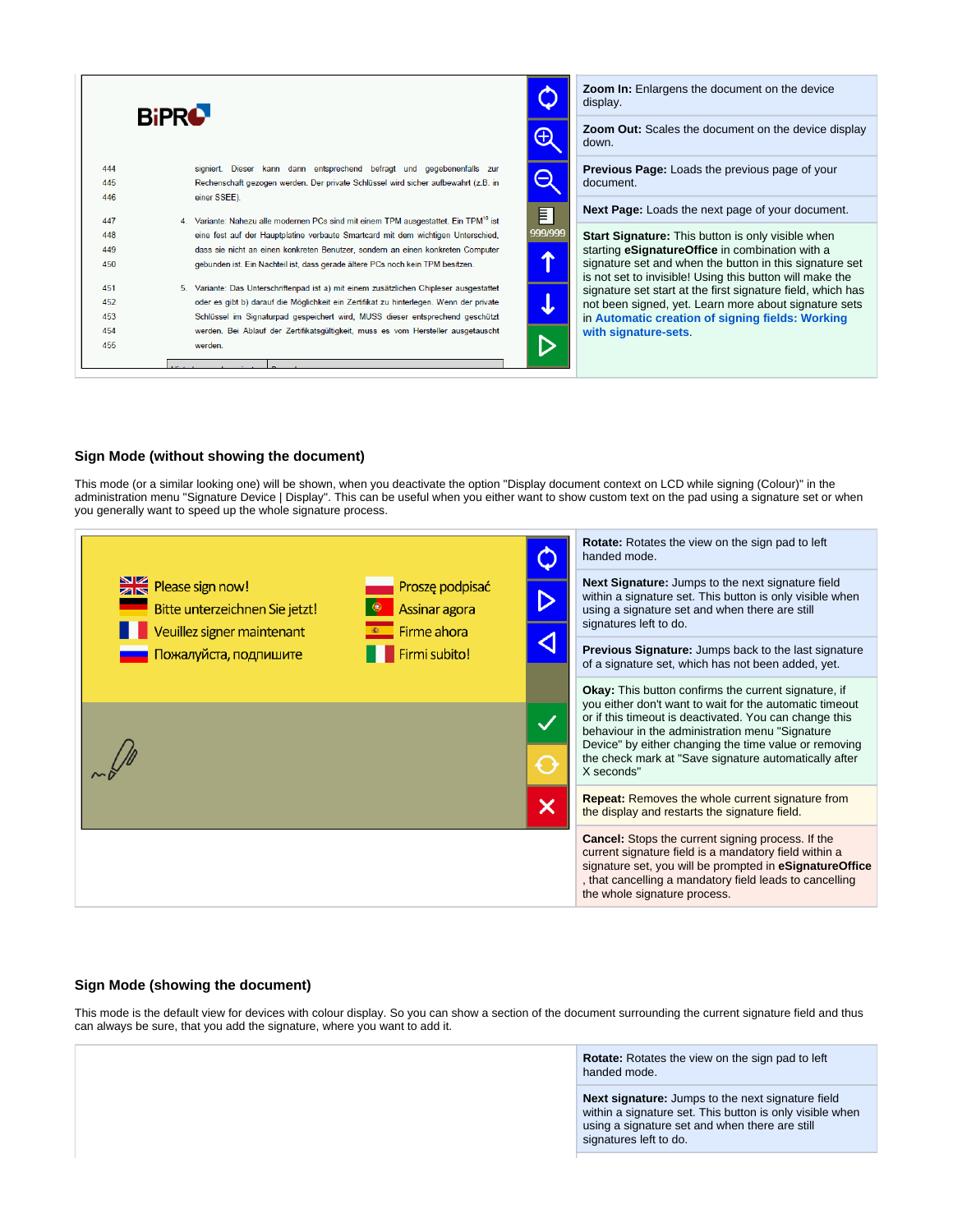|     | <b>BiPRO</b>                                                                                     | <b>Zoom In:</b> Enlargens the document on the device<br>display.                                                    |
|-----|--------------------------------------------------------------------------------------------------|---------------------------------------------------------------------------------------------------------------------|
|     |                                                                                                  | <b>Zoom Out:</b> Scales the document on the device display<br>down.                                                 |
| 444 | signiert. Dieser kann dann entsprechend befragt und gegebenenfalls zur                           | <b>Previous Page:</b> Loads the previous page of your                                                               |
| 445 | Rechenschaft gezogen werden. Der private Schlüssel wird sicher aufbewahrt (z.B. in               | $\boldsymbol{\mathord{\text{--}}}$<br>document.                                                                     |
| 446 | einer SSEE).                                                                                     |                                                                                                                     |
| 447 | 4. Variante: Nahezu alle modernen PCs sind mit einem TPM ausgestattet. Ein TPM <sup>10</sup> ist | <b>Next Page:</b> Loads the next page of your document.<br>E                                                        |
| 448 | eine fest auf der Hauptplatine verbaute Smartcard mit dem wichtigen Unterschied,                 | 999/999<br><b>Start Signature:</b> This button is only visible when                                                 |
| 449 | dass sie nicht an einen konkreten Benutzer, sondern an einen konkreten Computer                  | starting eSignatureOffice in combination with a<br>$\blacktriangle$                                                 |
| 450 | gebunden ist. Ein Nachteil ist, dass gerade ältere PCs noch kein TPM besitzen.                   | signature set and when the button in this signature set<br>is not set to invisible! Using this button will make the |
| 451 | 5. Variante: Das Unterschriftenpad ist a) mit einem zusätzlichen Chipleser ausgestattet          | signature set start at the first signature field, which has                                                         |
| 452 | oder es gibt b) darauf die Möglichkeit ein Zertifikat zu hinterlegen. Wenn der private           | not been signed, yet. Learn more about signature sets<br>J                                                          |
| 453 | Schlüssel im Signaturpad gespeichert wird, MUSS dieser entsprechend geschützt                    | in Automatic creation of signing fields: Working                                                                    |
| 454 | werden. Bei Ablauf der Zertifikatsgültigkeit, muss es vom Hersteller ausgetauscht                | with signature-sets.                                                                                                |
| 455 | werden.                                                                                          |                                                                                                                     |
|     |                                                                                                  |                                                                                                                     |

#### <span id="page-30-0"></span>**Sign Mode (without showing the document)**

This mode (or a similar looking one) will be shown, when you deactivate the option "Display document context on LCD while signing (Colour)" in the administration menu "Signature Device | Display". This can be useful when you either want to show custom text on the pad using a signature set or when you generally want to speed up the whole signature process.



#### <span id="page-30-1"></span>**Sign Mode (showing the document)**

This mode is the default view for devices with colour display. So you can show a section of the document surrounding the current signature field and thus can always be sure, that you add the signature, where you want to add it.

> **Rotate:** Rotates the view on the sign pad to left handed mode.

**Next signature:** Jumps to the next signature field within a signature set. This button is only visible when using a signature set and when there are still signatures left to do.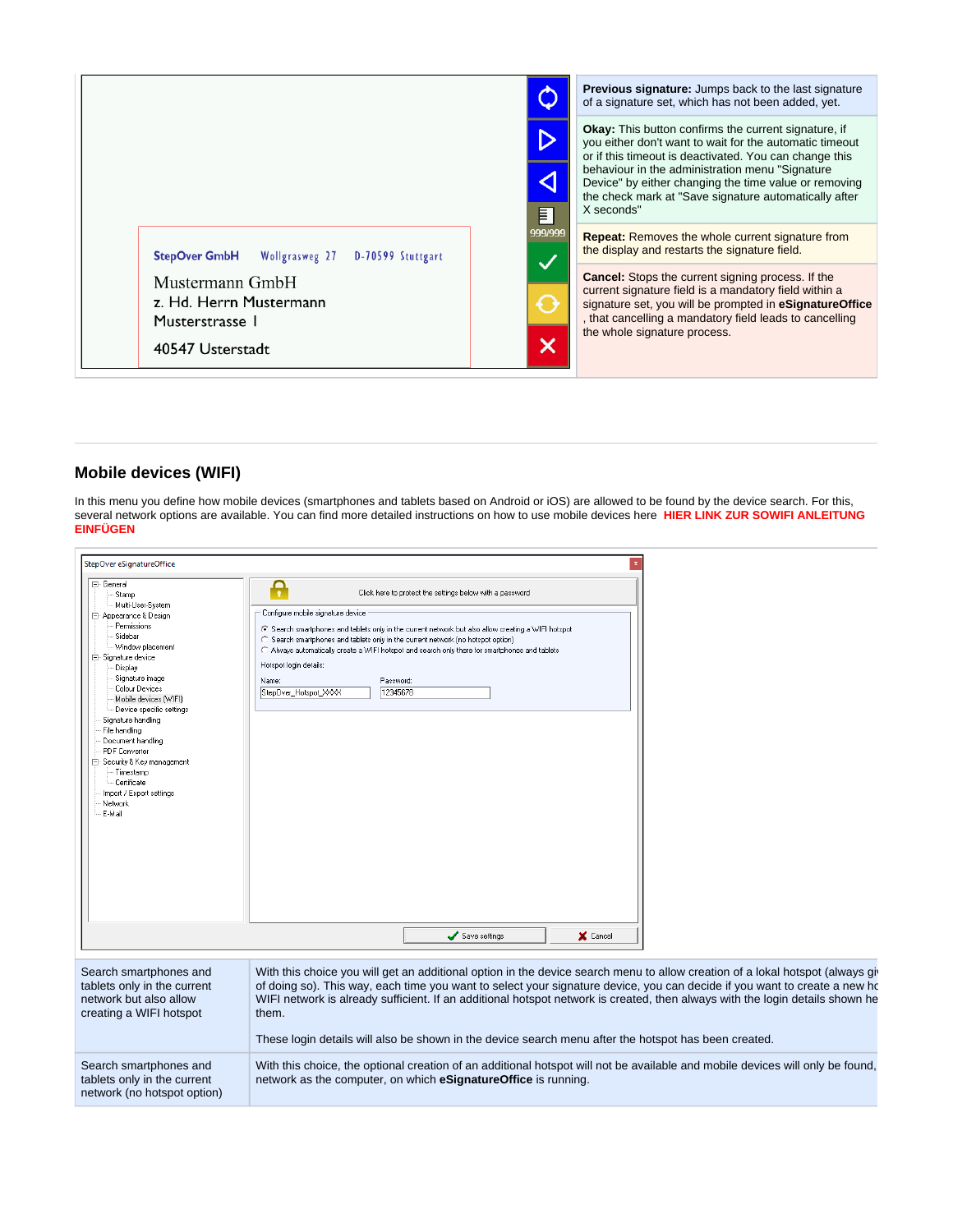

#### <span id="page-31-0"></span>**Mobile devices (WIFI)**

In this menu you define how mobile devices (smartphones and tablets based on Android or iOS) are allowed to be found by the device search. For this, several network options are available. You can find more detailed instructions on how to use mobile devices here **HIER LINK ZUR SOWIFI ANLEITUNG EINFÜGEN**

| StepOver eSignatureOffice                                                                                                                                                                                                                                                                                                                                                                                                                         |                                                                                                                                                                                                                                                                                                                                                                                                                                                                                                                  |
|---------------------------------------------------------------------------------------------------------------------------------------------------------------------------------------------------------------------------------------------------------------------------------------------------------------------------------------------------------------------------------------------------------------------------------------------------|------------------------------------------------------------------------------------------------------------------------------------------------------------------------------------------------------------------------------------------------------------------------------------------------------------------------------------------------------------------------------------------------------------------------------------------------------------------------------------------------------------------|
| 日 General<br>Stamp<br>--- Multi-User-System<br>白 Appearance & Design<br>Permissions<br>Sidebar<br>Window placement<br>白 Signature device<br>Display<br>Signature image<br>Colour Devices<br>Mobile devices (WIFI)<br>Device specific settings<br>Signature handling<br>File handling<br>Document handling<br><b>PDF</b> Converter<br>⊟– Security & Key management<br>Timestamp<br>-- Certificate<br>Import / Export settings<br>Network<br>E-Mail | Ą<br>Click here to protect the settings below with a password<br>Configure mobile signature device<br>⊙ Search smartphones and tablets only in the current network but also allow creating a WIFI hotspot<br>C Search smartphones and tablets only in the current network (no hotspot option)<br>C Always automatically create a WIFI hotspot and search only there for smartphones and tablets<br>Hotspot login details:<br>Password:<br>Name:<br>12345678<br>StepDver_Hotspot_XXX<br>Save settings<br>X Cancel |
| Search smartphones and<br>tablets only in the current<br>network but also allow<br>creating a WIFI hotspot                                                                                                                                                                                                                                                                                                                                        | With this choice you will get an additional option in the device search menu to allow creation of a lokal hotspot (always git<br>of doing so). This way, each time you want to select your signature device, you can decide if you want to create a new ho<br>WIFI network is already sufficient. If an additional hotspot network is created, then always with the login details shown he<br>them.<br>These login details will also be shown in the device search menu after the hotspot has been created.      |
| Search smartphones and<br>tablets only in the current<br>network (no hotspot option)                                                                                                                                                                                                                                                                                                                                                              | With this choice, the optional creation of an additional hotspot will not be available and mobile devices will only be found,<br>network as the computer, on which eSignatureOffice is running.                                                                                                                                                                                                                                                                                                                  |
|                                                                                                                                                                                                                                                                                                                                                                                                                                                   |                                                                                                                                                                                                                                                                                                                                                                                                                                                                                                                  |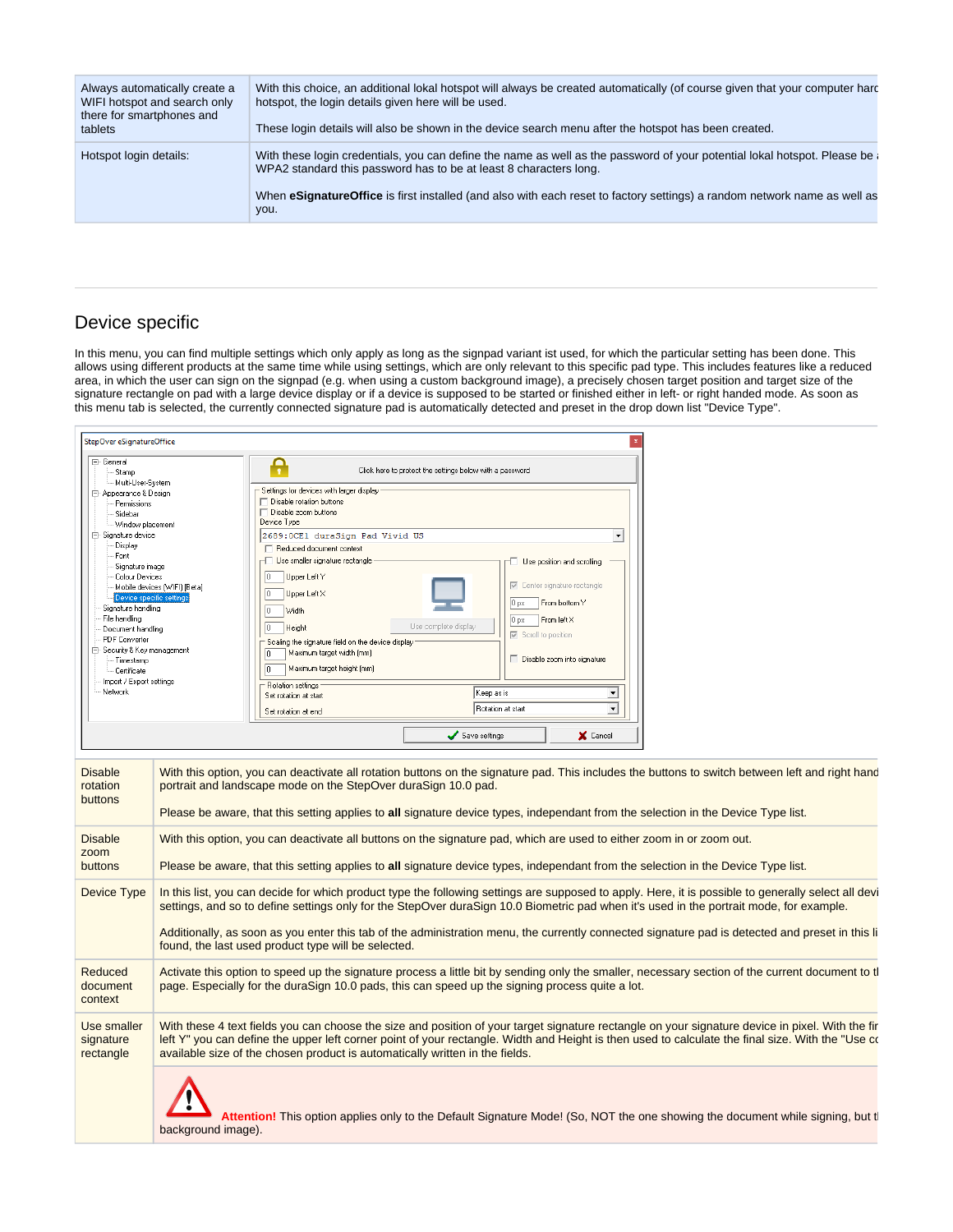| Always automatically create a<br>WIFI hotspot and search only<br>there for smartphones and<br>tablets | With this choice, an additional lokal hotspot will always be created automatically (of course given that your computer hard<br>hotspot, the login details given here will be used.<br>These login details will also be shown in the device search menu after the hotspot has been created.                                        |
|-------------------------------------------------------------------------------------------------------|-----------------------------------------------------------------------------------------------------------------------------------------------------------------------------------------------------------------------------------------------------------------------------------------------------------------------------------|
| Hotspot login details:                                                                                | With these login credentials, you can define the name as well as the password of your potential lokal hotspot. Please be<br>WPA2 standard this password has to be at least 8 characters long.<br>When eSignatureOffice is first installed (and also with each reset to factory settings) a random network name as well as<br>you. |

## <span id="page-32-0"></span>Device specific

In this menu, you can find multiple settings which only apply as long as the signpad variant ist used, for which the particular setting has been done. This allows using different products at the same time while using settings, which are only relevant to this specific pad type. This includes features like a reduced area, in which the user can sign on the signpad (e.g. when using a custom background image), a precisely chosen target position and target size of the signature rectangle on pad with a large device display or if a device is supposed to be started or finished either in left- or right handed mode. As soon as this menu tab is selected, the currently connected signature pad is automatically detected and preset in the drop down list "Device Type".

| StepOver eSignatureOffice                                                                                                                                                                                                                                                                                                                                                                                       |                              |                                                                                                                                                                                                                                                                                                                                                                                                                                                                                                                                                                                                                     |                                                                                                                     |                                                                                                                                                                                                                                |  |  |
|-----------------------------------------------------------------------------------------------------------------------------------------------------------------------------------------------------------------------------------------------------------------------------------------------------------------------------------------------------------------------------------------------------------------|------------------------------|---------------------------------------------------------------------------------------------------------------------------------------------------------------------------------------------------------------------------------------------------------------------------------------------------------------------------------------------------------------------------------------------------------------------------------------------------------------------------------------------------------------------------------------------------------------------------------------------------------------------|---------------------------------------------------------------------------------------------------------------------|--------------------------------------------------------------------------------------------------------------------------------------------------------------------------------------------------------------------------------|--|--|
| □ General<br>Stamp<br>Multi-User-System<br>⊟- Appearance & Design<br>Permissions<br>Sidebar<br>Window placement<br>⊟- Signature device<br>Display<br>Font<br>Signature image<br>Colour Devices<br>Device specific setting<br>Signature handling<br>File handling<br>Document handling<br><b>PDF</b> Converter<br>- Security & Key management<br>Timestamp<br>Certificate<br>Import / Export settings<br>Network | Mobile devices [WIFI] [Beta] | A<br>Settings for devices with larger display<br>Disable rotation buttons<br>Disable zoom buttons<br>Device Type<br>2689:0CE1 duraSign Pad Vivid US<br>□ Reduced document context<br>├ Use smaller signature rectangle<br>O.<br>Upper Left Y<br>O.<br>Upper Left X<br>Width<br>O.<br>O.<br>Height<br>Scaling the signature field on the device display<br>Maximum target width [mm]<br>$\sqrt{a}$<br>$\sqrt{a}$<br>Maximum target height (mm)<br>Rotation settings<br>Set rotation at start<br>Set rotation at end                                                                                                  | Click here to protect the settings below with a password<br>Use complete display<br>Keep as is<br>Rotation at start | $\blacktriangledown$<br>Use position and scrolling<br>Center signature-rectangle<br>0 <sub>px</sub><br>From bottom Y<br>0 <sub>px</sub><br>From left X<br><b>■</b> Scroll to position<br>Disable zoom into signature<br>ᅬ<br>⊒ |  |  |
| <b>Disable</b><br>rotation<br>buttons<br><b>Disable</b><br>zoom<br>buttons                                                                                                                                                                                                                                                                                                                                      |                              | With this option, you can deactivate all rotation buttons on the signature pad. This includes the buttons to switch between left and right hanc<br>portrait and landscape mode on the StepOver duraSign 10.0 pad.<br>Please be aware, that this setting applies to all signature device types, independant from the selection in the Device Type list.<br>With this option, you can deactivate all buttons on the signature pad, which are used to either zoom in or zoom out.<br>Please be aware, that this setting applies to all signature device types, independant from the selection in the Device Type list. | Save settings                                                                                                       | X Cancel                                                                                                                                                                                                                       |  |  |
| Device Type                                                                                                                                                                                                                                                                                                                                                                                                     |                              | In this list, you can decide for which product type the following settings are supposed to apply. Here, it is possible to generally select all devi<br>settings, and so to define settings only for the StepOver duraSign 10.0 Biometric pad when it's used in the portrait mode, for example.<br>Additionally, as soon as you enter this tab of the administration menu, the currently connected signature pad is detected and preset in this li<br>found, the last used product type will be selected.                                                                                                            |                                                                                                                     |                                                                                                                                                                                                                                |  |  |
| Reduced<br>document<br>context                                                                                                                                                                                                                                                                                                                                                                                  |                              | Activate this option to speed up the signature process a little bit by sending only the smaller, necessary section of the current document to t<br>page. Especially for the duraSign 10.0 pads, this can speed up the signing process quite a lot.                                                                                                                                                                                                                                                                                                                                                                  |                                                                                                                     |                                                                                                                                                                                                                                |  |  |
| Use smaller<br>signature<br>rectangle                                                                                                                                                                                                                                                                                                                                                                           |                              | With these 4 text fields you can choose the size and position of your target signature rectangle on your signature device in pixel. With the fir<br>left Y" you can define the upper left corner point of your rectangle. Width and Height is then used to calculate the final size. With the "Use co<br>available size of the chosen product is automatically written in the fields.                                                                                                                                                                                                                               |                                                                                                                     |                                                                                                                                                                                                                                |  |  |
|                                                                                                                                                                                                                                                                                                                                                                                                                 |                              | Attention! This option applies only to the Default Signature Mode! (So, NOT the one showing the document while signing, but t                                                                                                                                                                                                                                                                                                                                                                                                                                                                                       |                                                                                                                     |                                                                                                                                                                                                                                |  |  |

background image).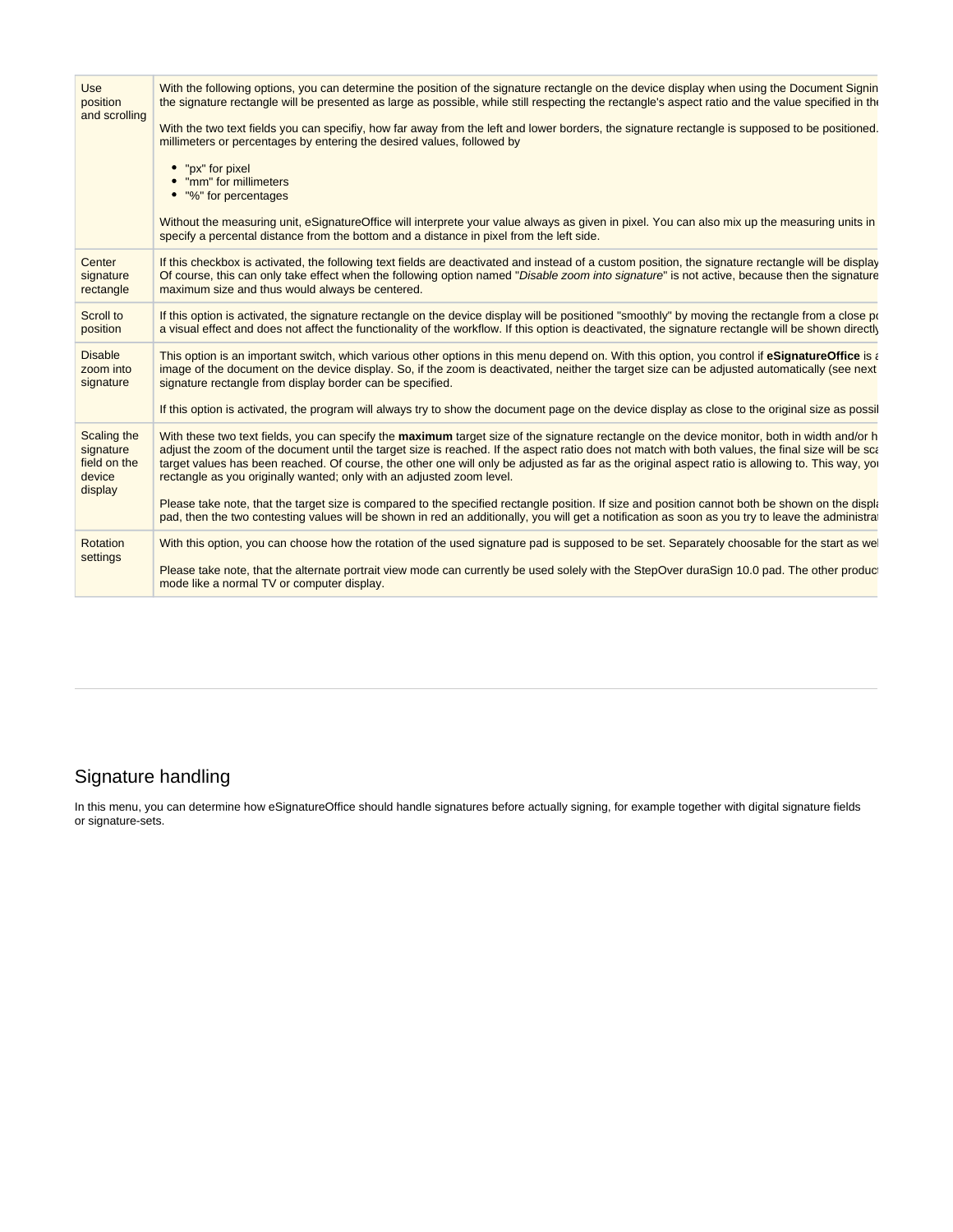| Use<br>position<br>and scrolling                              | With the following options, you can determine the position of the signature rectangle on the device display when using the Document Signin<br>the signature rectangle will be presented as large as possible, while still respecting the rectangle's aspect ratio and the value specified in the<br>With the two text fields you can specifiy, how far away from the left and lower borders, the signature rectangle is supposed to be positioned.<br>millimeters or percentages by entering the desired values, followed by<br>• "px" for pixel<br>• "mm" for millimeters<br>• "%" for percentages<br>Without the measuring unit, eSignatureOffice will interprete your value always as given in pixel. You can also mix up the measuring units in |
|---------------------------------------------------------------|-----------------------------------------------------------------------------------------------------------------------------------------------------------------------------------------------------------------------------------------------------------------------------------------------------------------------------------------------------------------------------------------------------------------------------------------------------------------------------------------------------------------------------------------------------------------------------------------------------------------------------------------------------------------------------------------------------------------------------------------------------|
|                                                               | specify a percental distance from the bottom and a distance in pixel from the left side.                                                                                                                                                                                                                                                                                                                                                                                                                                                                                                                                                                                                                                                            |
| Center<br>signature<br>rectangle                              | If this checkbox is activated, the following text fields are deactivated and instead of a custom position, the signature rectangle will be display<br>Of course, this can only take effect when the following option named "Disable zoom into signature" is not active, because then the signature<br>maximum size and thus would always be centered.                                                                                                                                                                                                                                                                                                                                                                                               |
| Scroll to<br>position                                         | If this option is activated, the signature rectangle on the device display will be positioned "smoothly" by moving the rectangle from a close po<br>a visual effect and does not affect the functionality of the workflow. If this option is deactivated, the signature rectangle will be shown directly                                                                                                                                                                                                                                                                                                                                                                                                                                            |
| <b>Disable</b><br>zoom into<br>signature                      | This option is an important switch, which various other options in this menu depend on. With this option, you control if eSignatureOffice is a<br>image of the document on the device display. So, if the zoom is deactivated, neither the target size can be adjusted automatically (see next<br>signature rectangle from display border can be specified.                                                                                                                                                                                                                                                                                                                                                                                         |
|                                                               | If this option is activated, the program will always try to show the document page on the device display as close to the original size as possil                                                                                                                                                                                                                                                                                                                                                                                                                                                                                                                                                                                                    |
| Scaling the<br>signature<br>field on the<br>device<br>display | With these two text fields, you can specify the maximum target size of the signature rectangle on the device monitor, both in width and/or h<br>adjust the zoom of the document until the target size is reached. If the aspect ratio does not match with both values, the final size will be sca<br>target values has been reached. Of course, the other one will only be adjusted as far as the original aspect ratio is allowing to. This way, yor<br>rectangle as you originally wanted; only with an adjusted zoom level.                                                                                                                                                                                                                      |
|                                                               | Please take note, that the target size is compared to the specified rectangle position. If size and position cannot both be shown on the displa<br>pad, then the two contesting values will be shown in red an additionally, you will get a notification as soon as you try to leave the administra                                                                                                                                                                                                                                                                                                                                                                                                                                                 |
| Rotation<br>settings                                          | With this option, you can choose how the rotation of the used signature pad is supposed to be set. Separately choosable for the start as we<br>Please take note, that the alternate portrait view mode can currently be used solely with the StepOver duraSign 10.0 pad. The other produc                                                                                                                                                                                                                                                                                                                                                                                                                                                           |
|                                                               | mode like a normal TV or computer display.                                                                                                                                                                                                                                                                                                                                                                                                                                                                                                                                                                                                                                                                                                          |

## <span id="page-33-0"></span>Signature handling

In this menu, you can determine how eSignatureOffice should handle signatures before actually signing, for example together with digital signature fields or signature-sets.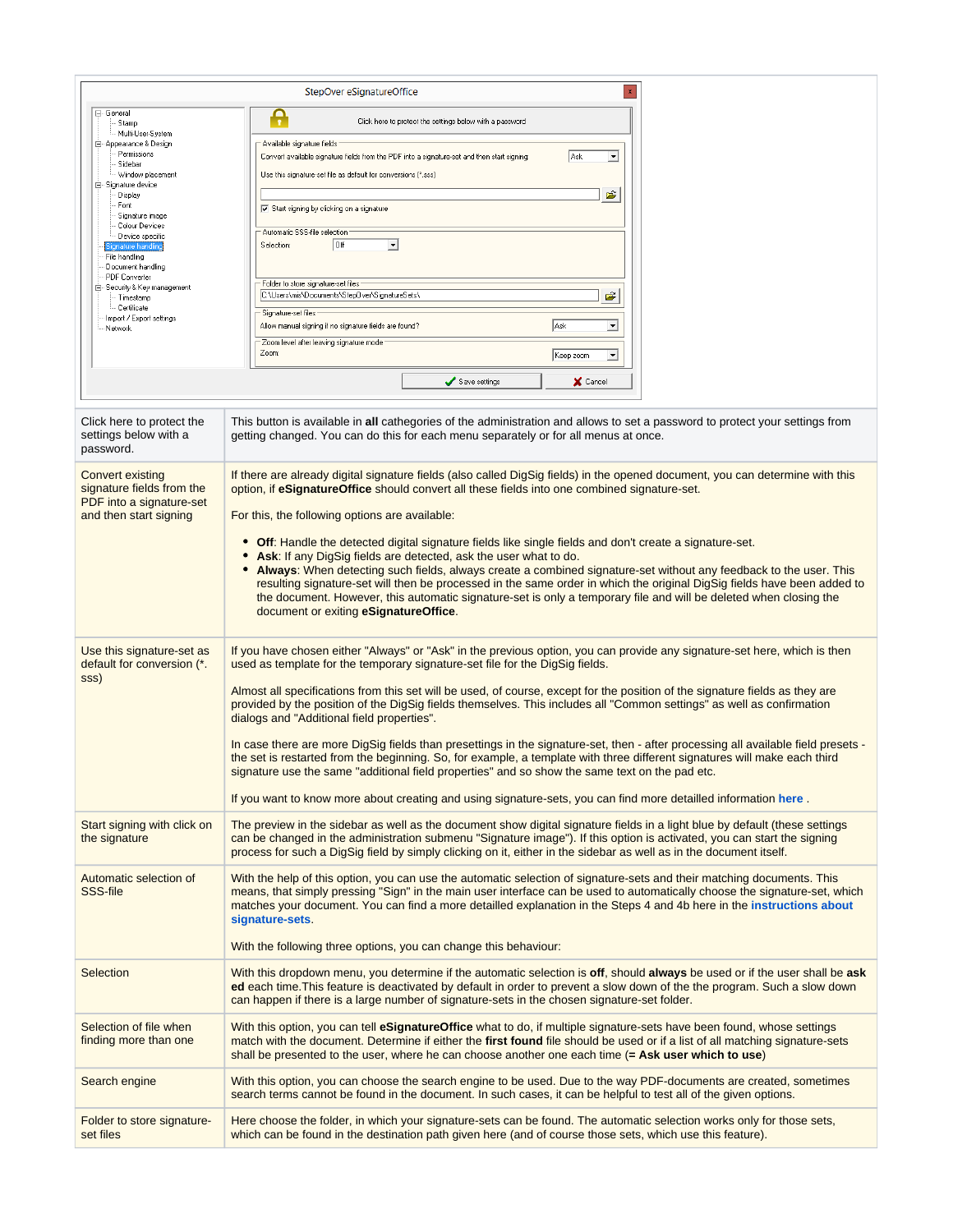|                                                                                  | $\mathbf{x}$<br>StepOver eSignatureOffice                                                                                                                                                                                                                                                                                                                                                                                                                                                                                                                                                       |  |  |
|----------------------------------------------------------------------------------|-------------------------------------------------------------------------------------------------------------------------------------------------------------------------------------------------------------------------------------------------------------------------------------------------------------------------------------------------------------------------------------------------------------------------------------------------------------------------------------------------------------------------------------------------------------------------------------------------|--|--|
| ⊟- General<br>· Stamp                                                            | Ą<br>Click here to protect the settings below with a password                                                                                                                                                                                                                                                                                                                                                                                                                                                                                                                                   |  |  |
| - Multi-User-System<br>白 Appearance & Design<br>Permissions<br>Sidebar           | Available signature fields<br>Ask<br>Convert available signature fields from the PDF into a signature-set and then start signing:<br>회                                                                                                                                                                                                                                                                                                                                                                                                                                                          |  |  |
| Window placement<br>⊟- Signature device<br>Display                               | Use this signature-set file as default for conversions [*.sss]<br>Ê                                                                                                                                                                                                                                                                                                                                                                                                                                                                                                                             |  |  |
| Font<br>· Signature image<br>Colour Devices                                      | $\nabla$ Start signing by clicking on a signature                                                                                                                                                                                                                                                                                                                                                                                                                                                                                                                                               |  |  |
| Device specific<br>Signature handling<br>File handling<br>Document handling      | Automatic SSS-file selection<br><b>Off</b><br>ᅬ<br>Selection:                                                                                                                                                                                                                                                                                                                                                                                                                                                                                                                                   |  |  |
| <b>PDF</b> Converter<br>⊟– Security & Key management<br>- Timestamp              | - Folder to store signature-set files<br>C:\Users\mis\Documents\Step0ver\SignatureSets\<br>Ê                                                                                                                                                                                                                                                                                                                                                                                                                                                                                                    |  |  |
| -- Certificate<br>Import / Export settings<br>Network                            | Signature-set files<br>Ask<br>Allow manual signing if no signature fields are found?<br>그                                                                                                                                                                                                                                                                                                                                                                                                                                                                                                       |  |  |
|                                                                                  | Zoom level after leaving signature mode<br>Zoom:<br>Keep zoom<br>ᅬ                                                                                                                                                                                                                                                                                                                                                                                                                                                                                                                              |  |  |
|                                                                                  | Save settings<br>X Cancel                                                                                                                                                                                                                                                                                                                                                                                                                                                                                                                                                                       |  |  |
|                                                                                  |                                                                                                                                                                                                                                                                                                                                                                                                                                                                                                                                                                                                 |  |  |
| Click here to protect the<br>settings below with a<br>password.                  | This button is available in all cathegories of the administration and allows to set a password to protect your settings from<br>getting changed. You can do this for each menu separately or for all menus at once.                                                                                                                                                                                                                                                                                                                                                                             |  |  |
| <b>Convert existing</b><br>signature fields from the<br>PDF into a signature-set | If there are already digital signature fields (also called DigSig fields) in the opened document, you can determine with this<br>option, if eSignatureOffice should convert all these fields into one combined signature-set.                                                                                                                                                                                                                                                                                                                                                                   |  |  |
| and then start signing                                                           | For this, the following options are available:                                                                                                                                                                                                                                                                                                                                                                                                                                                                                                                                                  |  |  |
|                                                                                  | • Off: Handle the detected digital signature fields like single fields and don't create a signature-set.<br>Ask: If any DigSig fields are detected, ask the user what to do.<br>Always: When detecting such fields, always create a combined signature-set without any feedback to the user. This<br>٠<br>resulting signature-set will then be processed in the same order in which the original DigSig fields have been added to<br>the document. However, this automatic signature-set is only a temporary file and will be deleted when closing the<br>document or exiting eSignatureOffice. |  |  |
| Use this signature-set as<br>default for conversion (*.                          | If you have chosen either "Always" or "Ask" in the previous option, you can provide any signature-set here, which is then<br>used as template for the temporary signature-set file for the DigSig fields.                                                                                                                                                                                                                                                                                                                                                                                       |  |  |
| SSS)                                                                             | Almost all specifications from this set will be used, of course, except for the position of the signature fields as they are<br>provided by the position of the DigSig fields themselves. This includes all "Common settings" as well as confirmation<br>dialogs and "Additional field properties".                                                                                                                                                                                                                                                                                             |  |  |
|                                                                                  | In case there are more DigSig fields than presettings in the signature-set, then - after processing all available field presets -<br>the set is restarted from the beginning. So, for example, a template with three different signatures will make each third<br>signature use the same "additional field properties" and so show the same text on the pad etc.                                                                                                                                                                                                                                |  |  |
|                                                                                  | If you want to know more about creating and using signature-sets, you can find more detailled information here                                                                                                                                                                                                                                                                                                                                                                                                                                                                                  |  |  |
| Start signing with click on<br>the signature                                     | The preview in the sidebar as well as the document show digital signature fields in a light blue by default (these settings<br>can be changed in the administration submenu "Signature image"). If this option is activated, you can start the signing<br>process for such a DigSig field by simply clicking on it, either in the sidebar as well as in the document itself.                                                                                                                                                                                                                    |  |  |
| Automatic selection of<br>SSS-file                                               | With the help of this option, you can use the automatic selection of signature-sets and their matching documents. This<br>means, that simply pressing "Sign" in the main user interface can be used to automatically choose the signature-set, which<br>matches your document. You can find a more detailled explanation in the Steps 4 and 4b here in the instructions about<br>signature-sets.                                                                                                                                                                                                |  |  |
|                                                                                  | With the following three options, you can change this behaviour:                                                                                                                                                                                                                                                                                                                                                                                                                                                                                                                                |  |  |
| Selection                                                                        | With this dropdown menu, you determine if the automatic selection is off, should always be used or if the user shall be ask<br>ed each time. This feature is deactivated by default in order to prevent a slow down of the the program. Such a slow down<br>can happen if there is a large number of signature-sets in the chosen signature-set folder.                                                                                                                                                                                                                                         |  |  |
| Selection of file when<br>finding more than one                                  | With this option, you can tell <b>eSignatureOffice</b> what to do, if multiple signature-sets have been found, whose settings<br>match with the document. Determine if either the first found file should be used or if a list of all matching signature-sets<br>shall be presented to the user, where he can choose another one each time $(=\mathbf{Ask} \text{ user which to use})$                                                                                                                                                                                                          |  |  |
| Search engine                                                                    | With this option, you can choose the search engine to be used. Due to the way PDF-documents are created, sometimes<br>search terms cannot be found in the document. In such cases, it can be helpful to test all of the given options.                                                                                                                                                                                                                                                                                                                                                          |  |  |
| Folder to store signature-<br>set files                                          | Here choose the folder, in which your signature-sets can be found. The automatic selection works only for those sets,<br>which can be found in the destination path given here (and of course those sets, which use this feature).                                                                                                                                                                                                                                                                                                                                                              |  |  |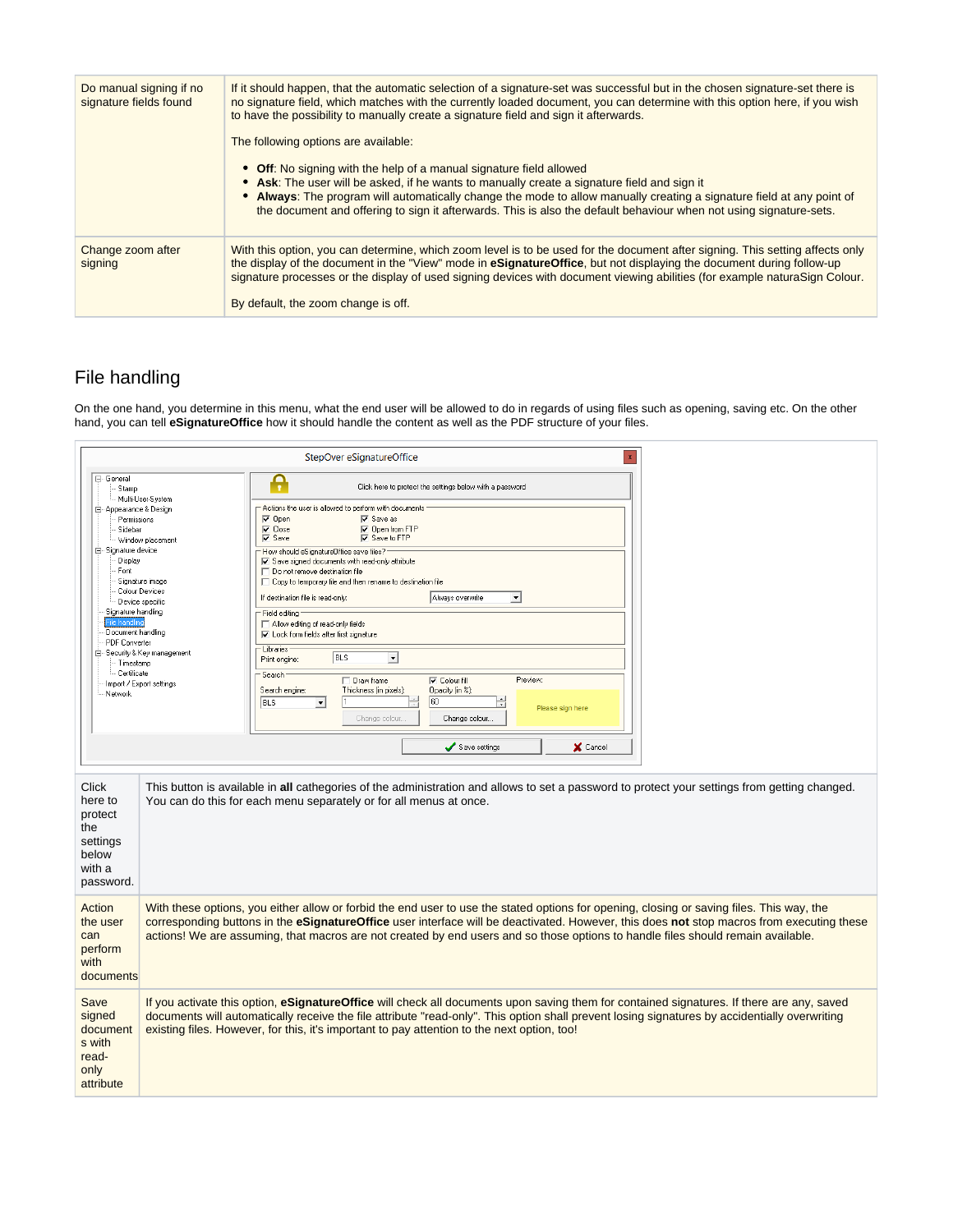| Do manual signing if no<br>signature fields found | If it should happen, that the automatic selection of a signature-set was successful but in the chosen signature-set there is<br>no signature field, which matches with the currently loaded document, you can determine with this option here, if you wish<br>to have the possibility to manually create a signature field and sign it afterwards.<br>The following options are available:                                         |
|---------------------------------------------------|------------------------------------------------------------------------------------------------------------------------------------------------------------------------------------------------------------------------------------------------------------------------------------------------------------------------------------------------------------------------------------------------------------------------------------|
|                                                   | • Off: No signing with the help of a manual signature field allowed<br>• Ask: The user will be asked, if he wants to manually create a signature field and sign it<br>• Always: The program will automatically change the mode to allow manually creating a signature field at any point of<br>the document and offering to sign it afterwards. This is also the default behaviour when not using signature-sets.                  |
| Change zoom after<br>signing                      | With this option, you can determine, which zoom level is to be used for the document after signing. This setting affects only<br>the display of the document in the "View" mode in <b>eSignatureOffice</b> , but not displaying the document during follow-up<br>signature processes or the display of used signing devices with document viewing abilities (for example naturaSign Colour.<br>By default, the zoom change is off. |

## <span id="page-35-0"></span>File handling

On the one hand, you determine in this menu, what the end user will be allowed to do in regards of using files such as opening, saving etc. On the other hand, you can tell **eSignatureOffice** how it should handle the content as well as the PDF structure of your files.

|                                                                                                                                                                      |                                                                                                                                      | StepOver eSignatureOffice<br>$\mathbf{x}$                                                                                                                                                                                                                                                                                                                                                                                                                                                                                                                                                                                                                                                                                                                                                            |
|----------------------------------------------------------------------------------------------------------------------------------------------------------------------|--------------------------------------------------------------------------------------------------------------------------------------|------------------------------------------------------------------------------------------------------------------------------------------------------------------------------------------------------------------------------------------------------------------------------------------------------------------------------------------------------------------------------------------------------------------------------------------------------------------------------------------------------------------------------------------------------------------------------------------------------------------------------------------------------------------------------------------------------------------------------------------------------------------------------------------------------|
| 日 General<br>Stamp<br>白 Appearance & Design<br>Permissions<br>Sidebar                                                                                                | Multi-User-System                                                                                                                    | Ą<br>Click here to protect the settings below with a password<br>Actions the user is allowed to perform with documents<br>$\nabla$ Open<br>$\nabla$ Save as<br>$\nabla$ Close<br>$\nabla$ Open from FTP                                                                                                                                                                                                                                                                                                                                                                                                                                                                                                                                                                                              |
| 白 Signature device<br>Display<br>Font<br>Signature handling<br>File handling<br>Document handling<br><b>PDF</b> Converter<br>· Timestamp<br>- Certificate<br>Network | Window placement<br>Signature image<br>Colour Devices<br>Device specific<br>⊟- Security & Key management<br>Import / Export settings | <b>▽</b> Save to FTP<br>$\overline{\vee}$ Save<br>How should eSignatureOffice save files?<br>$\overline{\mathbf{v}}$ Save signed documents with read-only attribute<br>$\Box$ Do not remove destination file<br>□ Copy to temporary file and then rename to destination file<br>$\vert \cdot \vert$<br>If destination file is read-only:<br>Always overwrite<br>- Field editing<br>Allow editing of read-only fields<br>$\nabla$ Lock form fields after first signature<br>- Libraries<br>BLS<br>$\overline{\phantom{a}}$<br>Print engine:<br>- Search<br><b>V</b> Colour fill<br>Preview:<br>Draw frame<br>Opacity (in %):<br>Search engine:<br>Thickness (in pixels):<br>60<br>BLS<br>Ħ<br>$\vert \cdot \vert$<br>Please sign here<br>Change colour<br>Change colour.<br>Save settings<br>X Cancel |
| Click<br>here to<br>protect<br>the<br>settings<br>below<br>with a<br>password.                                                                                       |                                                                                                                                      | This button is available in all cathegories of the administration and allows to set a password to protect your settings from getting changed.<br>You can do this for each menu separately or for all menus at once.                                                                                                                                                                                                                                                                                                                                                                                                                                                                                                                                                                                  |
| Action<br>the user<br>can<br>perform<br>with<br>documents                                                                                                            |                                                                                                                                      | With these options, you either allow or forbid the end user to use the stated options for opening, closing or saving files. This way, the<br>corresponding buttons in the eSignatureOffice user interface will be deactivated. However, this does not stop macros from executing these<br>actions! We are assuming, that macros are not created by end users and so those options to handle files should remain available.                                                                                                                                                                                                                                                                                                                                                                           |
| Save<br>signed<br>document<br>s with<br>read-<br>only<br>attribute                                                                                                   |                                                                                                                                      | If you activate this option, eSignatureOffice will check all documents upon saving them for contained signatures. If there are any, saved<br>documents will automatically receive the file attribute "read-only". This option shall prevent losing signatures by accidentially overwriting<br>existing files. However, for this, it's important to pay attention to the next option, too!                                                                                                                                                                                                                                                                                                                                                                                                            |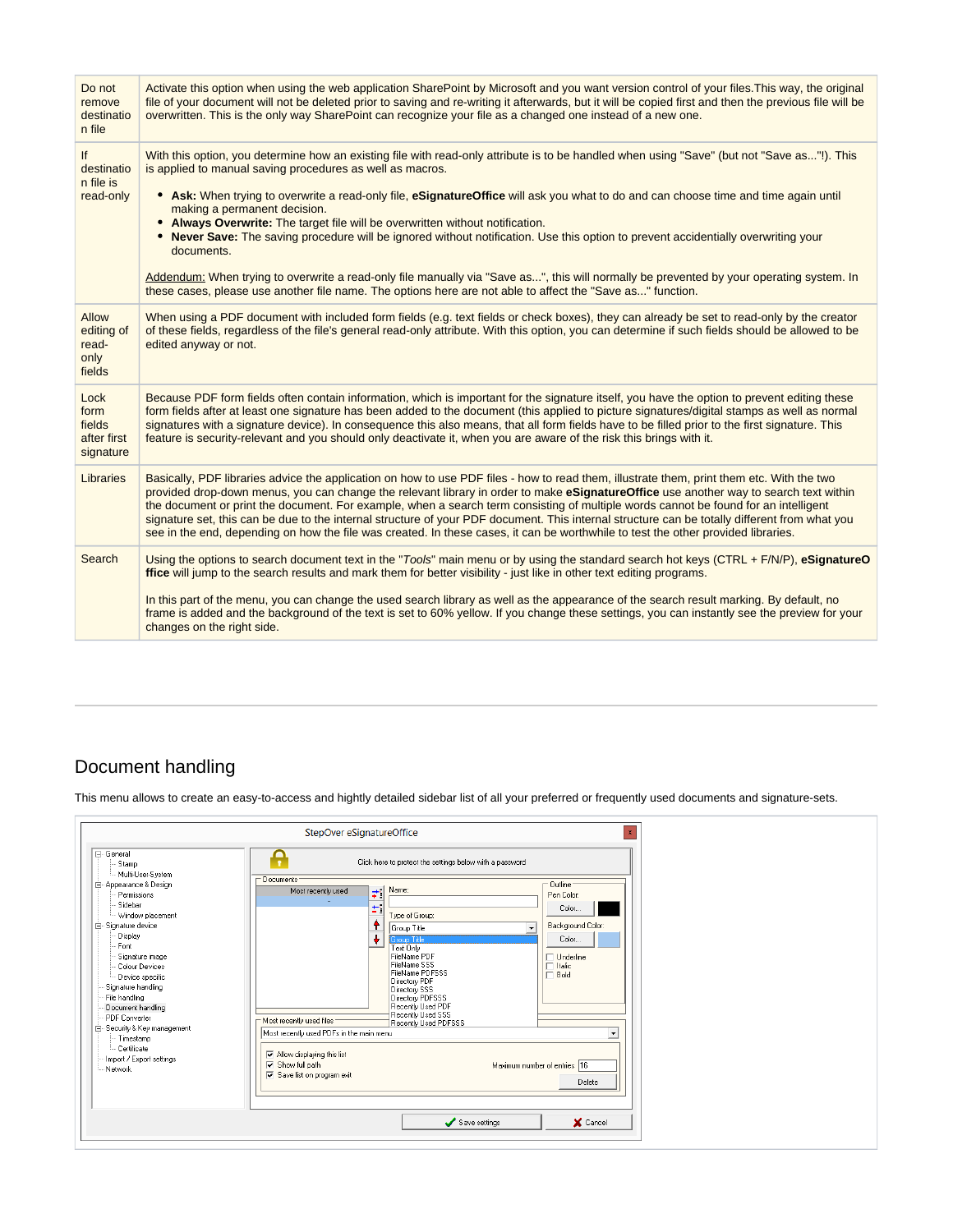| Do not<br>remove<br>destinatio<br>n file              | Activate this option when using the web application SharePoint by Microsoft and you want version control of your files. This way, the original<br>file of your document will not be deleted prior to saving and re-writing it afterwards, but it will be copied first and then the previous file will be<br>overwritten. This is the only way SharePoint can recognize your file as a changed one instead of a new one.                                                                                                                                                                                                                                                                                                                                                                                                                                                        |
|-------------------------------------------------------|--------------------------------------------------------------------------------------------------------------------------------------------------------------------------------------------------------------------------------------------------------------------------------------------------------------------------------------------------------------------------------------------------------------------------------------------------------------------------------------------------------------------------------------------------------------------------------------------------------------------------------------------------------------------------------------------------------------------------------------------------------------------------------------------------------------------------------------------------------------------------------|
| If<br>destinatio<br>n file is<br>read-only            | With this option, you determine how an existing file with read-only attribute is to be handled when using "Save" (but not "Save as"!). This<br>is applied to manual saving procedures as well as macros.<br>• Ask: When trying to overwrite a read-only file, eSignatureOffice will ask you what to do and can choose time and time again until<br>making a permanent decision.<br>• Always Overwrite: The target file will be overwritten without notification.<br>• Never Save: The saving procedure will be ignored without notification. Use this option to prevent accidentially overwriting your<br>documents.<br>Addendum: When trying to overwrite a read-only file manually via "Save as", this will normally be prevented by your operating system. In<br>these cases, please use another file name. The options here are not able to affect the "Save as" function. |
| <b>Allow</b><br>editing of<br>read-<br>only<br>fields | When using a PDF document with included form fields (e.g. text fields or check boxes), they can already be set to read-only by the creator<br>of these fields, regardless of the file's general read-only attribute. With this option, you can determine if such fields should be allowed to be<br>edited anyway or not.                                                                                                                                                                                                                                                                                                                                                                                                                                                                                                                                                       |
| Lock<br>form<br>fields<br>after first<br>signature    | Because PDF form fields often contain information, which is important for the signature itself, you have the option to prevent editing these<br>form fields after at least one signature has been added to the document (this applied to picture signatures/digital stamps as well as normal<br>signatures with a signature device). In consequence this also means, that all form fields have to be filled prior to the first signature. This<br>feature is security-relevant and you should only deactivate it, when you are aware of the risk this brings with it.                                                                                                                                                                                                                                                                                                          |
| Libraries                                             | Basically, PDF libraries advice the application on how to use PDF files - how to read them, illustrate them, print them etc. With the two<br>provided drop-down menus, you can change the relevant library in order to make eSignatureOffice use another way to search text within<br>the document or print the document. For example, when a search term consisting of multiple words cannot be found for an intelligent<br>signature set, this can be due to the internal structure of your PDF document. This internal structure can be totally different from what you<br>see in the end, depending on how the file was created. In these cases, it can be worthwhile to test the other provided libraries.                                                                                                                                                                |
| Search                                                | Using the options to search document text in the "Tools" main menu or by using the standard search hot keys (CTRL + F/N/P), eSignatureO<br>ffice will jump to the search results and mark them for better visibility - just like in other text editing programs.                                                                                                                                                                                                                                                                                                                                                                                                                                                                                                                                                                                                               |
|                                                       | In this part of the menu, you can change the used search library as well as the appearance of the search result marking. By default, no<br>frame is added and the background of the text is set to 60% yellow. If you change these settings, you can instantly see the preview for your<br>changes on the right side.                                                                                                                                                                                                                                                                                                                                                                                                                                                                                                                                                          |

# <span id="page-36-0"></span>Document handling

This menu allows to create an easy-to-access and hightly detailed sidebar list of all your preferred or frequently used documents and signature-sets.

|                                                                                                                                                                                                                                                                                                                                                                                                          | StepOver eSignatureOffice<br>$\mathbf{x}$                                                                                                                                                                                                                                                                                                                                                                                                                                                                                                                                                                                                                                                                                                                                            |
|----------------------------------------------------------------------------------------------------------------------------------------------------------------------------------------------------------------------------------------------------------------------------------------------------------------------------------------------------------------------------------------------------------|--------------------------------------------------------------------------------------------------------------------------------------------------------------------------------------------------------------------------------------------------------------------------------------------------------------------------------------------------------------------------------------------------------------------------------------------------------------------------------------------------------------------------------------------------------------------------------------------------------------------------------------------------------------------------------------------------------------------------------------------------------------------------------------|
| F-General<br>Stamp<br>Multi-User-System<br>白 Appearance & Design<br>Permissions<br>Sidebar<br>- Window placement<br>白 Signature device<br>Display<br>Font<br>Signature image<br>Colour Devices<br>Device specific<br>Signature handling<br>File handling<br>Document handling<br>- PDF Converter<br>E-Security & Key management<br>- Timestamp<br>Certificate<br>- Import / Export settings<br>- Network | ≏<br>Click here to protect the settings below with a password<br>- Documents<br>- Outline :<br>Name:<br>$\overrightarrow{\bullet}$<br>Most recently used<br>Pen Color:<br>÷.<br>Color<br>Type of Group:<br>٠<br>Background Color:<br>Group Title<br>$\overline{ }$<br>۰<br>Color<br><b>Group Title</b><br>Text Only<br>FileName PDF<br>$\Box$ Underline<br>FileName SSS<br>$\Box$ Italic<br>FileName PDFSSS<br>$\Box$ Bold<br>Directory PDF<br>Directory SSS<br>Directory PDFSSS<br>Recently Used PDF<br>Recently Used SSS<br>Most recently used files<br>Recently Used PDFSSS<br>Most recently used PDFs in the main menu<br>$\blacktriangledown$<br>M Allow displaying this list<br>$\nabla$ Show full path<br>Maximum number of entries 16<br>Save list on program exit<br>Delete |
|                                                                                                                                                                                                                                                                                                                                                                                                          | Save settings<br>X Cancel                                                                                                                                                                                                                                                                                                                                                                                                                                                                                                                                                                                                                                                                                                                                                            |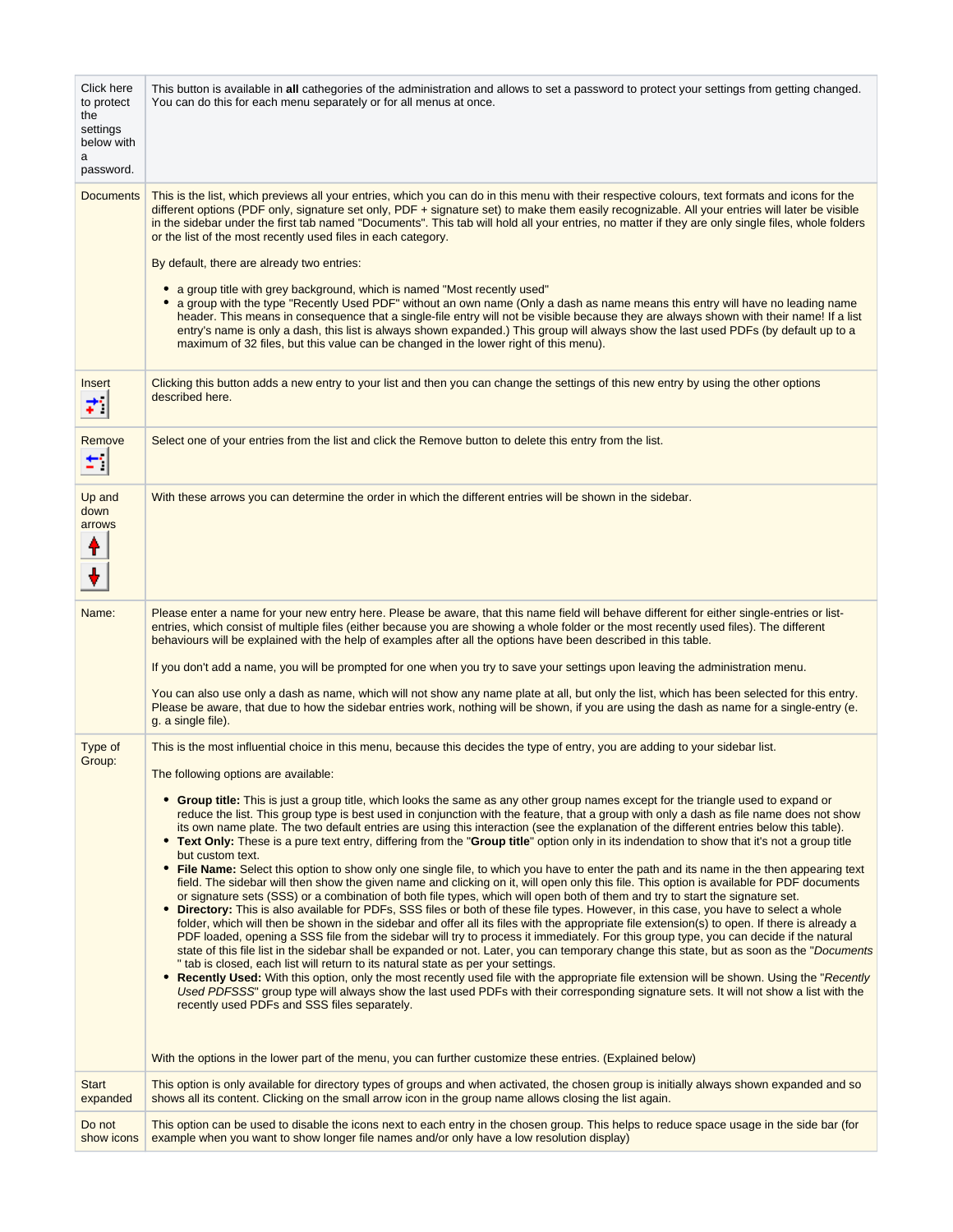| Click here<br>to protect<br>the<br>settings<br>below with<br>a<br>password. | This button is available in all cathegories of the administration and allows to set a password to protect your settings from getting changed.<br>You can do this for each menu separately or for all menus at once.                                                                                                                                                                                                                                                                                                                                                                                                                                                                                                                                                                                                                                                                                                                                                                                                                                                                                                                                                                                                                                                                                                                                                                                                                                                                                                                                                                                                                                                                                                                                                                                                                                                                                                                                                                                                                                                                                                                                                                                                                                                                                                                                    |
|-----------------------------------------------------------------------------|--------------------------------------------------------------------------------------------------------------------------------------------------------------------------------------------------------------------------------------------------------------------------------------------------------------------------------------------------------------------------------------------------------------------------------------------------------------------------------------------------------------------------------------------------------------------------------------------------------------------------------------------------------------------------------------------------------------------------------------------------------------------------------------------------------------------------------------------------------------------------------------------------------------------------------------------------------------------------------------------------------------------------------------------------------------------------------------------------------------------------------------------------------------------------------------------------------------------------------------------------------------------------------------------------------------------------------------------------------------------------------------------------------------------------------------------------------------------------------------------------------------------------------------------------------------------------------------------------------------------------------------------------------------------------------------------------------------------------------------------------------------------------------------------------------------------------------------------------------------------------------------------------------------------------------------------------------------------------------------------------------------------------------------------------------------------------------------------------------------------------------------------------------------------------------------------------------------------------------------------------------------------------------------------------------------------------------------------------------|
| <b>Documents</b>                                                            | This is the list, which previews all your entries, which you can do in this menu with their respective colours, text formats and icons for the<br>different options (PDF only, signature set only, PDF + signature set) to make them easily recognizable. All your entries will later be visible<br>in the sidebar under the first tab named "Documents". This tab will hold all your entries, no matter if they are only single files, whole folders<br>or the list of the most recently used files in each category.<br>By default, there are already two entries:<br>• a group title with grey background, which is named "Most recently used"<br>• a group with the type "Recently Used PDF" without an own name (Only a dash as name means this entry will have no leading name<br>header. This means in consequence that a single-file entry will not be visible because they are always shown with their name! If a list<br>entry's name is only a dash, this list is always shown expanded.) This group will always show the last used PDFs (by default up to a<br>maximum of 32 files, but this value can be changed in the lower right of this menu).                                                                                                                                                                                                                                                                                                                                                                                                                                                                                                                                                                                                                                                                                                                                                                                                                                                                                                                                                                                                                                                                                                                                                                                        |
| Insert<br>÷.                                                                | Clicking this button adds a new entry to your list and then you can change the settings of this new entry by using the other options<br>described here.                                                                                                                                                                                                                                                                                                                                                                                                                                                                                                                                                                                                                                                                                                                                                                                                                                                                                                                                                                                                                                                                                                                                                                                                                                                                                                                                                                                                                                                                                                                                                                                                                                                                                                                                                                                                                                                                                                                                                                                                                                                                                                                                                                                                |
| Remove<br>₩,                                                                | Select one of your entries from the list and click the Remove button to delete this entry from the list.                                                                                                                                                                                                                                                                                                                                                                                                                                                                                                                                                                                                                                                                                                                                                                                                                                                                                                                                                                                                                                                                                                                                                                                                                                                                                                                                                                                                                                                                                                                                                                                                                                                                                                                                                                                                                                                                                                                                                                                                                                                                                                                                                                                                                                               |
| Up and<br>down<br>arrows<br>т                                               | With these arrows you can determine the order in which the different entries will be shown in the sidebar.                                                                                                                                                                                                                                                                                                                                                                                                                                                                                                                                                                                                                                                                                                                                                                                                                                                                                                                                                                                                                                                                                                                                                                                                                                                                                                                                                                                                                                                                                                                                                                                                                                                                                                                                                                                                                                                                                                                                                                                                                                                                                                                                                                                                                                             |
| Name:                                                                       | Please enter a name for your new entry here. Please be aware, that this name field will behave different for either single-entries or list-<br>entries, which consist of multiple files (either because you are showing a whole folder or the most recently used files). The different<br>behaviours will be explained with the help of examples after all the options have been described in this table.<br>If you don't add a name, you will be prompted for one when you try to save your settings upon leaving the administration menu.<br>You can also use only a dash as name, which will not show any name plate at all, but only the list, which has been selected for this entry.<br>Please be aware, that due to how the sidebar entries work, nothing will be shown, if you are using the dash as name for a single-entry (e.                                                                                                                                                                                                                                                                                                                                                                                                                                                                                                                                                                                                                                                                                                                                                                                                                                                                                                                                                                                                                                                                                                                                                                                                                                                                                                                                                                                                                                                                                                               |
| Type of<br>Group:                                                           | g. a single file).<br>This is the most influential choice in this menu, because this decides the type of entry, you are adding to your sidebar list.<br>The following options are available:<br>• Group title: This is just a group title, which looks the same as any other group names except for the triangle used to expand or<br>reduce the list. This group type is best used in conjunction with the feature, that a group with only a dash as file name does not show<br>its own name plate. The two default entries are using this interaction (see the explanation of the different entries below this table).<br>• Text Only: These is a pure text entry, differing from the "Group title" option only in its indendation to show that it's not a group title<br>but custom text.<br>File Name: Select this option to show only one single file, to which you have to enter the path and its name in the then appearing text<br>field. The sidebar will then show the given name and clicking on it, will open only this file. This option is available for PDF documents<br>or signature sets (SSS) or a combination of both file types, which will open both of them and try to start the signature set.<br>• Directory: This is also available for PDFs, SSS files or both of these file types. However, in this case, you have to select a whole<br>folder, which will then be shown in the sidebar and offer all its files with the appropriate file extension(s) to open. If there is already a<br>PDF loaded, opening a SSS file from the sidebar will try to process it immediately. For this group type, you can decide if the natural<br>state of this file list in the sidebar shall be expanded or not. Later, you can temporary change this state, but as soon as the "Documents"<br>" tab is closed, each list will return to its natural state as per your settings.<br>Recently Used: With this option, only the most recently used file with the appropriate file extension will be shown. Using the "Recently<br>٠<br>Used PDFSSS" group type will always show the last used PDFs with their corresponding signature sets. It will not show a list with the<br>recently used PDFs and SSS files separately.<br>With the options in the lower part of the menu, you can further customize these entries. (Explained below) |
| <b>Start</b><br>expanded                                                    | This option is only available for directory types of groups and when activated, the chosen group is initially always shown expanded and so<br>shows all its content. Clicking on the small arrow icon in the group name allows closing the list again.                                                                                                                                                                                                                                                                                                                                                                                                                                                                                                                                                                                                                                                                                                                                                                                                                                                                                                                                                                                                                                                                                                                                                                                                                                                                                                                                                                                                                                                                                                                                                                                                                                                                                                                                                                                                                                                                                                                                                                                                                                                                                                 |
| Do not<br>show icons                                                        | This option can be used to disable the icons next to each entry in the chosen group. This helps to reduce space usage in the side bar (for<br>example when you want to show longer file names and/or only have a low resolution display)                                                                                                                                                                                                                                                                                                                                                                                                                                                                                                                                                                                                                                                                                                                                                                                                                                                                                                                                                                                                                                                                                                                                                                                                                                                                                                                                                                                                                                                                                                                                                                                                                                                                                                                                                                                                                                                                                                                                                                                                                                                                                                               |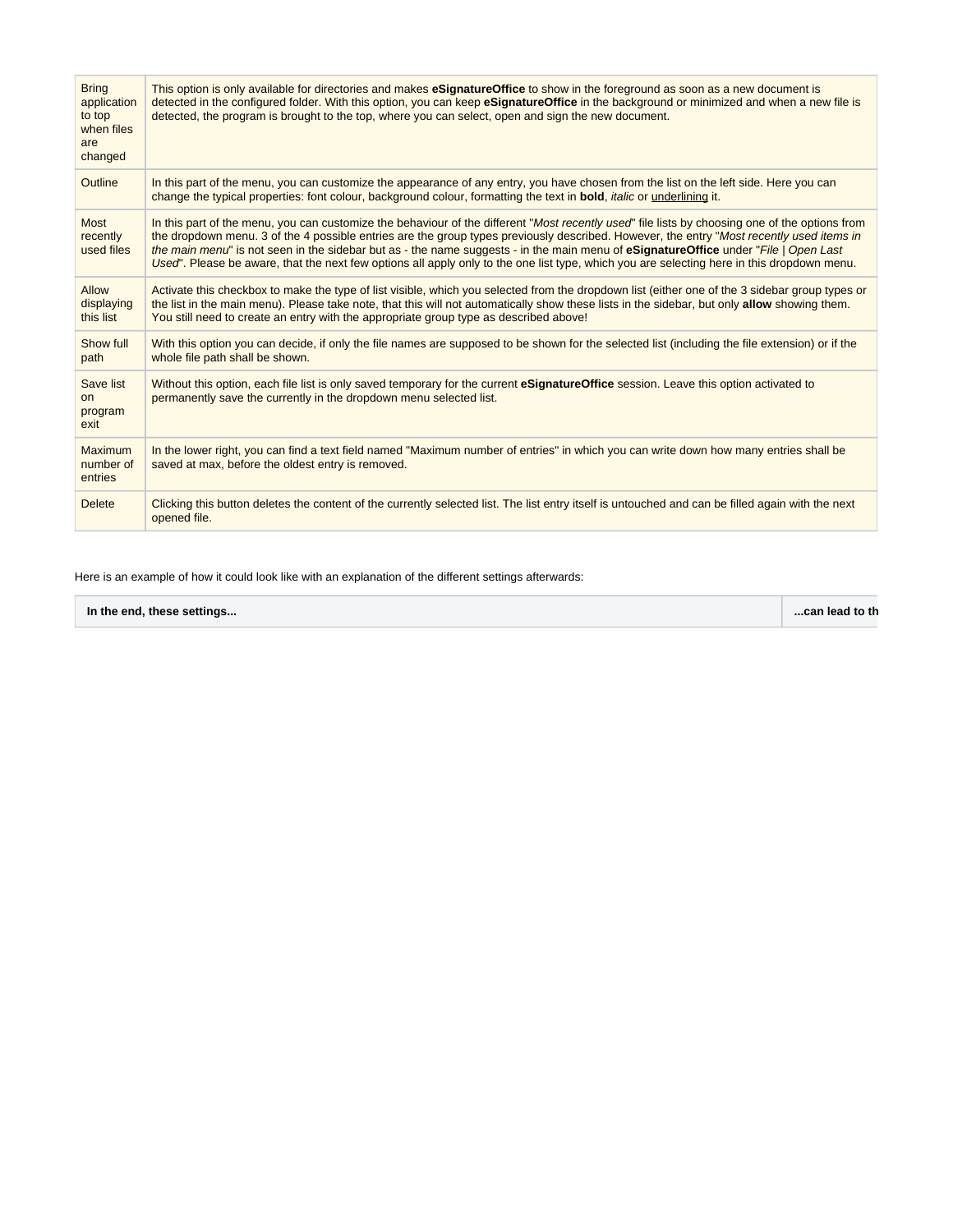| <b>Bring</b><br>application<br>to top<br>when files<br>are<br>changed | This option is only available for directories and makes eSignatureOffice to show in the foreground as soon as a new document is<br>detected in the configured folder. With this option, you can keep eSignatureOffice in the background or minimized and when a new file is<br>detected, the program is brought to the top, where you can select, open and sign the new document.                                                                                                                                                                                               |  |
|-----------------------------------------------------------------------|---------------------------------------------------------------------------------------------------------------------------------------------------------------------------------------------------------------------------------------------------------------------------------------------------------------------------------------------------------------------------------------------------------------------------------------------------------------------------------------------------------------------------------------------------------------------------------|--|
| Outline                                                               | In this part of the menu, you can customize the appearance of any entry, you have chosen from the list on the left side. Here you can<br>change the typical properties: font colour, background colour, formatting the text in <b>bold</b> , <i>italic</i> or <u>underlining</u> it.                                                                                                                                                                                                                                                                                            |  |
| <b>Most</b><br>recently<br>used files                                 | In this part of the menu, you can customize the behaviour of the different "Most recently used" file lists by choosing one of the options from<br>the dropdown menu. 3 of the 4 possible entries are the group types previously described. However, the entry "Most recently used items in<br>the main menu" is not seen in the sidebar but as - the name suggests - in the main menu of eSignatureOffice under "File   Open Last<br>Used". Please be aware, that the next few options all apply only to the one list type, which you are selecting here in this dropdown menu. |  |
| Allow<br>displaying<br>this list                                      | Activate this checkbox to make the type of list visible, which you selected from the dropdown list (either one of the 3 sidebar group types or<br>the list in the main menu). Please take note, that this will not automatically show these lists in the sidebar, but only allow showing them.<br>You still need to create an entry with the appropriate group type as described above!                                                                                                                                                                                         |  |
| Show full<br>path                                                     | With this option you can decide, if only the file names are supposed to be shown for the selected list (including the file extension) or if the<br>whole file path shall be shown.                                                                                                                                                                                                                                                                                                                                                                                              |  |
| Save list<br>on.<br>program<br>exit                                   | Without this option, each file list is only saved temporary for the current eSignatureOffice session. Leave this option activated to<br>permanently save the currently in the dropdown menu selected list.                                                                                                                                                                                                                                                                                                                                                                      |  |
| Maximum<br>number of<br>entries                                       | In the lower right, you can find a text field named "Maximum number of entries" in which you can write down how many entries shall be<br>saved at max, before the oldest entry is removed.                                                                                                                                                                                                                                                                                                                                                                                      |  |
| <b>Delete</b>                                                         | Clicking this button deletes the content of the currently selected list. The list entry itself is untouched and can be filled again with the next<br>opened file.                                                                                                                                                                                                                                                                                                                                                                                                               |  |

Here is an example of how it could look like with an explanation of the different settings afterwards:

| In the end, these settings | can lead to th |  |
|----------------------------|----------------|--|
|----------------------------|----------------|--|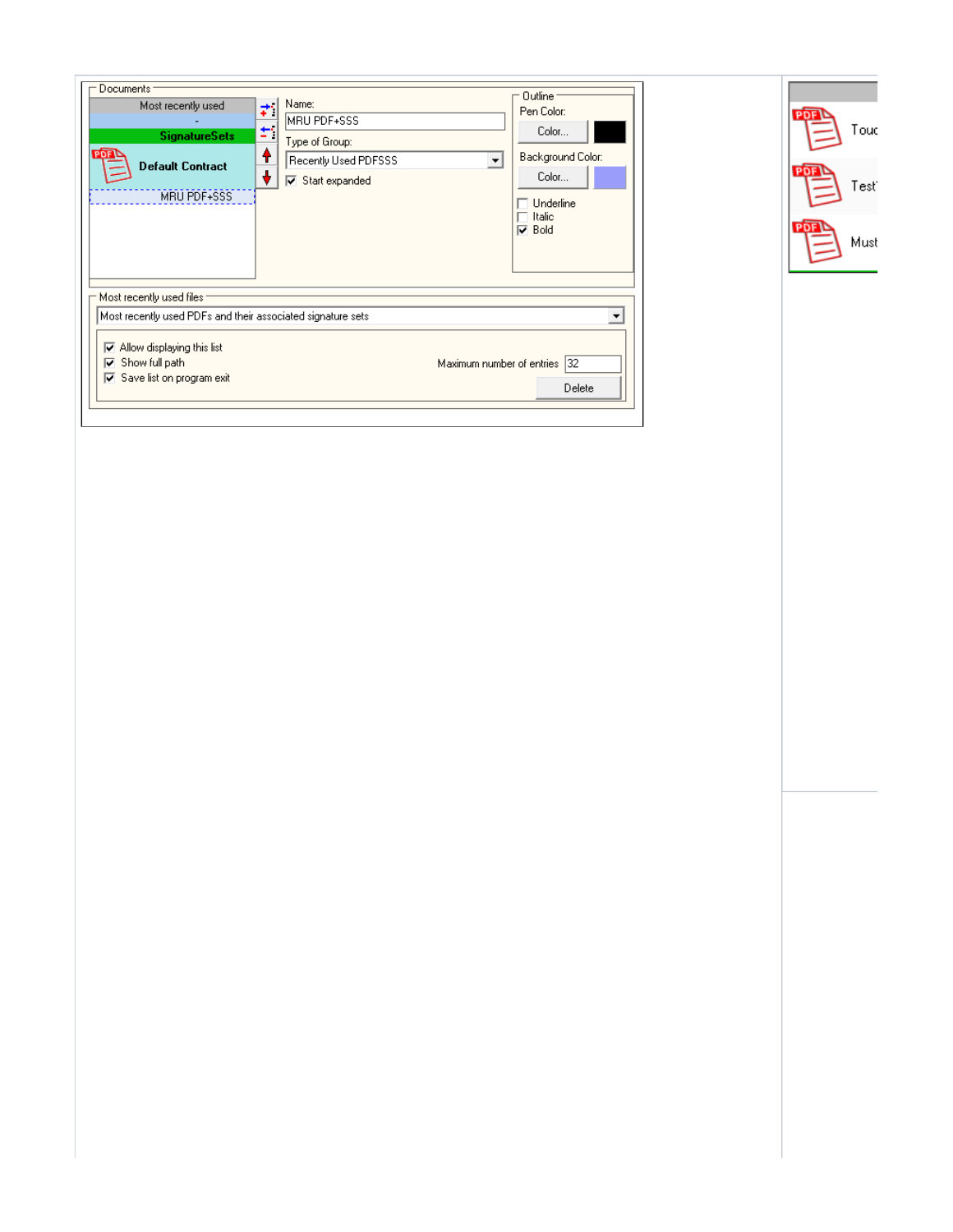| Documents<br>Most recently used<br><b>SignatureSets</b><br><b>PDF</b><br><b>Default Contract</b><br><b>MRU PDF+SSS</b>                                                                     | Name:<br>MRU PDF+SSS<br>Type of Group:<br>♠<br>Recently Used PDFSSS<br>÷<br>Start expanded | Outline <sup>-</sup><br>Pen Color:<br>Color<br>Background Color:<br>$\mathbf{v}$<br>Color<br>Underline<br>Italic<br>$\nabla$ Bold |
|--------------------------------------------------------------------------------------------------------------------------------------------------------------------------------------------|--------------------------------------------------------------------------------------------|-----------------------------------------------------------------------------------------------------------------------------------|
| Most recently used files<br>Most recently used PDFs and their associated signature sets.<br>Allow displaying this list<br>☞<br>Show full path<br>⊮<br>$\sqrt{ }$ Save list on program exit |                                                                                            | Maximum number of entries 32<br>Delete                                                                                            |

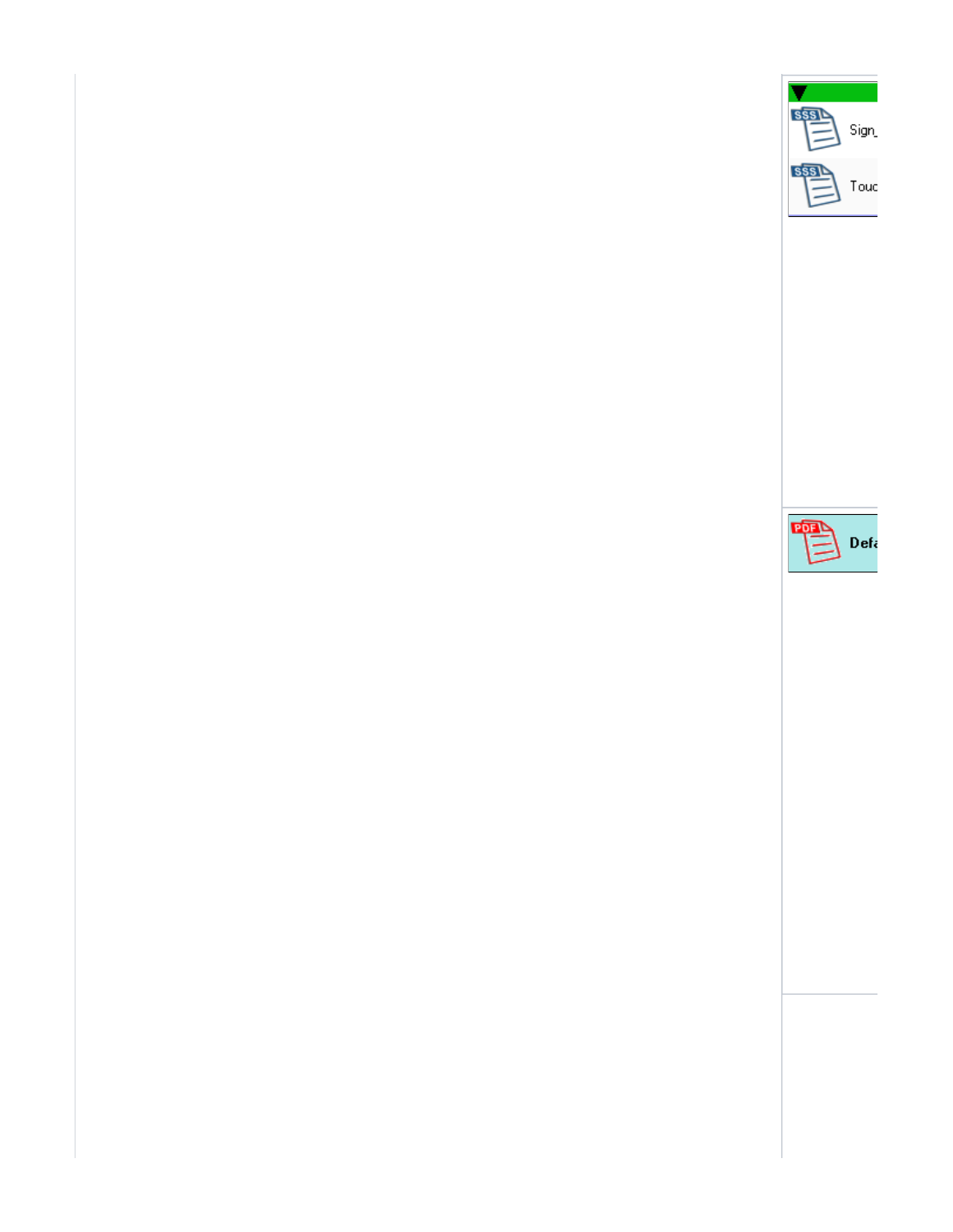

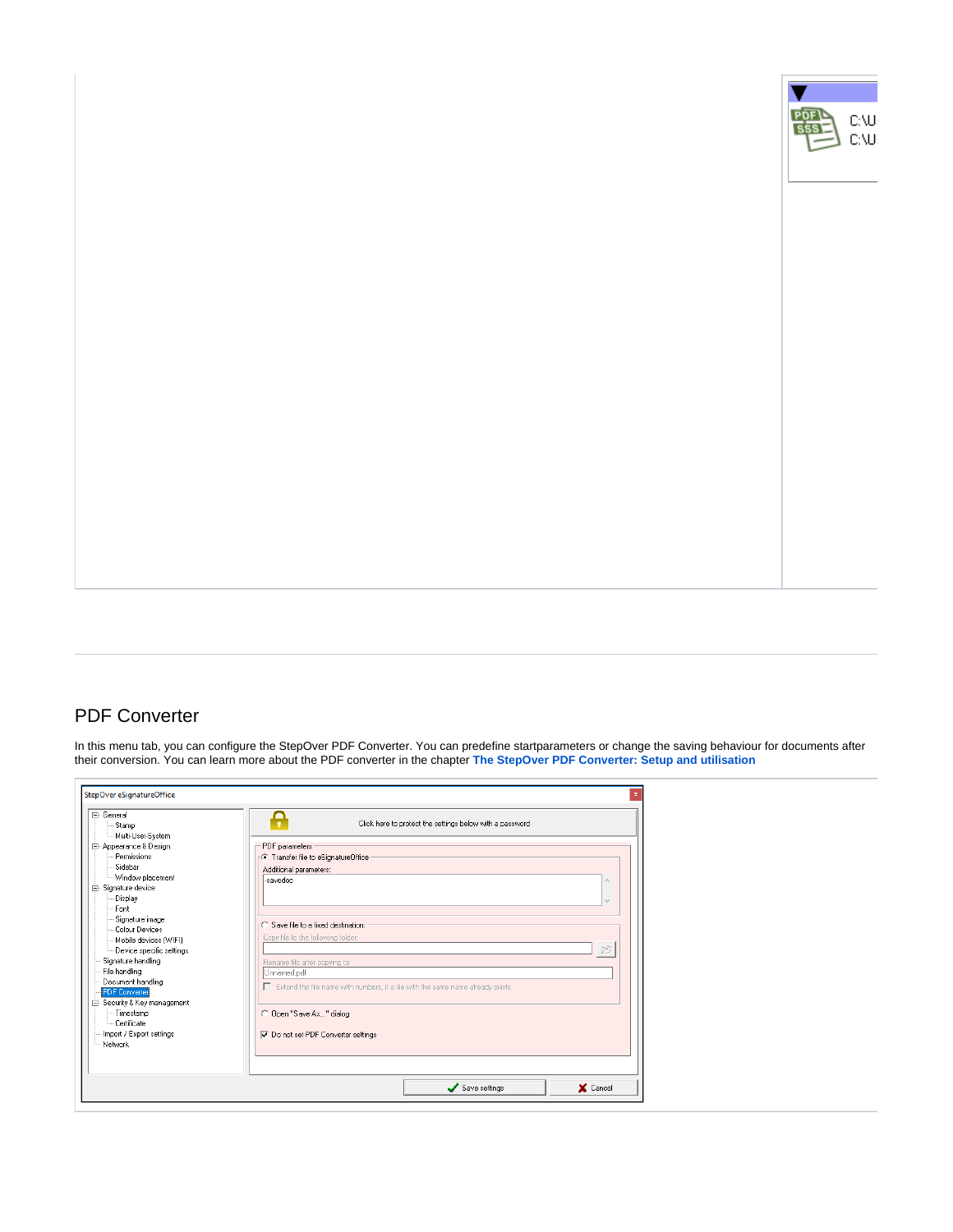

# <span id="page-41-0"></span>PDF Converter

In this menu tab, you can configure the StepOver PDF Converter. You can predefine startparameters or change the saving behaviour for documents after their conversion. You can learn more about the PDF converter in the chapter **[The StepOver PDF Converter: Setup and utilisation](https://www.stepoverinfo.net/confluence/display/PUG/3.+The+StepOver+PDF+Converter%3A+Setup+and+utilisation)**

| F- General<br>Stamp<br>Multi-User-System | Click here to protect the settings below with a password                       |
|------------------------------------------|--------------------------------------------------------------------------------|
| 白· Appearance & Design                   | PDF parameters                                                                 |
| Permissions                              | - C Transfer file to eSignatureOffice                                          |
| Sidebar                                  | Additional parameters:                                                         |
| - Window placement                       | -savedoc<br>$\curvearrowright$                                                 |
| <b>E</b> -Signature device               |                                                                                |
| Display                                  | $\cup$                                                                         |
| Font                                     |                                                                                |
| Signature image                          |                                                                                |
| Colour Devices                           | -○ Save file to a fixed destination:                                           |
| Mobile devices [WIFI]                    | Copy file to the following folder:                                             |
| Device specific settings                 | 序                                                                              |
| Signature handling                       | Rename file after copying to:                                                  |
| File handling                            | Unnamed.pdf                                                                    |
| Document handling                        | Extend the file name with numbers, if a file with the same name already exists |
| <b>PDF</b> Converter                     |                                                                                |
| 白 Security & Key management              |                                                                                |
| - Timestamp                              | C Open "Save As" dialog                                                        |
| Certificate                              |                                                                                |
| - Import / Export settings               | Do not set PDF Converter settings                                              |
| - Network                                |                                                                                |
|                                          |                                                                                |
|                                          |                                                                                |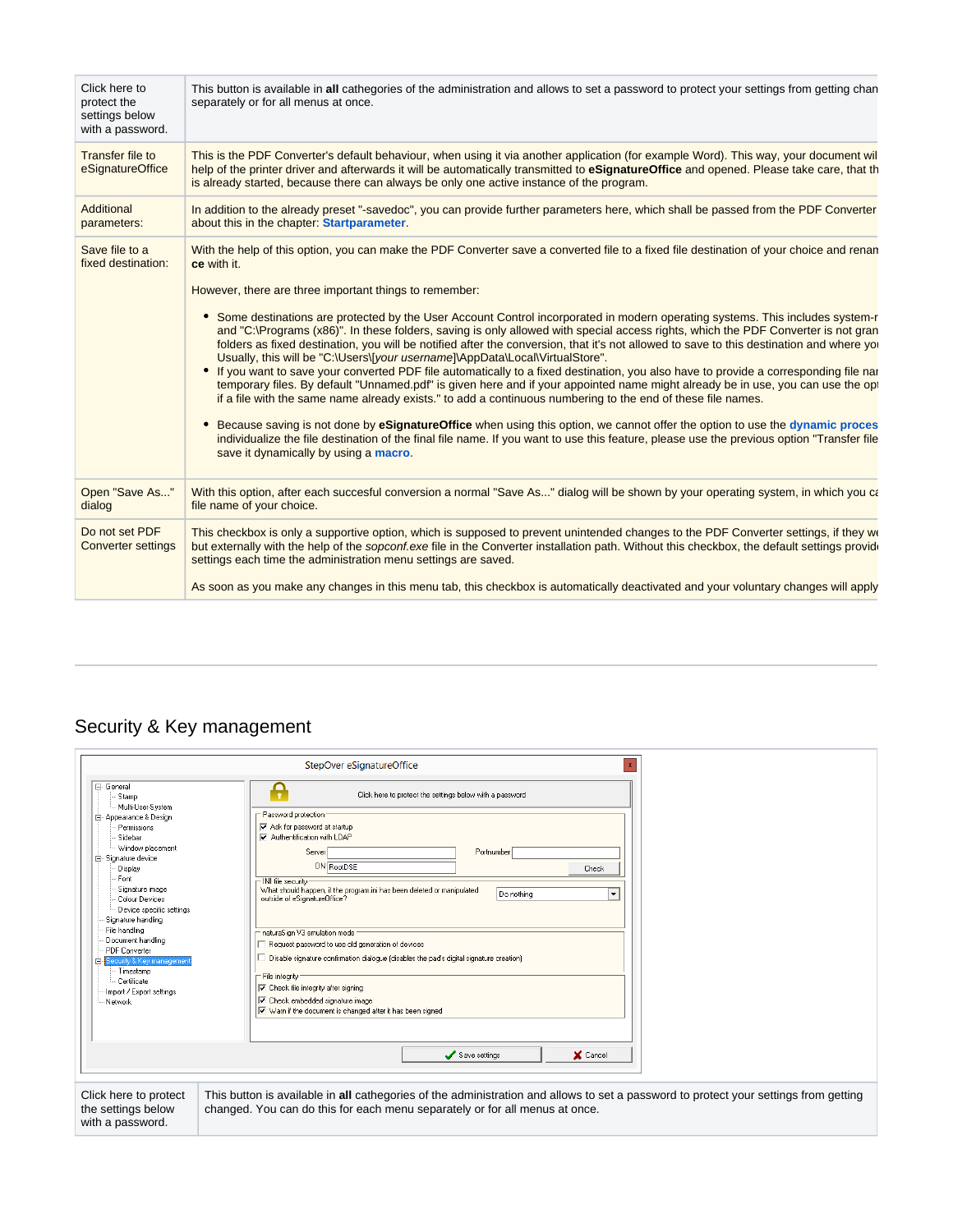| Click here to<br>protect the<br>settings below<br>with a password. | This button is available in all cathegories of the administration and allows to set a password to protect your settings from getting chan<br>separately or for all menus at once.                                                                                                                                                                                                                                                                                                                                                                                                                                                                                                                                                                                                                                                                                                                                                                                                                                                                                                                                                                                                                                                                                                                                                                                                                                                  |
|--------------------------------------------------------------------|------------------------------------------------------------------------------------------------------------------------------------------------------------------------------------------------------------------------------------------------------------------------------------------------------------------------------------------------------------------------------------------------------------------------------------------------------------------------------------------------------------------------------------------------------------------------------------------------------------------------------------------------------------------------------------------------------------------------------------------------------------------------------------------------------------------------------------------------------------------------------------------------------------------------------------------------------------------------------------------------------------------------------------------------------------------------------------------------------------------------------------------------------------------------------------------------------------------------------------------------------------------------------------------------------------------------------------------------------------------------------------------------------------------------------------|
| Transfer file to<br>eSignatureOffice                               | This is the PDF Converter's default behaviour, when using it via another application (for example Word). This way, your document wil<br>help of the printer driver and afterwards it will be automatically transmitted to eSignatureOffice and opened. Please take care, that the<br>is already started, because there can always be only one active instance of the program.                                                                                                                                                                                                                                                                                                                                                                                                                                                                                                                                                                                                                                                                                                                                                                                                                                                                                                                                                                                                                                                      |
| Additional<br>parameters:                                          | In addition to the already preset "-savedoc", you can provide further parameters here, which shall be passed from the PDF Converter<br>about this in the chapter: Startparameter.                                                                                                                                                                                                                                                                                                                                                                                                                                                                                                                                                                                                                                                                                                                                                                                                                                                                                                                                                                                                                                                                                                                                                                                                                                                  |
| Save file to a<br>fixed destination:                               | With the help of this option, you can make the PDF Converter save a converted file to a fixed file destination of your choice and renan<br>ce with it.<br>However, there are three important things to remember:<br>• Some destinations are protected by the User Account Control incorporated in modern operating systems. This includes system-r<br>and "C:\Programs (x86)". In these folders, saving is only allowed with special access rights, which the PDF Converter is not gran<br>folders as fixed destination, you will be notified after the conversion, that it's not allowed to save to this destination and where you<br>Usually, this will be "C:\Users\[your username]\AppData\Local\VirtualStore".<br>• If you want to save your converted PDF file automatically to a fixed destination, you also have to provide a corresponding file nai<br>temporary files. By default "Unnamed.pdf" is given here and if your appointed name might already be in use, you can use the op<br>if a file with the same name already exists." to add a continuous numbering to the end of these file names.<br>Because saving is not done by eSignatureOffice when using this option, we cannot offer the option to use the dynamic proces<br>individualize the file destination of the final file name. If you want to use this feature, please use the previous option "Transfer file<br>save it dynamically by using a macro. |
| Open "Save As"<br>dialog                                           | With this option, after each succesful conversion a normal "Save As" dialog will be shown by your operating system, in which you can<br>file name of your choice.                                                                                                                                                                                                                                                                                                                                                                                                                                                                                                                                                                                                                                                                                                                                                                                                                                                                                                                                                                                                                                                                                                                                                                                                                                                                  |
| Do not set PDF<br><b>Converter settings</b>                        | This checkbox is only a supportive option, which is supposed to prevent unintended changes to the PDF Converter settings, if they we<br>but externally with the help of the sopconf.exe file in the Converter installation path. Without this checkbox, the default settings provide<br>settings each time the administration menu settings are saved.                                                                                                                                                                                                                                                                                                                                                                                                                                                                                                                                                                                                                                                                                                                                                                                                                                                                                                                                                                                                                                                                             |
|                                                                    | As soon as you make any changes in this menu tab, this checkbox is automatically deactivated and your voluntary changes will apply                                                                                                                                                                                                                                                                                                                                                                                                                                                                                                                                                                                                                                                                                                                                                                                                                                                                                                                                                                                                                                                                                                                                                                                                                                                                                                 |

# <span id="page-42-0"></span>Security & Key management

|                                                                                                                                                                                                                                                                                                                                                                                                         | StepOver eSignatureOffice<br>$\mathbf{x}$                                                                                                                                                                                                                                                                                                                                                                                                                                                                                                                                                                                                                   |
|---------------------------------------------------------------------------------------------------------------------------------------------------------------------------------------------------------------------------------------------------------------------------------------------------------------------------------------------------------------------------------------------------------|-------------------------------------------------------------------------------------------------------------------------------------------------------------------------------------------------------------------------------------------------------------------------------------------------------------------------------------------------------------------------------------------------------------------------------------------------------------------------------------------------------------------------------------------------------------------------------------------------------------------------------------------------------------|
| ⊟- General<br>Stamp                                                                                                                                                                                                                                                                                                                                                                                     | Click here to protect the settings below with a password                                                                                                                                                                                                                                                                                                                                                                                                                                                                                                                                                                                                    |
| - Multi-User-System<br>Appearance & Design<br>Permissions<br>Sidebar<br>-- Window placement<br>白 Signature device<br>Display<br>Font<br>Signature image<br>Colour Devices<br>Device specific settings<br>Signature handling<br>File handling<br>Document handling<br><b>PDF</b> Converter<br><b>⊟e</b> Security & Key management<br>- Timestamp<br>- Certificate<br>Import / Export settings<br>Network | - Password protection<br>Ask for password at startup<br>Authentification with LDAP<br>Portnumber<br>Server<br>DN RootDSE<br>Check<br>- INI file security<br>What should happen, if the program.ini has been deleted or manipulated<br>Do nothing<br>$\overline{\phantom{a}}$<br>outside of eSignatureOffice?<br>naturaSign V3 emulation mode<br>Request password to use old generation of devices<br>Disable signature confirmation dialogue (disables the pad's digital signature creation)<br>File integrity<br>Check file integrity after signing<br><b>V</b> Check embedded signature image<br>Warn if the document is changed after it has been signed |
|                                                                                                                                                                                                                                                                                                                                                                                                         | X Cancel<br>Save settings                                                                                                                                                                                                                                                                                                                                                                                                                                                                                                                                                                                                                                   |
| Click here to protect<br>the settings below<br>with a password.                                                                                                                                                                                                                                                                                                                                         | This button is available in all cathegories of the administration and allows to set a password to protect your settings from getting<br>changed. You can do this for each menu separately or for all menus at once.                                                                                                                                                                                                                                                                                                                                                                                                                                         |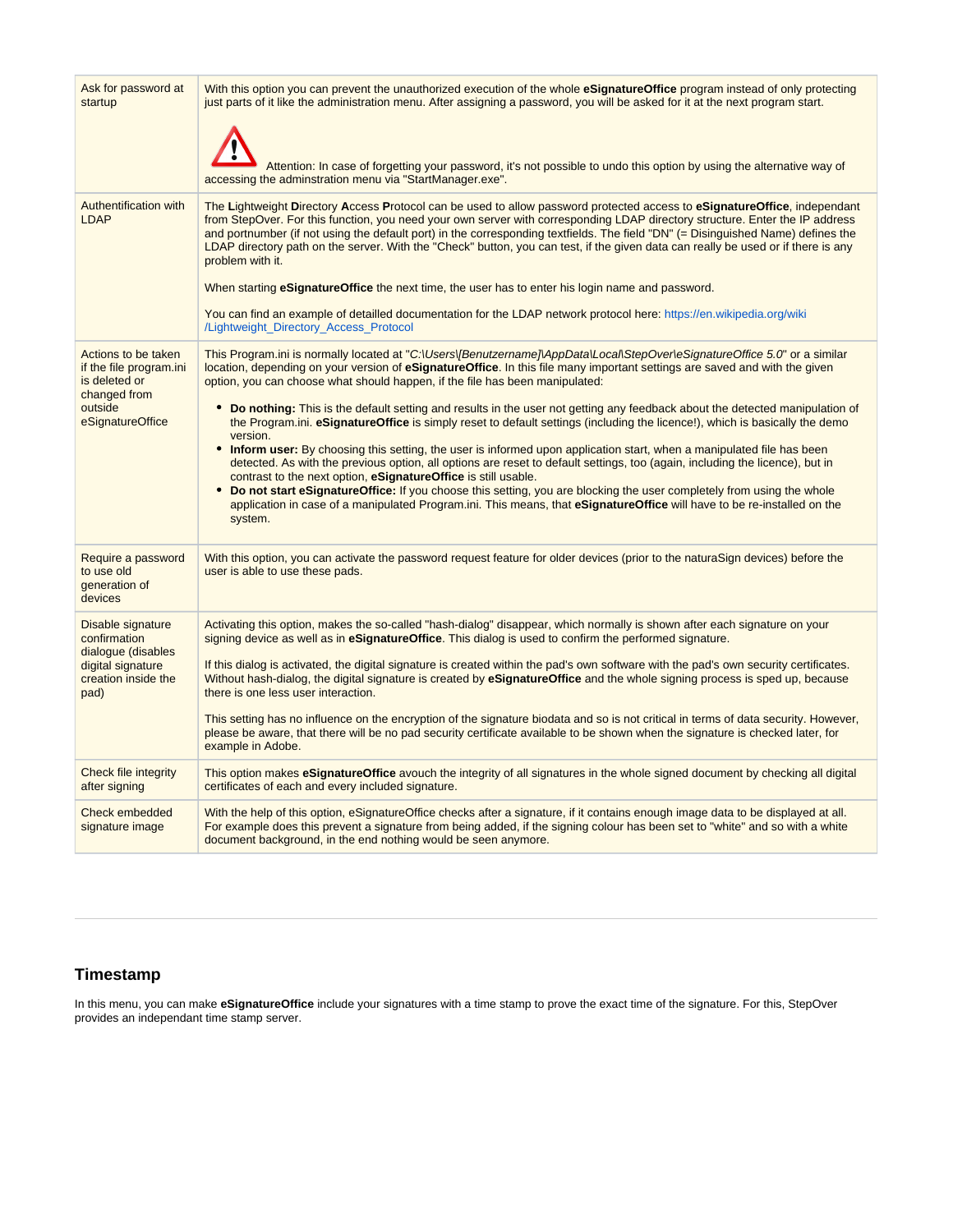| Ask for password at<br>startup                                                                                 | With this option you can prevent the unauthorized execution of the whole eSignatureOffice program instead of only protecting<br>just parts of it like the administration menu. After assigning a password, you will be asked for it at the next program start.<br>Attention: In case of forgetting your password, it's not possible to undo this option by using the alternative way of<br>accessing the adminstration menu via "StartManager.exe".                                                                                                                                                                                                                                                                                                                                                                                                                                                                                                                                                                                                                                                                                                                                                              |
|----------------------------------------------------------------------------------------------------------------|------------------------------------------------------------------------------------------------------------------------------------------------------------------------------------------------------------------------------------------------------------------------------------------------------------------------------------------------------------------------------------------------------------------------------------------------------------------------------------------------------------------------------------------------------------------------------------------------------------------------------------------------------------------------------------------------------------------------------------------------------------------------------------------------------------------------------------------------------------------------------------------------------------------------------------------------------------------------------------------------------------------------------------------------------------------------------------------------------------------------------------------------------------------------------------------------------------------|
| Authentification with<br><b>LDAP</b>                                                                           | The Lightweight Directory Access Protocol can be used to allow password protected access to eSignatureOffice, independant<br>from StepOver. For this function, you need your own server with corresponding LDAP directory structure. Enter the IP address<br>and portnumber (if not using the default port) in the corresponding textfields. The field "DN" (= Disinguished Name) defines the<br>LDAP directory path on the server. With the "Check" button, you can test, if the given data can really be used or if there is any<br>problem with it.<br>When starting <b>eSignatureOffice</b> the next time, the user has to enter his login name and password.<br>You can find an example of detailled documentation for the LDAP network protocol here: https://en.wikipedia.org/wiki<br>/Lightweight_Directory_Access_Protocol                                                                                                                                                                                                                                                                                                                                                                              |
| Actions to be taken<br>if the file program.ini<br>is deleted or<br>changed from<br>outside<br>eSignatureOffice | This Program.ini is normally located at "C:\Users\[Benutzername]\AppData\Local\StepOver\eSignatureOffice 5.0" or a similar<br>location, depending on your version of eSignatureOffice. In this file many important settings are saved and with the given<br>option, you can choose what should happen, if the file has been manipulated:<br>• Do nothing: This is the default setting and results in the user not getting any feedback about the detected manipulation of<br>the Program.ini. eSignatureOffice is simply reset to default settings (including the licence!), which is basically the demo<br>version.<br>• Inform user: By choosing this setting, the user is informed upon application start, when a manipulated file has been<br>detected. As with the previous option, all options are reset to default settings, too (again, including the licence), but in<br>contrast to the next option, eSignatureOffice is still usable.<br>• Do not start eSignatureOffice: If you choose this setting, you are blocking the user completely from using the whole<br>application in case of a manipulated Program.ini. This means, that eSignatureOffice will have to be re-installed on the<br>system. |
| Require a password<br>to use old<br>generation of<br>devices                                                   | With this option, you can activate the password request feature for older devices (prior to the naturaSign devices) before the<br>user is able to use these pads.                                                                                                                                                                                                                                                                                                                                                                                                                                                                                                                                                                                                                                                                                                                                                                                                                                                                                                                                                                                                                                                |
| Disable signature<br>confirmation<br>dialogue (disables<br>digital signature<br>creation inside the<br>pad)    | Activating this option, makes the so-called "hash-dialog" disappear, which normally is shown after each signature on your<br>signing device as well as in eSignatureOffice. This dialog is used to confirm the performed signature.<br>If this dialog is activated, the digital signature is created within the pad's own software with the pad's own security certificates.<br>Without hash-dialog, the digital signature is created by eSignatureOffice and the whole signing process is sped up, because<br>there is one less user interaction.<br>This setting has no influence on the encryption of the signature biodata and so is not critical in terms of data security. However,<br>please be aware, that there will be no pad security certificate available to be shown when the signature is checked later, for<br>example in Adobe.                                                                                                                                                                                                                                                                                                                                                                 |
| Check file integrity<br>after signing                                                                          | This option makes eSignatureOffice avouch the integrity of all signatures in the whole signed document by checking all digital<br>certificates of each and every included signature.                                                                                                                                                                                                                                                                                                                                                                                                                                                                                                                                                                                                                                                                                                                                                                                                                                                                                                                                                                                                                             |
| Check embedded<br>signature image                                                                              | With the help of this option, eSignatureOffice checks after a signature, if it contains enough image data to be displayed at all.<br>For example does this prevent a signature from being added, if the signing colour has been set to "white" and so with a white<br>document background, in the end nothing would be seen anymore.                                                                                                                                                                                                                                                                                                                                                                                                                                                                                                                                                                                                                                                                                                                                                                                                                                                                             |

## <span id="page-43-0"></span>**Timestamp**

In this menu, you can make **eSignatureOffice** include your signatures with a time stamp to prove the exact time of the signature. For this, StepOver provides an independant time stamp server.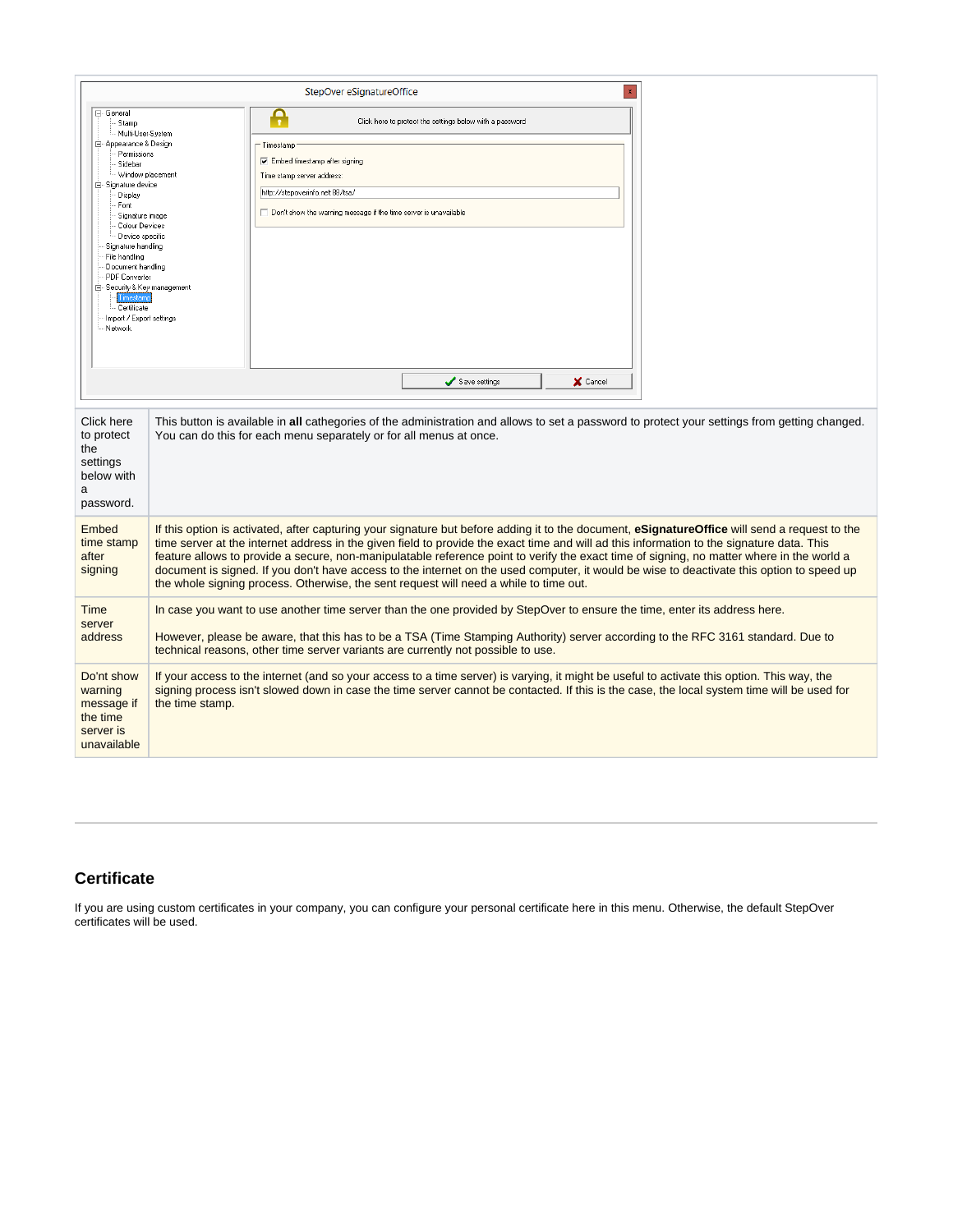|                                                                                                                                                                                                                                                                                                                                                                                 |                  | StepOver eSignatureOffice<br>$\mathbf x$                                                                                                                                                                                                                                                                                                                                                                                                                                                                                                                                                                                                                                      |  |
|---------------------------------------------------------------------------------------------------------------------------------------------------------------------------------------------------------------------------------------------------------------------------------------------------------------------------------------------------------------------------------|------------------|-------------------------------------------------------------------------------------------------------------------------------------------------------------------------------------------------------------------------------------------------------------------------------------------------------------------------------------------------------------------------------------------------------------------------------------------------------------------------------------------------------------------------------------------------------------------------------------------------------------------------------------------------------------------------------|--|
| - General<br>Stamp<br>- Multi-User-System<br>白 Appearance & Design<br>Permissions<br>Sidebar<br>白 Signature device<br>Display<br>Font<br>Signature image<br>Colour Devices<br>Device specific<br>Signature handling<br>File handling<br>Document handling<br>PDF Converter<br>白- Security & Key management<br>Timestamp<br>- Certificate<br>Import / Export settings<br>Network | Window placement | Ą<br>Click here to protect the settings below with a password<br>Timestamp<br>$\nabla$ Embed timestamp after signing<br>Time stamp server address:<br>http://stepoverinfo.net:88/tsa/<br>Don't show the warning message if the time server is unavailable                                                                                                                                                                                                                                                                                                                                                                                                                     |  |
|                                                                                                                                                                                                                                                                                                                                                                                 |                  | Save settings<br>X Cancel                                                                                                                                                                                                                                                                                                                                                                                                                                                                                                                                                                                                                                                     |  |
| Click here<br>to protect<br>the<br>settings<br>below with<br>a<br>password.                                                                                                                                                                                                                                                                                                     |                  | This button is available in all cathegories of the administration and allows to set a password to protect your settings from getting changed.<br>You can do this for each menu separately or for all menus at once.                                                                                                                                                                                                                                                                                                                                                                                                                                                           |  |
| Embed<br>time stamp<br>after<br>signing                                                                                                                                                                                                                                                                                                                                         |                  | If this option is activated, after capturing your signature but before adding it to the document, eSignatureOffice will send a request to the<br>time server at the internet address in the given field to provide the exact time and will ad this information to the signature data. This<br>feature allows to provide a secure, non-manipulatable reference point to verify the exact time of signing, no matter where in the world a<br>document is signed. If you don't have access to the internet on the used computer, it would be wise to deactivate this option to speed up<br>the whole signing process. Otherwise, the sent request will need a while to time out. |  |
| Time<br>server<br>address                                                                                                                                                                                                                                                                                                                                                       |                  | In case you want to use another time server than the one provided by StepOver to ensure the time, enter its address here.<br>However, please be aware, that this has to be a TSA (Time Stamping Authority) server according to the RFC 3161 standard. Due to<br>technical reasons, other time server variants are currently not possible to use.                                                                                                                                                                                                                                                                                                                              |  |
| Do'nt show<br>warning<br>message if<br>the time<br>server is<br>unavailable                                                                                                                                                                                                                                                                                                     | the time stamp.  | If your access to the internet (and so your access to a time server) is varying, it might be useful to activate this option. This way, the<br>signing process isn't slowed down in case the time server cannot be contacted. If this is the case, the local system time will be used for                                                                                                                                                                                                                                                                                                                                                                                      |  |

## <span id="page-44-0"></span>**Certificate**

If you are using custom certificates in your company, you can configure your personal certificate here in this menu. Otherwise, the default StepOver certificates will be used.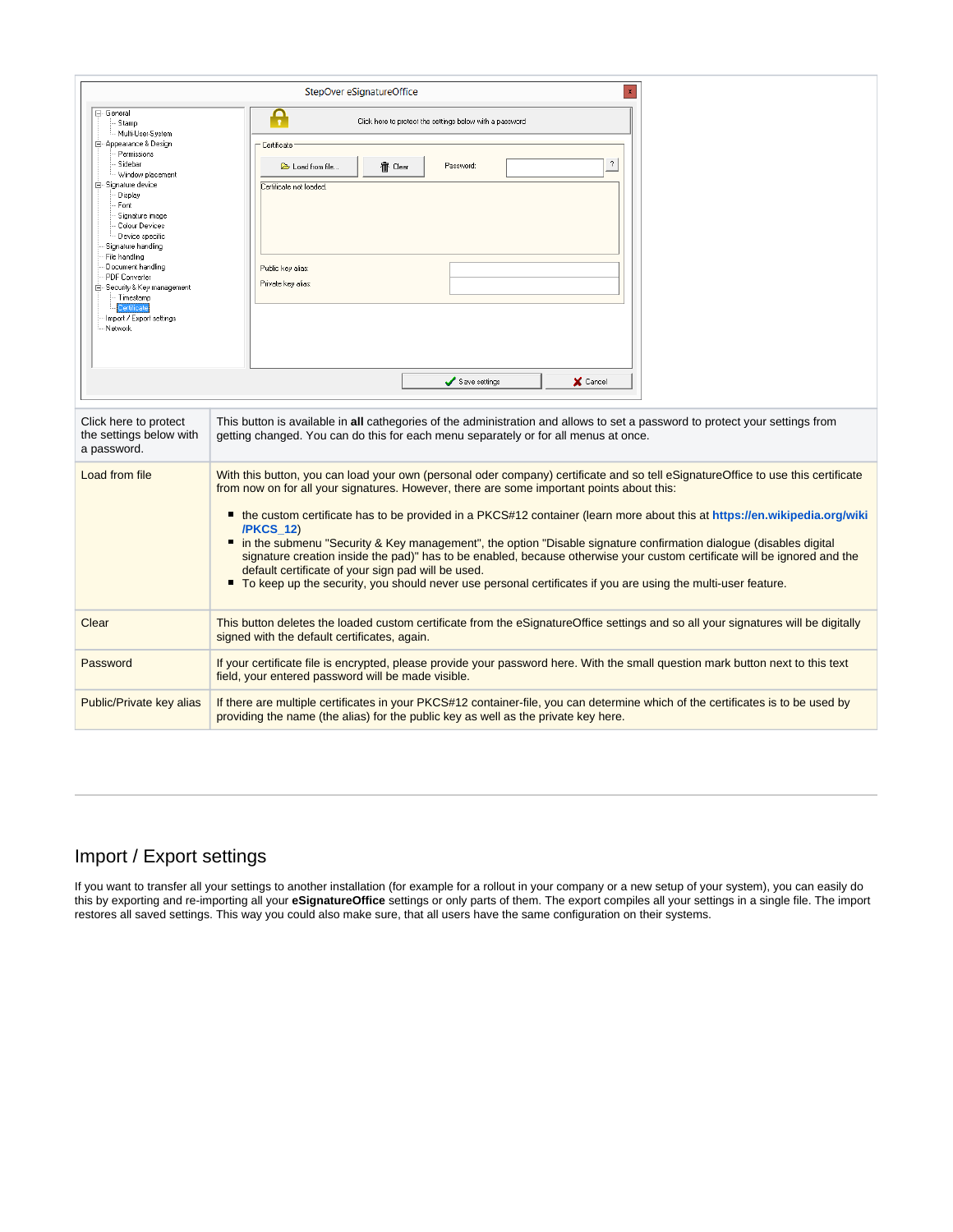|                                                                                                                                                                                                                                                                                                                                                                                        | StepOver eSignatureOffice<br>$\mathbf{x}$                                                                                                                                                                                                                                                                                                                                                                                                                                                                                                                                                                                                                                                                                                                                                                  |
|----------------------------------------------------------------------------------------------------------------------------------------------------------------------------------------------------------------------------------------------------------------------------------------------------------------------------------------------------------------------------------------|------------------------------------------------------------------------------------------------------------------------------------------------------------------------------------------------------------------------------------------------------------------------------------------------------------------------------------------------------------------------------------------------------------------------------------------------------------------------------------------------------------------------------------------------------------------------------------------------------------------------------------------------------------------------------------------------------------------------------------------------------------------------------------------------------------|
| ⊟- General<br>Stamp                                                                                                                                                                                                                                                                                                                                                                    | Ą<br>Click here to protect the settings below with a password                                                                                                                                                                                                                                                                                                                                                                                                                                                                                                                                                                                                                                                                                                                                              |
| Multi-User-System<br><b>E</b> Appearance & Design<br>Permissions<br>Sidebar<br>Window placement<br>白 Signature device<br>Display<br>Font<br>Signature image<br>Colour Devices<br>Device specific<br>Signature handling<br>File handling<br>Document handling<br><b>PDF</b> Converter<br>白 Security & Key management<br>Timestamp<br>Certificate<br>Import / Export settings<br>Network | Certificate<br>2<br>Password:<br>宿 Clear<br>Load from file.<br>Certificate not loaded.<br>Public key alias:<br>Private key alias:                                                                                                                                                                                                                                                                                                                                                                                                                                                                                                                                                                                                                                                                          |
|                                                                                                                                                                                                                                                                                                                                                                                        | Save settings<br>X Cancel                                                                                                                                                                                                                                                                                                                                                                                                                                                                                                                                                                                                                                                                                                                                                                                  |
| Click here to protect<br>the settings below with<br>a password.                                                                                                                                                                                                                                                                                                                        | This button is available in all cathegories of the administration and allows to set a password to protect your settings from<br>getting changed. You can do this for each menu separately or for all menus at once.                                                                                                                                                                                                                                                                                                                                                                                                                                                                                                                                                                                        |
| Load from file                                                                                                                                                                                                                                                                                                                                                                         | With this button, you can load your own (personal oder company) certificate and so tell eSignatureOffice to use this certificate<br>from now on for all your signatures. However, there are some important points about this:<br>■ the custom certificate has to be provided in a PKCS#12 container (learn more about this at https://en.wikipedia.org/wiki<br><b>/PKCS 12)</b><br>■ in the submenu "Security & Key management", the option "Disable signature confirmation dialogue (disables digital<br>signature creation inside the pad)" has to be enabled, because otherwise your custom certificate will be ignored and the<br>default certificate of your sign pad will be used.<br>■ To keep up the security, you should never use personal certificates if you are using the multi-user feature. |
| Clear                                                                                                                                                                                                                                                                                                                                                                                  | This button deletes the loaded custom certificate from the eSignatureOffice settings and so all your signatures will be digitally<br>signed with the default certificates, again.                                                                                                                                                                                                                                                                                                                                                                                                                                                                                                                                                                                                                          |
| Password                                                                                                                                                                                                                                                                                                                                                                               | If your certificate file is encrypted, please provide your password here. With the small question mark button next to this text<br>field, your entered password will be made visible.                                                                                                                                                                                                                                                                                                                                                                                                                                                                                                                                                                                                                      |
| Public/Private key alias                                                                                                                                                                                                                                                                                                                                                               | If there are multiple certificates in your PKCS#12 container-file, you can determine which of the certificates is to be used by<br>providing the name (the alias) for the public key as well as the private key here.                                                                                                                                                                                                                                                                                                                                                                                                                                                                                                                                                                                      |

## <span id="page-45-0"></span>Import / Export settings

If you want to transfer all your settings to another installation (for example for a rollout in your company or a new setup of your system), you can easily do this by exporting and re-importing all your **eSignatureOffice** settings or only parts of them. The export compiles all your settings in a single file. The import restores all saved settings. This way you could also make sure, that all users have the same configuration on their systems.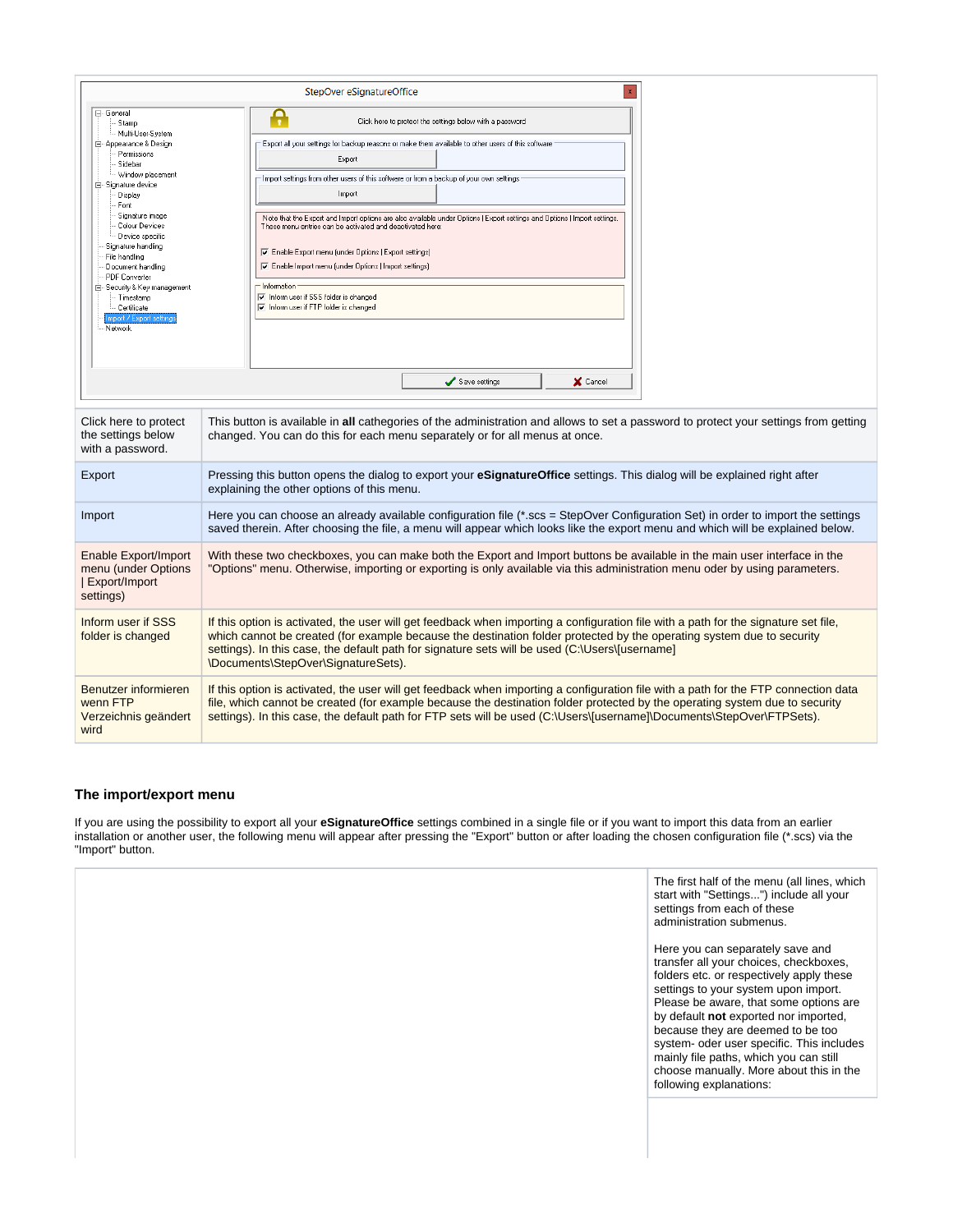|                                                                                                                                                                                                                                                                                                                                                                                                          | $\mathbf{x}$<br>StepOver eSignatureOffice                                                                                                                                                                                                                                                                                                                                                                                                                                                                                                                                                                                                                                                            |
|----------------------------------------------------------------------------------------------------------------------------------------------------------------------------------------------------------------------------------------------------------------------------------------------------------------------------------------------------------------------------------------------------------|------------------------------------------------------------------------------------------------------------------------------------------------------------------------------------------------------------------------------------------------------------------------------------------------------------------------------------------------------------------------------------------------------------------------------------------------------------------------------------------------------------------------------------------------------------------------------------------------------------------------------------------------------------------------------------------------------|
| ⊟- General<br>Stamp<br>Multi-User-System<br>白 Appearance & Design<br>Permissions<br>Sidebar<br>Window placement<br>白 Signature device<br>Display<br>Font<br>Signature image<br>Colour Devices<br>– Device specific<br>Signature handling<br>File handling<br>Document handling<br>PDF Converter<br>白 Security & Key management<br>· Timestamp<br>-- Certificate<br>Import / Export setting:<br>- Network | Ą<br>Click here to protect the settings below with a password<br>Export all your settings for backup reasons or make them available to other users of this software<br>Export<br>Import settings from other users of this software or from a backup of your own settings<br>Import<br>Note that the Export and Import options are also available under Options   Export settings and Options   Import settings.<br>These menu entries can be activated and deactivated here:<br>Enable Export menu (under Options   Export settings)<br>Te Enable Import menu (under Options   Import settings)<br>- Information<br>I Inform user if SSS folder is changed<br>I Inform user if FTP folder is changed |
| Click here to protect<br>the settings below<br>with a password.                                                                                                                                                                                                                                                                                                                                          | Save settings<br>X Cancel<br>This button is available in all cathegories of the administration and allows to set a password to protect your settings from getting<br>changed. You can do this for each menu separately or for all menus at once.                                                                                                                                                                                                                                                                                                                                                                                                                                                     |
| Export                                                                                                                                                                                                                                                                                                                                                                                                   | Pressing this button opens the dialog to export your <b>eSignatureOffice</b> settings. This dialog will be explained right after<br>explaining the other options of this menu.                                                                                                                                                                                                                                                                                                                                                                                                                                                                                                                       |
| Import                                                                                                                                                                                                                                                                                                                                                                                                   | Here you can choose an already available configuration file (*.scs = StepOver Configuration Set) in order to import the settings<br>saved therein. After choosing the file, a menu will appear which looks like the export menu and which will be explained below.                                                                                                                                                                                                                                                                                                                                                                                                                                   |
| Enable Export/Import<br>menu (under Options<br>  Export/Import<br>settings)                                                                                                                                                                                                                                                                                                                              | With these two checkboxes, you can make both the Export and Import buttons be available in the main user interface in the<br>"Options" menu. Otherwise, importing or exporting is only available via this administration menu oder by using parameters.                                                                                                                                                                                                                                                                                                                                                                                                                                              |
| Inform user if SSS<br>folder is changed                                                                                                                                                                                                                                                                                                                                                                  | If this option is activated, the user will get feedback when importing a configuration file with a path for the signature set file,<br>which cannot be created (for example because the destination folder protected by the operating system due to security<br>settings). In this case, the default path for signature sets will be used (C:\Users\[username]<br>\Documents\StepOver\SignatureSets).                                                                                                                                                                                                                                                                                                |
| Benutzer informieren<br>wenn FTP<br>Verzeichnis geändert<br>wird                                                                                                                                                                                                                                                                                                                                         | If this option is activated, the user will get feedback when importing a configuration file with a path for the FTP connection data<br>file, which cannot be created (for example because the destination folder protected by the operating system due to security<br>settings). In this case, the default path for FTP sets will be used (C:\Users\[username]\Documents\StepOver\FTPSets).                                                                                                                                                                                                                                                                                                          |

#### <span id="page-46-0"></span>**The import/export menu**

If you are using the possibility to export all your **eSignatureOffice** settings combined in a single file or if you want to import this data from an earlier installation or another user, the following menu will appear after pressing the "Export" button or after loading the chosen configuration file (\*.scs) via the "Import" button.

> The first half of the menu (all lines, which start with "Settings...") include all your settings from each of these administration submenus.

Here you can separately save and transfer all your choices, checkboxes, folders etc. or respectively apply these settings to your system upon import. Please be aware, that some options are by default **not** exported nor imported, because they are deemed to be too system- oder user specific. This includes mainly file paths, which you can still choose manually. More about this in the following explanations: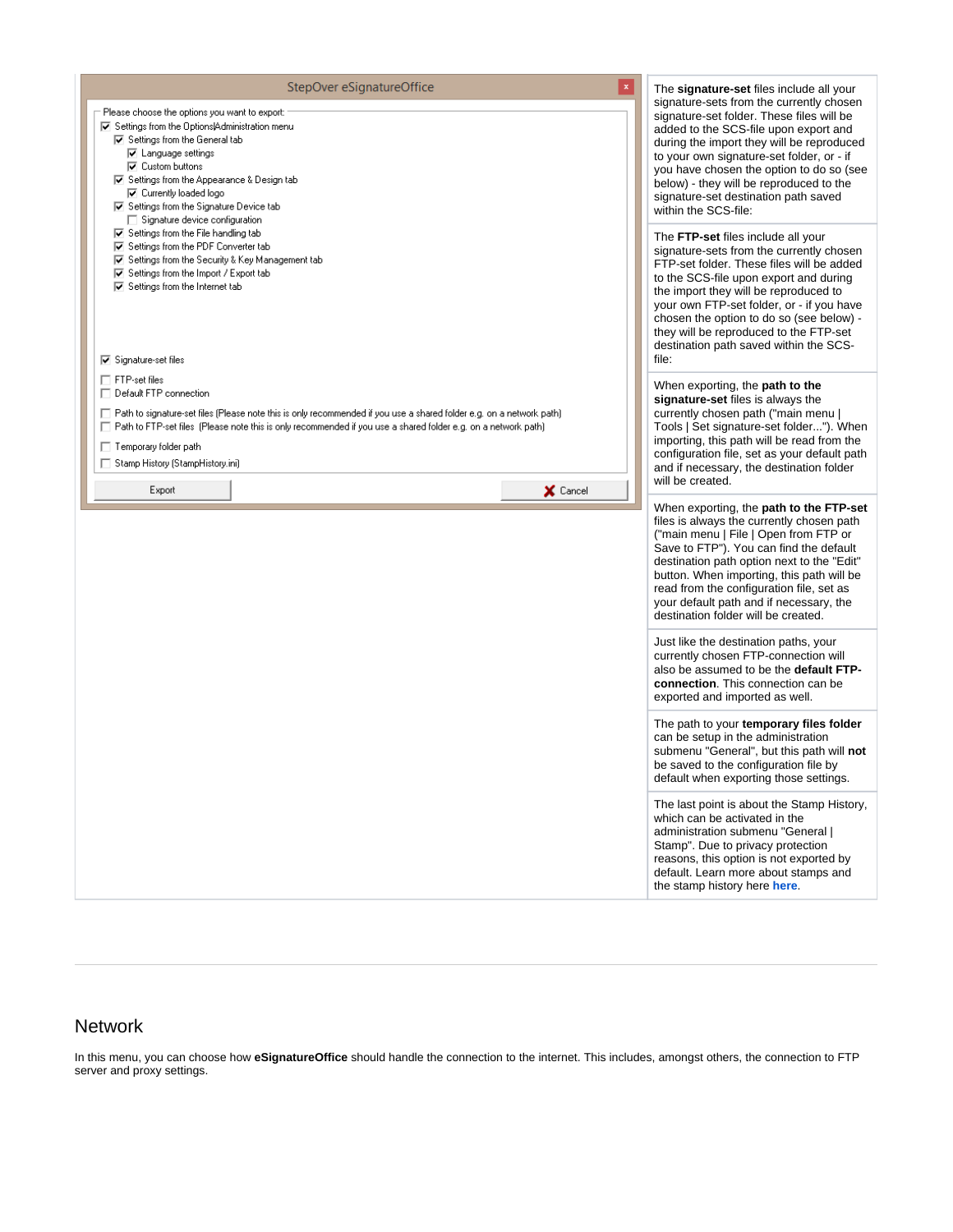| $\mathbf{x}$<br>StepOver eSignatureOffice<br>Please choose the options you want to export:<br>☑ Settings from the Options Administration menu<br>□ Settings from the General tab<br><b>☑</b> Language settings<br><b>⊽</b> Custom buttons<br>$\overline{\blacktriangledown}$ Settings from the Appearance & Design tab<br>□ Currently loaded logo<br>$\boxed{\blacktriangledown}$ Settings from the Signature Device tab<br>$\Box$ Signature device configuration | The signature-set files include all your<br>signature-sets from the currently chosen<br>signature-set folder. These files will be<br>added to the SCS-file upon export and<br>during the import they will be reproduced<br>to your own signature-set folder, or - if<br>you have chosen the option to do so (see<br>below) - they will be reproduced to the<br>signature-set destination path saved<br>within the SCS-file: |
|-------------------------------------------------------------------------------------------------------------------------------------------------------------------------------------------------------------------------------------------------------------------------------------------------------------------------------------------------------------------------------------------------------------------------------------------------------------------|-----------------------------------------------------------------------------------------------------------------------------------------------------------------------------------------------------------------------------------------------------------------------------------------------------------------------------------------------------------------------------------------------------------------------------|
| □ Settings from the File handling tab<br>□ Settings from the PDF Converter tab<br>□ Settings from the Security & Key Management tab<br>$\overline{\blacktriangledown}$ Settings from the Import / Export tab<br>$\overline{\mathbf{v}}$ Settings from the Internet tab<br>$\overline{\triangledown}$ Signature-set files                                                                                                                                          | The FTP-set files include all your<br>signature-sets from the currently chosen<br>FTP-set folder. These files will be added<br>to the SCS-file upon export and during<br>the import they will be reproduced to<br>your own FTP-set folder, or - if you have<br>chosen the option to do so (see below) -<br>they will be reproduced to the FTP-set<br>destination path saved within the SCS-<br>file:                        |
| $\Box$ FTP-set files<br>$\Box$ Default FTP connection<br>□ Path to signature-set files (Please note this is only recommended if you use a shared folder e.g. on a network path)<br>□ Path to FTP-set files (Please note this is only recommended if you use a shared folder e.g. on a network path)<br>□ Temporary folder path<br>□ Stamp History (StampHistory.ini)<br>Export<br>X Cancel                                                                        | When exporting, the <b>path to the</b><br>signature-set files is always the<br>currently chosen path ("main menu  <br>Tools   Set signature-set folder"). When<br>importing, this path will be read from the<br>configuration file, set as your default path<br>and if necessary, the destination folder<br>will be created.                                                                                                |
|                                                                                                                                                                                                                                                                                                                                                                                                                                                                   | When exporting, the path to the FTP-set<br>files is always the currently chosen path<br>("main menu   File   Open from FTP or<br>Save to FTP"). You can find the default<br>destination path option next to the "Edit"<br>button. When importing, this path will be<br>read from the configuration file, set as<br>your default path and if necessary, the<br>destination folder will be created.                           |
|                                                                                                                                                                                                                                                                                                                                                                                                                                                                   | Just like the destination paths, your<br>currently chosen FTP-connection will<br>also be assumed to be the default FTP-<br>connection. This connection can be<br>exported and imported as well.                                                                                                                                                                                                                             |
|                                                                                                                                                                                                                                                                                                                                                                                                                                                                   | The path to your temporary files folder<br>can be setup in the administration<br>submenu "General", but this path will not<br>be saved to the configuration file by<br>default when exporting those settings.                                                                                                                                                                                                               |
|                                                                                                                                                                                                                                                                                                                                                                                                                                                                   | The last point is about the Stamp History,<br>which can be activated in the<br>administration submenu "General  <br>Stamp". Due to privacy protection<br>reasons, this option is not exported by<br>default. Learn more about stamps and<br>the stamp history here here.                                                                                                                                                    |

# <span id="page-47-0"></span>Network

In this menu, you can choose how **eSignatureOffice** should handle the connection to the internet. This includes, amongst others, the connection to FTP server and proxy settings.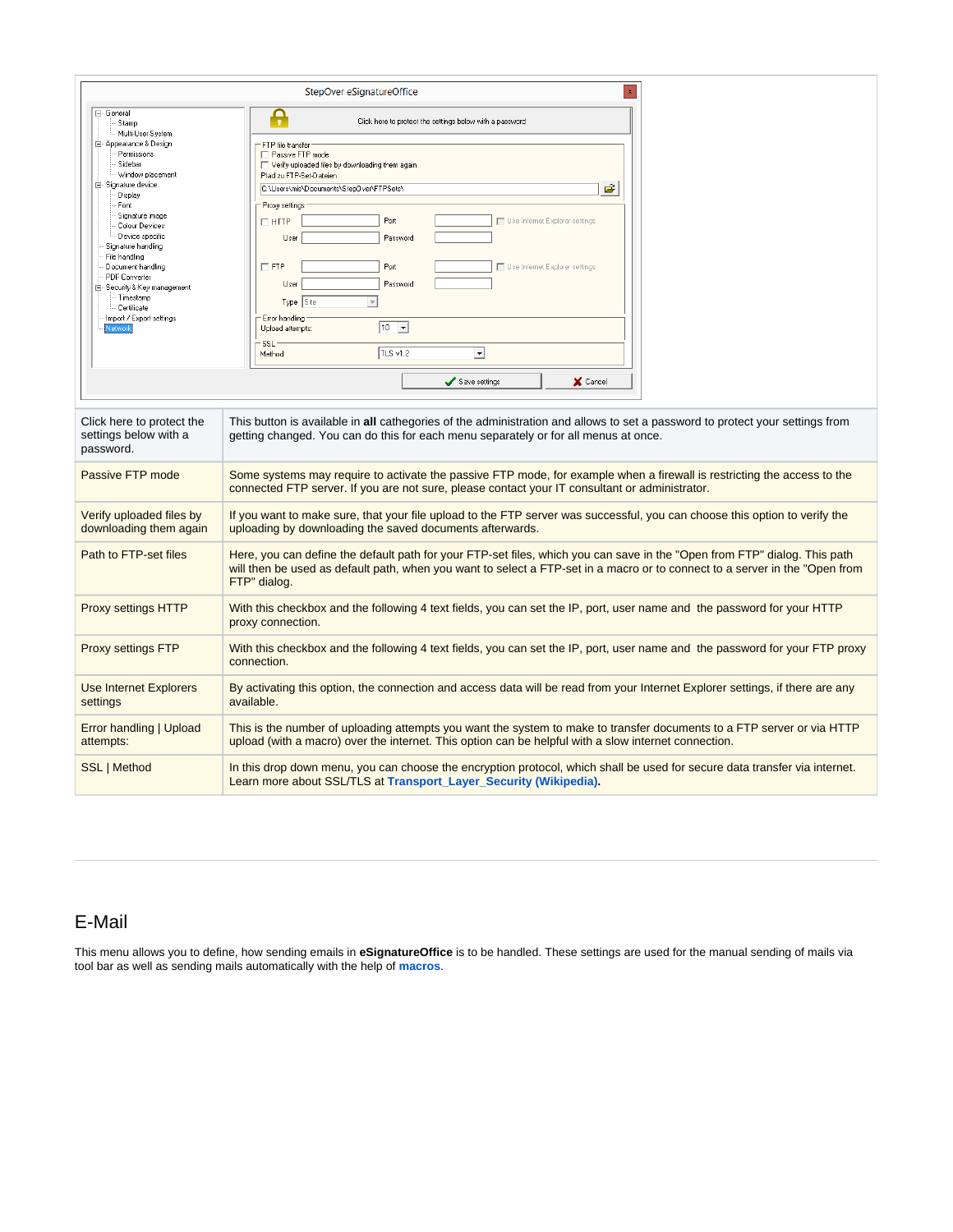|                                                                                                                                                                                                                                                                                                                                                                                   | StepOver eSignatureOffice                                                                                                                                                                                                                                                                                                                                                                                                                                                    |
|-----------------------------------------------------------------------------------------------------------------------------------------------------------------------------------------------------------------------------------------------------------------------------------------------------------------------------------------------------------------------------------|------------------------------------------------------------------------------------------------------------------------------------------------------------------------------------------------------------------------------------------------------------------------------------------------------------------------------------------------------------------------------------------------------------------------------------------------------------------------------|
| ⊟- General<br>Stamp                                                                                                                                                                                                                                                                                                                                                               | Ą<br>Click here to protect the settings below with a password                                                                                                                                                                                                                                                                                                                                                                                                                |
| Multi-User-System<br><b>E</b> Appearance & Design<br>Permissions<br>Sidebar<br>Window placement<br>白 Signature device<br>Display<br>Font<br>Signature image<br>Colour Devices<br>Device specific<br>Signature handling<br>File handling<br>Document handling<br>PDF Converter<br>白 Security & Key management<br>Timestamp<br>- Certificate<br>Import / Export settings<br>Vetwork | FTP file transfer<br>Passive FTP mode<br>Verify uploaded files by downloading them again<br>Pfad zu FTP-Set-Dateien<br>Ê<br>C:\Users\mis\Documents\StepDver\FTPSets\<br>Proxy settings<br>Port<br>Use Internet Explorer settings<br>$\Box$ HTTP<br>Password<br>User<br>$\Box$ FTP<br>Port<br>Use Internet Explorer settings<br>User<br>Password<br>Type Site<br>$\mathbf{v}$<br>Error handling<br>$ 10 - \mathbf{v} $<br>Upload attempts:<br>SSL<br>TLS v1.2<br>ᅬ<br>Method: |
|                                                                                                                                                                                                                                                                                                                                                                                   | Save settings<br>X Cancel                                                                                                                                                                                                                                                                                                                                                                                                                                                    |
| Click here to protect the<br>settings below with a<br>password.                                                                                                                                                                                                                                                                                                                   | This button is available in all cathegories of the administration and allows to set a password to protect your settings from<br>getting changed. You can do this for each menu separately or for all menus at once.                                                                                                                                                                                                                                                          |
| Passive FTP mode                                                                                                                                                                                                                                                                                                                                                                  | Some systems may require to activate the passive FTP mode, for example when a firewall is restricting the access to the<br>connected FTP server. If you are not sure, please contact your IT consultant or administrator.                                                                                                                                                                                                                                                    |
| Verify uploaded files by<br>downloading them again                                                                                                                                                                                                                                                                                                                                | If you want to make sure, that your file upload to the FTP server was successful, you can choose this option to verify the<br>uploading by downloading the saved documents afterwards.                                                                                                                                                                                                                                                                                       |
| Path to FTP-set files                                                                                                                                                                                                                                                                                                                                                             | Here, you can define the default path for your FTP-set files, which you can save in the "Open from FTP" dialog. This path<br>will then be used as default path, when you want to select a FTP-set in a macro or to connect to a server in the "Open from<br>FTP" dialog.                                                                                                                                                                                                     |
| <b>Proxy settings HTTP</b>                                                                                                                                                                                                                                                                                                                                                        | With this checkbox and the following 4 text fields, you can set the IP, port, user name and the password for your HTTP<br>proxy connection.                                                                                                                                                                                                                                                                                                                                  |
| <b>Proxy settings FTP</b>                                                                                                                                                                                                                                                                                                                                                         | With this checkbox and the following 4 text fields, you can set the IP, port, user name and the password for your FTP proxy<br>connection.                                                                                                                                                                                                                                                                                                                                   |
| <b>Use Internet Explorers</b><br>settings                                                                                                                                                                                                                                                                                                                                         | By activating this option, the connection and access data will be read from your Internet Explorer settings, if there are any<br>available.                                                                                                                                                                                                                                                                                                                                  |
| Error handling   Upload<br>attempts:                                                                                                                                                                                                                                                                                                                                              | This is the number of uploading attempts you want the system to make to transfer documents to a FTP server or via HTTP<br>upload (with a macro) over the internet. This option can be helpful with a slow internet connection.                                                                                                                                                                                                                                               |
| SSL   Method                                                                                                                                                                                                                                                                                                                                                                      | In this drop down menu, you can choose the encryption protocol, which shall be used for secure data transfer via internet.<br>Learn more about SSL/TLS at Transport_Layer_Security (Wikipedia).                                                                                                                                                                                                                                                                              |

# <span id="page-48-0"></span>E-Mail

This menu allows you to define, how sending emails in **eSignatureOffice** is to be handled. These settings are used for the manual sending of mails via tool bar as well as sending mails automatically with the help of **[macros](https://www.stepoverinfo.net/confluence/display/Drafts/Automating+complex+processes%3A+macros)**.